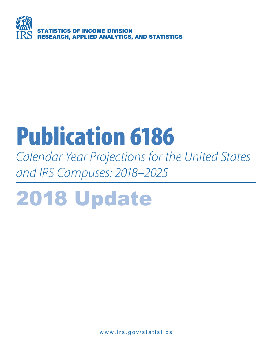

# Publication 6186

*Calendar Year Projections for the United States and IRS Campuses: 2018–2025*

# 2018 Update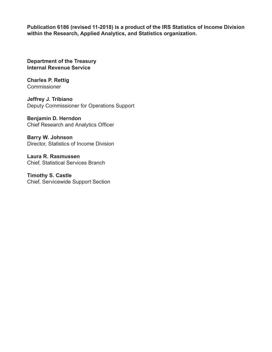**Publication 6186 (revised 11-2018) is a product of the IRS Statistics of Income Division within the Research, Applied Analytics, and Statistics organization.**

**Department of the Treasury Internal Revenue Service**

**Charles P. Rettig Commissioner** 

**Jeffrey J. Tribiano** Deputy Commissioner for Operations Support

**Benjamin D. Herndon** Chief Research and Analytics Officer

**Barry W. Johnson** Director, Statistics of Income Division

**Laura R. Rasmussen** Chief, Statistical Services Branch

**Timothy S. Castle** Chief, Servicewide Support Section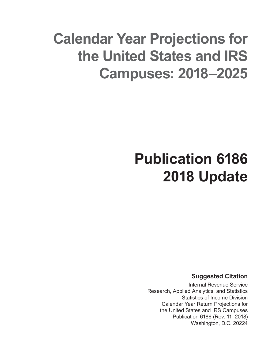# **Calendar Year Projections for the United States and IRS Campuses: 2018–2025**

# **Publication 6186 2018 Update**

**Suggested Citation**

Internal Revenue Service Research, Applied Analytics, and Statistics Statistics of Income Division Calendar Year Return Projections for the United States and IRS Campuses Publication 6186 (Rev. 11–2018) Washington, D.C. 20224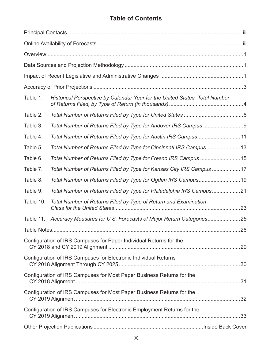# **Table of Contents**

| Table 1.  | Historical Perspective by Calendar Year for the United States: Total Number |  |
|-----------|-----------------------------------------------------------------------------|--|
| Table 2.  |                                                                             |  |
| Table 3.  |                                                                             |  |
| Table 4.  | Total Number of Returns Filed by Type for Austin IRS Campus11               |  |
| Table 5.  | Total Number of Returns Filed by Type for Cincinnati IRS Campus13           |  |
| Table 6.  | Total Number of Returns Filed by Type for Fresno IRS Campus 15              |  |
| Table 7.  | Total Number of Returns Filed by Type for Kansas City IRS Campus 17         |  |
| Table 8.  | Total Number of Returns Filed by Type for Ogden IRS Campus19                |  |
| Table 9.  | Total Number of Returns Filed by Type for Philadelphia IRS Campus21         |  |
| Table 10. | Total Number of Returns Filed by Type of Return and Examination             |  |
| Table 11. |                                                                             |  |
|           |                                                                             |  |
|           | Configuration of IRS Campuses for Paper Individual Returns for the          |  |
|           | Configuration of IRS Campuses for Electronic Individual Returns-            |  |
|           | Configuration of IRS Campuses for Most Paper Business Returns for the       |  |
|           | Configuration of IRS Campuses for Most Paper Business Returns for the       |  |
|           | Configuration of IRS Campuses for Electronic Employment Returns for the     |  |
|           |                                                                             |  |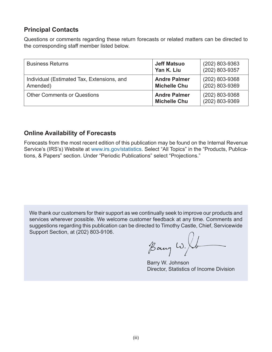# **Principal Contacts**

Questions or comments regarding these return forecasts or related matters can be directed to the corresponding staff member listed below.

| <b>Business Returns</b>                                | <b>Jeff Matsuo</b><br>Yan K. Liu           | $(202)$ 803-9363<br>(202) 803-9357 |
|--------------------------------------------------------|--------------------------------------------|------------------------------------|
| Individual (Estimated Tax, Extensions, and<br>Amended) | <b>Andre Palmer</b><br><b>Michelle Chu</b> | (202) 803-9368<br>(202) 803-9369   |
| <b>Other Comments or Questions</b>                     | <b>Andre Palmer</b><br><b>Michelle Chu</b> | (202) 803-9368<br>(202) 803-9369   |

### **Online Availability of Forecasts**

Forecasts from the most recent edition of this publication may be found on the Internal Revenue Service's (IRS's) Website at www.irs.gov/statistics. Select "All Topics" in the "Products, Publications, & Papers" section. Under "Periodic Publications" select "Projections."

We thank our customers for their support as we continually seek to improve our products and services wherever possible. We welcome customer feedback at any time. Comments and suggestions regarding this publication can be directed to Timothy Castle, Chief, Servicewide Support Section, at (202) 803-9106.

Bany W. Ib

Barry W. Johnson Director, Statistics of Income Division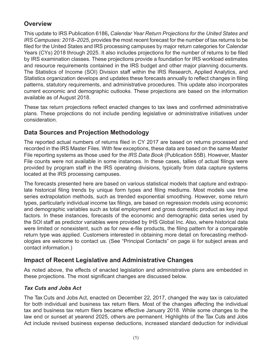# **Overview**

This update to IRS Publication 6186**,** *Calendar Year Return Projections for the United States and IRS Campuses: 2018–2025*, provides the most recent forecast for the number of tax returns to be filed for the United States and IRS processing campuses by major return categories for Calendar Years (CYs) 2018 through 2025. It also includes projections for the number of returns to be filed by IRS examination classes. These projections provide a foundation for IRS workload estimates and resource requirements contained in the IRS budget and other major planning documents. The Statistics of Income (SOI) Division staff within the IRS Research, Applied Analytics, and Statistics organization develops and updates these forecasts annually to reflect changes in filing patterns, statutory requirements, and administrative procedures. This update also incorporates current economic and demographic outlooks. These projections are based on the information available as of August 2018.

These tax return projections reflect enacted changes to tax laws and confirmed administrative plans. These projections do not include pending legislative or administrative initiatives under consideration.

# **Data Sources and Projection Methodology**

The reported actual numbers of returns filed in CY 2017 are based on returns processed and recorded in the IRS Master Files. With few exceptions, these data are based on the same Master File reporting systems as those used for the *IRS Data Book* (Publication 55B). However, Master File counts were not available in some instances. In these cases, tallies of actual filings were provided by program staff in the IRS operating divisions, typically from data capture systems located at the IRS processing campuses.

The forecasts presented here are based on various statistical models that capture and extrapolate historical filing trends by unique form types and filing mediums. Most models use time series extrapolation methods, such as trended exponential smoothing. However, some return types, particularly individual income tax filings, are based on regression models using economic and demographic variables such as total employment and gross domestic product as key input factors. In these instances, forecasts of the economic and demographic data series used by the SOI staff as predictor variables were provided by IHS Global Inc. Also, where historical data were limited or nonexistent, such as for new e-file products, the filing pattern for a comparable return type was applied. Customers interested in obtaining more detail on forecasting methodologies are welcome to contact us. (See "Principal Contacts" on page iii for subject areas and contact information.)

# **Impact of Recent Legislative and Administrative Changes**

As noted above, the effects of enacted legislation and administrative plans are embedded in these projections. The most significant changes are discussed below.

### *Tax Cuts and Jobs Act*

The Tax Cuts and Jobs Act, enacted on December 22, 2017, changed the way tax is calculated for both individual and business tax return filers. Most of the changes affecting the individual tax and business tax return filers became effective January 2018. While some changes to the law end or sunset at yearend 2025, others are permanent. Highlights of the Tax Cuts and Jobs Act include revised business expense deductions, increased standard deduction for individual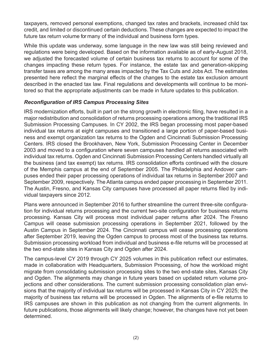taxpayers, removed personal exemptions, changed tax rates and brackets, increased child tax credit, and limited or discontinued certain deductions. These changes are expected to impact the future tax return volume for many of the individual and business form types.

While this update was underway, some language in the new law was still being reviewed and regulations were being developed. Based on the information available as of early-August 2018, we adjusted the forecasted volume of certain business tax returns to account for some of the changes impacting these return types. For instance, the estate tax and generation-skipping transfer taxes are among the many areas impacted by the Tax Cuts and Jobs Act. The estimates presented here reflect the marginal effects of the changes to the estate tax exclusion amount described in the enacted tax law. Final regulations and developments will continue to be monitored so that the appropriate adjustments can be made in future updates to this publication.

#### *Reconfiguration of IRS Campus Processing Sites*

IRS modernization efforts, built in part on the strong growth in electronic filing, have resulted in a major redistribution and consolidation of returns processing operations among the traditional IRS Submission Processing Campuses. In CY 2002, the IRS began processing most paper-based individual tax returns at eight campuses and transitioned a large portion of paper-based business and exempt organization tax returns to the Ogden and Cincinnati Submission Processing Centers. IRS closed the Brookhaven, New York, Submission Processing Center in December 2003 and moved to a configuration where seven campuses handled all returns associated with individual tax returns. Ogden and Cincinnati Submission Processing Centers handled virtually all the business (and tax exempt) tax returns. IRS consolidation efforts continued with the closure of the Memphis campus at the end of September 2005. The Philadelphia and Andover campuses ended their paper processing operations of individual tax returns in September 2007 and September 2009, respectively. The Atlanta campus ended paper processing in September 2011. The Austin, Fresno, and Kansas City campuses have processed all paper returns filed by individual taxpayers since 2012.

Plans were announced in September 2016 to further streamline the current three-site configuration for individual returns processing and the current two-site configuration for business returns processing. Kansas City will process most individual paper returns after 2024. The Fresno Campus will cease submission processing operations in September 2021, followed by the Austin Campus in September 2024. The Cincinnati campus will cease processing operations after September 2019, leaving the Ogden campus to process most of the business tax returns. Submission processing workload from individual and business e-file returns will be processed at the two end-state sites in Kansas City and Ogden after 2024.

The campus-level CY 2019 through CY 2025 volumes in this publication reflect our estimates, made in collaboration with Headquarters, Submission Processing, of how the workload might migrate from consolidating submission processing sites to the two end-state sites, Kansas City and Ogden. The alignments may change in future years based on updated return volume projections and other considerations. The current submission processing consolidation plan envisions that the majority of individual tax returns will be processed in Kansas City in CY 2025; the majority of business tax returns will be processed in Ogden. The alignments of e-file returns to IRS campuses are shown in this publication as not changing from the current alignments. In future publications, those alignments will likely change; however, the changes have not yet been determined.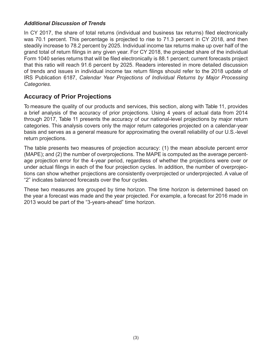#### *Additional Discussion of Trends*

In CY 2017, the share of total returns (individual and business tax returns) filed electronically was 70.1 percent. This percentage is projected to rise to 71.3 percent in CY 2018, and then steadily increase to 78.2 percent by 2025. Individual income tax returns make up over half of the grand total of return filings in any given year. For CY 2018, the projected share of the individual Form 1040 series returns that will be filed electronically is 88.1 percent; current forecasts project that this ratio will reach 91.6 percent by 2025. Readers interested in more detailed discussion of trends and issues in individual income tax return filings should refer to the 2018 update of IRS Publication 6187, *Calendar Year Projections of Individual Returns by Major Processing Categories*.

# **Accuracy of Prior Projections**

To measure the quality of our products and services, this section, along with Table 11, provides a brief analysis of the accuracy of prior projections. Using 4 years of actual data from 2014 through 2017, Table 11 presents the accuracy of our national-level projections by major return categories. This analysis covers only the major return categories projected on a calendar-year basis and serves as a general measure for approximating the overall reliability of our U.S.-level return projections.

The table presents two measures of projection accuracy: (1) the mean absolute percent error (MAPE); and (2) the number of overprojections. The MAPE is computed as the average percentage projection error for the 4-year period, regardless of whether the projections were over or under actual filings in each of the four projection cycles. In addition, the number of overprojections can show whether projections are consistently overprojected or underprojected. A value of "2" indicates balanced forecasts over the four cycles.

These two measures are grouped by time horizon. The time horizon is determined based on the year a forecast was made and the year projected. For example, a forecast for 2016 made in 2013 would be part of the "3-years-ahead" time horizon.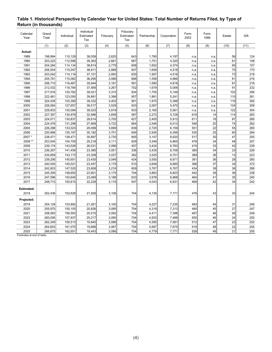| Calendar<br>Year | Grand<br>Total | Individual | Individual<br>Estimated<br>Tax | Fiduciary | Fiduciary<br>Estimated<br>Tax | Partnership | Corporation | Form<br>2553 | Form<br>1066    | Estate          | Gift |
|------------------|----------------|------------|--------------------------------|-----------|-------------------------------|-------------|-------------|--------------|-----------------|-----------------|------|
|                  | (1)            | (2)        | (3)                            | (4)       | (5)                           | (6)         | (7)         | (8)          | (9)             | (10)            | (11) |
| Actual:          |                |            |                                |           |                               |             |             |              |                 |                 |      |
| 1989             | 198,994        | 110,129    | 38,059                         | 2,625     | 643                           | 1,780       | 4,197       | n.a          | n.a             | 56              | 124  |
| 1990             | 203,223        | 112,596    | 39,363                         | 2,681     | 667                           | 1,751       | 4,320       | n.a.         | n.a.            | 61              | 148  |
| 1991             | 204,264        | 114,134    | 38,814                         | 2,779     | 608                           | 1,652       | 4,374       | n.a.         | n.a.            | 65              | 157  |
| 1992             | 206,004        | 115,047    | 38,911                         | 2,888     | 647                           | 1,609       | 4,518       | n.a.         | n.a             | 70              | 170  |
| 1993             | 203,042        | 114,116    | 37,101                         | 2,950     | 630                           | 1,567       | 4,516       | n.a.         | n.a.            | 73              | 218  |
| 1994             | 205,781        | 115,062    | 36,295                         | 3,088     | 668                           | 1,558       | 4,666       | n.a.         | n.a.            | 81              | 216  |
| 1995             | 206,710        | 116,467    | 35,944                         | 3,191     | 591                           | 1,580       | 4,818       | n.a.         | n.a             | 81              | 216  |
| 1996             | 212,032        | 118,784    | 37,569                         | 3,267     | 702                           | 1,679       | 5,006       | n.a.         | n.a.            | 91              | 232  |
| 1997             | 217,916        | 120,782    | 39,021                         | 3,315     | 834                           | 1,755       | 5,149       | n.a.         | n.a             | 102             | 256  |
| 1998             | 222,481        | 123,050    | 39,881                         | 3,398     | 957                           | 1,861       | 5,241       | n.a.         | n.a             | 110             | 261  |
| 1999             | 224,435        | 125,390    | 39,332                         | 3,403     | 901                           | 1,975       | 5,398       | n.a.         | n.a.            | 116             | 292  |
| 2000             | 226,564        | 127,657    | 39,517                         | 3,529     | 933                           | 2,067       | 5,470       | n.a.         | n.a             | 124             | 309  |
| 2001             | 229,933        | 130,094    | 39,023                         | 3,919     | 933                           | 2,165       | 5,561       | n.a.         | n.a.            | 122             | 304  |
| 2002             | 227,397        | 130,978    | 32,996                         | 3,658     | 587                           | 2,272       | 5,728       | 616          | 14              | 114             | 283  |
| 2003             | 224,071        | 130,837    | 28,614                         | 3,705     | 627                           | 2,405       | 5,913       | 611          | 16              | 87              | 285  |
| 2004             | 224,478        | 131,298    | 27,669                         | 3,722     | 664                           | 2,546       | 6,013       | 546          | 20              | 74              | 262  |
| 2005             | 226,298        | 133,023    | 29,099                         | 3,699     | 839                           | 2,720       | 6,159       | 551          | $\overline{22}$ | 55              | 265  |
| 2006             | 230,896        | 135,197    | 30,182                         | 3,751     | 649                           | 2,935       | 6,356       | 530          | 25              | 60              | 264  |
| 2007*            | 238,471        | 138,471    | 30,897                         | 3,730     | 805                           | 3,147       | 6,620       | 517          | 30              | 47              | 255  |
| 2008 **          | 253,545        | 154,709    | 29,218                         | 3,111     | 929                           | 3,349       | 6,865       | 476          | 34              | 48              | 257  |
| 2009             | 239,174        | 143,526    | 26,031                         | 3,096     | 457                           | 3,424       | 6,783       | 410          | 33              | 42              | 239  |
| 2010             | 236,267        | 141,459    | 23,380                         | 3,051     | 336                           | 3,435       | 6,706       | 385          | $\overline{34}$ | 23              | 226  |
| 2011             | 234,859        | 143,173    | 23,309                         | 3,037     | 382                           | 3,525       | 6,701       | 389          | 36              | 13              | 223  |
| 2012             | 239,206        | 145,601    | 23,430                         | 3,048     | 424                           | 3,550       | 6,671       | 391          | 36              | 28              | 260  |
| 2013             | 240,545        | 145,021    | 23,457                         | 3,179     | 510                           | 3,649       | 6,685       | 396          | $\overline{37}$ | $\overline{34}$ | 372  |
| 2014             | 242,603        | 147,520    | 23,608                         | 3,216     | 609                           | 3,767       | 6,767       | 434          | 38              | 36              | 268  |
| 2015             | 245,309        | 148,650    | 23,901                         | 3,175     | 744                           | 3,863       | 6,823       | 442          | 39              | 36              | 238  |
| 2016             | 247,596        | 150,640    | 23,069                         | 3,188     | 633                           | 3,978       | 6,968       | 464          | 41              | 35              | 245  |
| 2017             | 248,715        | 150,815    | 22,229                         | 3,116     | 547                           | 4,043       | 6,931       | 468          | 42              | 34              | 242  |
|                  |                |            |                                |           |                               |             |             |              |                 |                 |      |
| Estimated:       |                |            |                                |           |                               |             |             |              |                 |                 |      |
| 2018             | 252,436        | 152,628    | 21,928                         | 3,106     | 704                           | 4,135       | 7,171       | 476          | 43              | 33              | 244  |
| Projected:       |                |            |                                |           |                               |             |             |              |                 |                 |      |
| 2019             | 254,129        | 153,892    | 21,261                         | 3,100     | 704                           | 4,227       | 7,235       | 483          | 44              | 31              | 246  |
| 2020             | 255,975        | 155,155    | 20,826                         | 3,095     | 704                           | 4,319       | 7,313       | 490          | 45              | 27              | 247  |
| 2021             | 258,083        | 156,593    | 20,515                         | 3,092     | 704                           | 4,411       | 7,398       | 497          | 46              | 26              | 249  |
| 2022             | 260,095        | 157,937    | 20,217                         | 3,090     | 704                           | 4,503       | 7,488       | 505          | 46              | 24              | 250  |
| 2023             | 262,349        | 159,513    | 19,945                         | 3,088     | 704                           | 4,595       | 7,581       | 512          | 47              | 23              | 252  |
| 2024             | 264,603        | 161,075    | 19,688                         | 3,087     | 704                           | 4,687       | 7,675       | 519          | 48              | 22              | 254  |
| 2025             | 266,875        | 162,651    | 19,443                         | 3,086     | 704                           | 4,779       | 7,771       | 526          | 49              | 21              | 255  |

#### **Table 1. Historical Perspective by Calendar Year for United States: Total Number of Returns Filed, by Type of Return (in thousands)**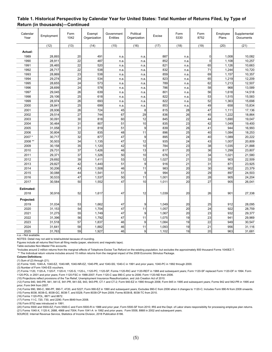| Calendar<br>Year | Employment | Form<br>1042 | Exempt<br>Organization | Government<br><b>Entities</b> | Political<br>Organization | Excise | Form<br>5330 | Form<br>8752    | Employee<br>Plans | Supplemental<br>Documents |
|------------------|------------|--------------|------------------------|-------------------------------|---------------------------|--------|--------------|-----------------|-------------------|---------------------------|
|                  | (12)       | (13)         | (14)                   | (15)                          | (16)                      | (17)   | (18)         | (19)            | (20)              | (21)                      |
| Actual:          |            |              |                        |                               |                           |        |              |                 |                   |                           |
| 1989             | 28,893     | 20           | 491                    | n.a                           | n.a                       | 887    | n.a          | 0               | 1,008             | 10,082                    |
| 1990             | 28,911     | 22           | 487                    | n.a                           | n.a.                      | 852    | n.a          | $\mathbf 0$     | 1,108             | 10,257                    |
| 1991             | 28,465     | 22           | 520                    | n.a                           | n.a.                      | 821    | n.a          | 65              | 1,126             | 10,663                    |
| 1992             | 28,717     | 22           | 538                    | n.a.                          | n.a.                      | 832    | n.a          | 71              | 1,244             | 10,720                    |
| 1993             | 28,869     | 23           | 538                    | n.a.                          | n.a.                      | 859    | n.a          | 69              | 1,157             | 10,357                    |
| 1994             | 29,274     | 24           | 534                    | n.a.                          | n.a.                      | 823    | n.a          | 65              | 1,219             | 12,209                    |
| 1995             | 28,655     | 24           | 573                    | n.a.                          | n.a.                      | 789    | n.a          | 62              | 1,213             | 12,507                    |
| 1996             | 28,699     | 24           | 578                    | n.a.                          | n.a.                      | 786    | n.a          | 58              | 968               | 13,589                    |
| 1997             | 29,045     | 26           | 639                    | n.a                           | n.a.                      | 801    | n.a          | 56              | 1,618             | 14,518                    |
| 1998             | 29,106     | 25           | 618                    | n.a.                          | n.a.                      | 822    | n.a          | 53              | 1,515             | 15,583                    |
| 1999             | 28,974     | 26           | 693                    | n.a.                          | n.a.                      | 822    | n.a          | 52              | 1,363             | 15,698                    |
| 2000             | 28,841     | 25           | 699                    | n.a                           | n.a.                      | 853    | n.a          | 49              | 658               | 15,834                    |
| 2001             | 28,936     | 26           | 724                    | 45                            | 8                         | 815    | 28           | 47              | 1,111             | 17,136                    |
| 2002             | 29,514     | 27           | 744                    | 67                            | 29                        | 836    | 26           | 45              | 1,222             | 18,864                    |
| 2003             | 30,091     | 30           | 818                    | 60                            | 12                        | 845    | 22           | 44              | 1,690             | 19,047                    |
| 2004             | 30,464     | 31           | 807                    | 51                            | 10                        | 835    | 23           | 42              | 1,049             | 19,400                    |
| 2005             | 31,058     | 31           | 819                    | 51                            | 9                         | 839    | 26           | 41              | 944               | 16,993                    |
| 2006             | 30,804     | 32           | 835                    | 48                            | 11                        | 896    | 25           | 40              | 1,084             | 18,253                    |
| 2007*            | 30,717     | 32           | 877                    | 47                            | $\mathsf{g}$              | 895    | 24           | 40              | 1,089             | 20,222                    |
| 2008 **          | 30,503     | 34           | 1,135                  | 47                            | 12                        | 935    | 24           | 43              | 1,007             | 20,809                    |
| 2009             | 30,158     | 35           | 1,120                  | 42                            | 10                        | 784    | 23           | 38              | 1,035             | 21,888                    |
| 2010             | 29,731     | 37           | 1,426                  | 46                            | 13                        | 817    | 20           | 36              | 1,299             | 23,807                    |
| 2011             | 29,371     | 37           | 1,326                  | 50                            | 10                        | 676    | 21           | 34              | 1,021             | 21,580                    |
| 2012             | 29,692     | 39           | 1,411                  | 53                            | 12                        | 1,027  | 21           | 33              | 903               | 22,509                    |
| 2013             | 29,827     | 42           | 1,440                  | 51                            | $\overline{9}$            | 916    | 21           | 31              | 871               | 23,925                    |
| 2014             | 30,206     | 43           | 1,508                  | 46                            | 11                        | 983    | 20           | 30              | 902               | 23,379                    |
| 2015             | 30,088     | 44           | 1,541                  | 51                            | 9                         | 994    | 20           | 29              | 897               | 24,503                    |
| 2016             | 30,533     | 47           | 1,537                  | 50                            | 11                        | 1,001  | 20           | 28              | 905               | 24,204                    |
| 2017             | 30,584     | 50           | 1,552                  | 47                            | 10 <sup>1</sup>           | 1,011  | 20           | 27              | 905               | 26,041                    |
| Estimated:       |            |              |                        |                               |                           |        |              |                 |                   |                           |
| 2018             | 30,916     | 52           | 1,617                  | 47                            | 12                        | 1,039  | 20           | 26              | 901               | 27,338                    |
|                  |            |              |                        |                               |                           |        |              |                 |                   |                           |
| Projected:       |            |              |                        |                               |                           |        |              |                 |                   |                           |
| 2019             | 31,034     | 53           | 1,662                  | 47                            | 9                         | 1,049  | 20           | 25              | 912               | 28,095                    |
| 2020             | 31,153     | 54           | 1,704                  | 47                            | 11                        | 1,057  | 20           | 24              | 922               | 28,759                    |
| 2021             | 31,275     | 55           | 1,749                  | 47                            | 9                         | 1,067  | 20           | 23              | 932               | 29,377                    |
| 2022             | 31,396     | 56           | 1,792                  | 47                            | 11                        | 1,075  | 19           | 23              | 941               | 29,969                    |
| 2023             | 31,518     | 57           | 1,837                  | 46                            | 9                         | 1,084  | 19           | $\overline{22}$ | 949               | 30,547                    |
| 2024             | 31,641     | 58           | 1,882                  | 46                            | 11                        | 1,093  | 19           | 21              | 956               | 31,116                    |
| 2025             | 31,763     | 59           | 1,927                  | 46                            | 9                         | 1,102  | 19           | 20 <sup>1</sup> | 963               | 31,681                    |

#### **Table 1. Historical Perspective by Calendar Year for United States: Total Number of Returns Filed, by Type of Return (in thousands)—Continued**

n.a.—Not available.

NOTES: Detail may not add to total/subtotal because of rounding.

Figures include all returns filed from all filing media (paper, electronic and magnetic tape).

Table excludes Non-Master File accounts.

\*Includes around 2 million returns from the marginal effects of Telephone Excise Tax Refund on the existing population, but excludes the approximately 800 thousand Forms 1040EZ-T.

\*\* The Individual return volume includes around 15 million returns from the marginal impact of the 2008 Economic Stimulus Package.

**Column Definitions:**

(1) Sum of (2) through (21).

(2) Forms 1040, 1040-A, 1040-EZ, 1040-NR, 1040-NR-EZ, 1040-PR, and 1040-SS; 1040-C in 1991 and prior years; 1040-PC in 1992 through 2000.

(3) Number of Form 1040-ES vouchers.

(7) Forms 1120, 1120-A, 1120-F, 1120-H, 1120-S, 1120-L, 1120-PC, 1120-SF; Forms 1120-RIC and 1120-REIT in 1988 and subsequent years; Form 1120-SF replaced Form 1120-DF in 1994. Form 1120-POL in 2001 and prior years; Form 1120-FSC in 1988-2007; Form 1120-C was 990-C prior to 2006; Form 1120-ND from 2006.

(10) Projections reflect provisions of the Tax Relief, Unemployment Insurance Reauthorization, and Job Creation Act of 2010.

(12) Forms 940, 940-PR, 941, 941-E, 941-PR, 941-SS, 943, 943-PR, CT-1 and CT-2; Form 940-EZ in 1990 through 2006; Form 945 in 1995 and subsequent years; Forms 942 and 942-PR in 1995 and prior; Form 944 from 2007.

(14) Forms 990, 990-C, 990-PF, 990-T, 4720, and 5227; Form 990-EZ in 1990 and subsequent years; Excludes 990-C from 2006 when it changes to 1120-C; Includes Form 990-N from 2008 onwards. (15) Forms 8038, 8038-G, 8038-GC, 8038-T, and 8328; Form 8038-CP from 2009; Forms 8038-B, 8038-TC from 2010.

(16) Forms 1120-POL, 8871 and 8872.

(17) Forms 11-C, 720, 730, and 2290; Form 8849 from 2008.

(19) Form 8752 was introduced in 1991.

(20) Forms 5500 and 5500-EZ; Form 5500-C and Form 5500-R in 1988 and prior year; Form 5500-SF from 2010; IRS and the Dept. of Labor share responsibility for processing employee plan returns. (21) Forms 1040-X, 1120-X, 2688, 4868 and 7004; Form 1041-A in 1992 and prior years. Form 5558, 8868 in 2002 and subsequent years.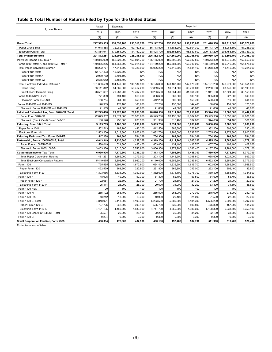#### **Table 2. Total Number of Returns Filed by Type for the United States**

| Type of Return                                | Actual      | Estimated   | Projected   |             |             |             |               |             |             |  |
|-----------------------------------------------|-------------|-------------|-------------|-------------|-------------|-------------|---------------|-------------|-------------|--|
|                                               | 2017        | 2018        | 2019        | 2020        | 2021        | 2022        | 2023          | 2024        | 2025        |  |
|                                               | (1)         | (2)         | (3)         | (4)         | (5)         | (6)         | (7)           | (8)         | (9)         |  |
| <b>Grand Total</b>                            | 247,913,535 | 251,633,100 | 253,310,700 | 255,142,200 | 257,236,800 | 259,235,000 | 261,476,900   | 263,719,000 | 265,979,600 |  |
| Paper Grand Total                             | 74,048,588  | 72,082,000  | 69,160,500  | 66,713,500  | 64,585,200  | 62,604,300  | 60,743,700    | 58,965,500  | 57,246,000  |  |
| <b>Electronic Grand Total</b>                 | 173,864,947 | 179,551,200 | 184,150,200 | 188,428,700 | 192,651,600 | 196,630,600 | 200,733,200   | 204,753,500 | 208,733,700 |  |
| <b>Total Primary Returns</b>                  | 221,872,281 | 224,295,200 | 225,215,800 | 226,382,800 | 227,860,000 | 229,266,000 | 230,930,100   | 232,602,700 | 234,298,300 |  |
| Individual Income Tax, Total *                | 150,815,030 | 152,628,000 | 153,891,700 | 155,155,000 | 156,592,900 | 157,937,500 | 159,513,300   | 161,075,200 | 162,650,600 |  |
| Forms 1040, 1040-A, and 1040-EZ, Total *      | 149,866,286 | 151,663,800 | 152,911,800 | 154,159,200 | 155,581,300 | 156,910,000 | 158,469,900   | 160,016,000 | 161,575,500 |  |
| Total Paper Individual Returns *              | 18,202,777  | 17,514,800  | 16,726,900  | 16,036,200  | 15,412,600  | 14,831,400  | 14,278,800    | 13,745,000  | 13,224,000  |  |
| Paper Form 1040                               | 12,707,403  | 12,329,300  | N/A         | N/A         | N/A         | N/A         | N/A           | N/A         | N/A         |  |
| Paper Form 1040-A                             | 2,939,762   | 2,701,100   | N/A         | N/A         | N/A         | N/A         | N/A           | N/A         | N/A         |  |
| Paper Form 1040-EZ                            | 2,555,612   | 2,484,400   | N/A         | N/A         | N/A         | N/A         | N/A           | N/A         | N/A         |  |
| Total Electronic Individual Returns *         | 131,663,509 | 134,149,000 | 136,184,900 | 138,123,000 | 140,168,700 | 142,078,700 | 144, 191, 200 | 146,271,000 | 148,351,600 |  |
| Online Filing                                 | 53,111,842  | 54,865,800  | 56,417,200  | 57,859,500  | 59,314,500  | 60,714,000  | 62,250,100    | 63,746,800  | 65,193,000  |  |
| <b>Practitioner Electronic Filing</b>         | 78,551,667  | 79,283,200  | 79,767,700  | 80,263,500  | 80,854,200  | 81,364,700  | 81,941,100    | 82,524,200  | 83,158,600  |  |
| Forms 1040-NR/NR-EZ/C                         | 771,809     | 794,100     | 816,300     | 838,600     | 860,800     | 883,100     | 905,300       | 927,600     | 949,800     |  |
| Electronic Form 1040-NR                       | 158,754     | 261,600     | 359,900     | 442,200     | 505,800     | 553,700     | 590,400       | 619,800     | 644,900     |  |
| Forms 1040-PR and 1040-SS                     | 176,935     | 170,100     | 163,600     | 157,200     | 150,800     | 144,400     | 138,000       | 131,600     | 125,300     |  |
| Electronic Forms 1040-PR and 1040-SS          | 41,589      | 41,600      | 41,600      | 41,600      | 41,600      | 41,600      | 41,600        | 41,600      | 41,600      |  |
| Individual Estimated Tax, Form 1040-ES, Total | 22,229,490  | 21,928,100  | 21,261,500  | 20,826,500  | 20,514,700  | 20,216,800  | 19,944,500    | 19,688,000  | 19,442,800  |  |
| Paper Form 1040-ES                            | 22,043,362  | 21,671,800  | 20,980,600  | 20,525,200  | 20,196,300  | 19,884,000  | 19,599,900    | 19,333,900  | 19,081,300  |  |
| Electronic (Credit Card) Form 1040-ES         | 186,128     | 256,300     | 280,900     | 301,300     | 318,400     | 332,800     | 344,600       | 354,100     | 361,500     |  |
| Fiduciary, Form 1041, Total                   | 3,115,763   | 3,106,500   | 3,099,800   | 3,095,200   | 3,091,900   | 3,089,600   | 3,088,000     | 3,086,800   | 3,086,000   |  |
| Paper Form 1041                               | 562,513     | 487,700     | 446,300     | 412,500     | 383,300     | 356,900     | 332,200       | 308,500     | 285,400     |  |
| Electronic Form 1041                          | 2,553,250   | 2,618,800   | 2,653,600   | 2,682,700   | 2,708,600   | 2,732,700   | 2,755,800     | 2,778,300   | 2,800,700   |  |
| Fiduciary Estimated Tax, Form 1041-ES         | 547,138     | 704,300     | 704,300     | 704,300     | 704,300     | 704,300     | 704,300       | 704,300     | 704,300     |  |
| Partnership, Forms 1065/1065-B, Total         | 4,043,349   | 4,135,300   | 4,227,300   | 4,319,200   | 4,411,200   | 4,503,200   | 4,595,100     | 4,687,100   | 4,779,100   |  |
| Paper Forms 1065/1065-B                       | 580,019     | 524,800     | 483,400     | 453,000     | 431,400     | 416,700     | 407,700       | 403,100     | 402,000     |  |
| Electronic Forms 1065/1065-B                  | 3,463,330   | 3,610,500   | 3,743,900   | 3,866,300   | 3,979,900   | 4,086,400   | 4,187,500     | 4,284,000   | 4,377,100   |  |
| <b>Corporation Income Tax, Total</b>          | 6,930,906   | 7,170,600   | 7,235,200   | 7,313,100   | 7,398,500   | 7,488,300   | 7,580,900     | 7,675,300   | 7,770,700   |  |
| <b>Total Paper Corporation Returns</b>        | 1,481,231   | 1,362,000   | 1,273,000   | 1,203,100   | 1,146,200   | 1,098,800   | 1,058,600     | 1,024,000   | 993,700     |  |
| <b>Total Electronic Corporation Returns</b>   | 5,449,675   | 5,808,700   | 5,962,200   | 6,110,000   | 6,252,300   | 6,389,500   | 6,522,300     | 6,651,300   | 6,777,000   |  |
| Form 1120                                     | 1,725,595   | 1,694,700   | 1,672,900   | 1,654,400   | 1,636,900   | 1,619,700   | 1,602,600     | 1,585,500   | 1,568,500   |  |
| Paper Form 1120                               | 422,529     | 363,500     | 322,900     | 291,800     | 265,800     | 243,000     | 222,100       | 202,400     | 183,600     |  |
| Electronic Form 1120                          | 1,303,066   | 1,331,200   | 1,350,000   | 1,362,600   | 1,371,100   | 1,376,700   | 1,380,500     | 1,383,100   | 1,384,800   |  |
| Form 1120-F                                   | 48,095      | 49,200      | 50,300      | 51,300      | 52,400      | 53,500      | 54,600        | 55,700      | 56,800      |  |
| Paper Form 1120-F                             | 22,681      | 22,300      | 22,000      | 21,700      | 21,500      | 21,300      | 21,200        | 21,000      | 20,900      |  |
| Electronic Form 1120-F                        | 25,414      | 26,900      | 28,300      | 29,600      | 31,000      | 32,200      | 33,400        | 34,600      | 35,800      |  |
| Form 1120-FSC                                 | 90          | 100         | 100         | 100         | 100         | 100         | 100           | 100         | 100         |  |
| Form 1120-H                                   | 255,102     | 258,400     | 261,900     | 265,500     | 268,900     | 272,300     | 275,600       | 278,900     | 282,100     |  |
| Form 1120-RIC                                 | 18,212      | 18,800      | 19,300      | 19,900      | 20,400      | 21,000      | 21,500        | 22,000      | 22,600      |  |
| Form 1120-S, Total                            | 4,848,921   | 5,113,300   | 5,193,300   | 5,283,500   | 5,380,300   | 5,481,300   | 5,585,200     | 5,690,800   | 5,797,600   |  |
| Paper Form 1120-S                             | 727,726     | 662,600     | 609,400     | 565,700     | 530,000     | 500,800     | 476,800       | 457,200     | 441,200     |  |
| Electronic Form 1120-S                        | 4,121,195   | 4,450,600   | 4,583,900   | 4,717,700   | 4,850,300   | 4,980,600   | 5,108,300     | 5,233,500   | 5,356,400   |  |
| Form 1120-L/ND/PC/REIT/SF, Total              | 25,597      | 26,900      | 28,100      | 29,200      | 30,200      | 31,200      | 32,100        | 33,000      | 33,900      |  |
| Form 1120-C                                   | 9,294       | 9,300       | 9,300       | 9,300       | 9,300       | 9,300       | 9,300         | 9,300       | 9,300       |  |
| Small Corporation Election, Form 2553         | 468,384     | 475,600     | 482,900     | 490,100     | 497,400     | 504,700     | 511,900       | 519,200     | 526,400     |  |
|                                               |             |             |             |             |             |             |               |             |             |  |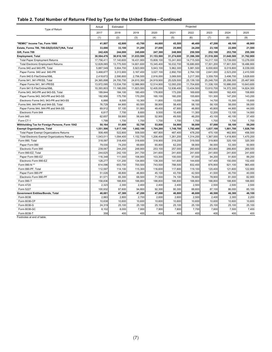#### **Table 2. Total Number of Returns Filed by Type for the United States—Continued**

| Type of Return                                 | Actual     | Estimated  | Projected  |            |            |            |            |            |            |
|------------------------------------------------|------------|------------|------------|------------|------------|------------|------------|------------|------------|
|                                                | 2017       | 2018       | 2019       | 2020       | 2021       | 2022       | 2023       | 2024       | 2025       |
|                                                | (1)        | (2)        | (3)        | (4)        | (5)        | (6)        | (7)        | (8)        | (9)        |
| "REMIC" Income Tax, Form 1066                  | 41,807     | 42,800     | 43,700     | 44,600     | 45,500     | 46,400     | 47,200     | 48,100     | 48,900     |
| Estate, Forms 706, 706-GS(D)/GS(T)/NA, Total   | 33,690     | 33,100     | 31.200     | 27,000     | 25,900     | 24,200     | 23,100     | 22,000     | 21,500     |
| Gift, Form 709                                 | 242,426    | 244,000    | 245,600    | 247,300    | 248,900    | 250,500    | 252,100    | 253,700    | 255,300    |
| Employment, Total                              | 30,584,476 | 30,916,100 | 31,033,500 | 31,153,500 | 31,274,600 | 31,396,300 | 31,518,300 | 31,640,500 | 31,762,900 |
| <b>Total Paper Employment Returns</b>          | 17,756,411 | 17,140,600 | 16,431,900 | 15,808,100 | 15,241,900 | 14,715,500 | 14,217,100 | 13,739,000 | 13,276,000 |
| <b>Total Electronic Employment Returns</b>     | 12,828,065 | 13,775,500 | 14,601,600 | 15,345,400 | 16,032,700 | 16,680,800 | 17,301,200 | 17,901,500 | 18,486,900 |
| Forms 940 and 940-PR, Total                    | 5,887,549  | 5,904,700  | 5,923,900  | 5,943,100  | 5,962,300  | 5,981,500  | 6,000,600  | 6,019,800  | 6,039,000  |
| Paper Forms 940 and 940-PR                     | 3,468,877  | 3,313,900  | 3,167,400  | 3,027,100  | 2,892,700  | 2,764,100  | 2,641,000  | 2,523,200  | 2,410,500  |
| Form 940 E-File/Online/XML                     | 2,418,672  | 2,590,800  | 2,756,500  | 2,916,000  | 3,069,500  | 3,217,300  | 3,359,700  | 3,496,700  | 3,628,600  |
| Forms 941, 941-PR/SS, Total                    | 24,365,898 | 24,700,700 | 24,810,300 | 24,919,900 | 25,029,500 | 25,139,100 | 25,248,700 | 25,358,300 | 25,467,900 |
| Paper Forms 941, 941-PR/SS                     | 13,972,095 | 13,534,700 | 12,986,900 | 12,514,900 | 12,093,200 | 11,704,600 | 11,338,100 | 10,986,000 | 10,643,600 |
| Form 941 E-File/Online/XML                     | 10,393,803 | 11,166,000 | 11,823,500 | 12,405,000 | 12,936,400 | 13,434,500 | 13,910,700 | 14,372,300 | 14,824,300 |
| Forms 943, 943-PR and 943-SS, Total            | 189,844    | 184,100    | 180,400    | 176,800    | 173,200    | 169,600    | 166,000    | 162,400    | 158,800    |
| Paper Forms 943, 943-PR and 943-SS             | 182,956    | 175,700    | 170,200    | 165,100    | 160,200    | 155,600    | 151,300    | 147,200    | 143,200    |
| Electronic Forms 943, 943-PR and 943-SS        | 6,888      | 8,500      | 10,300     | 11,800     | 13,000     | 14,000     | 14,700     | 15,300     | 15,600     |
| Forms 944, 944-PR and 944-SS, Total            | 76,729     | 64,900     | 60,500     | 58,900     | 58,400     | 58,100     | 58,100     | 58,000     | 58,000     |
| Paper Forms 944, 944-PR and 944-SS             | 69,912     | 57,100     | 51,900     | 49,400     | 47,900     | 46,800     | 45,800     | 44,900     | 44,000     |
| Electronic Form 944                            | 6,817      | 7,700      | 8,600      | 9,500      | 10,400     | 11,300     | 12,200     | 13,100     | 14,000     |
| Form 945                                       | 62,657     | 59,900     | 56,600     | 52,900     | 49,500     | 46,200     | 43,100     | 40,100     | 37,400     |
| Form CT-1                                      | 1,799      | 1,700      | 1,700      | 1,700      | 1,700      | 1,700      | 1,700      | 1,700      | 1,700      |
| Withholding Tax for Foreign Persons, Form 1042 | 50,164     | 51,600     | 52,700     | 53,800     | 54,900     | 56,000     | 57,000     | 58,100     | 59,200     |
| <b>Exempt Organizations, Total</b>             | 1,551,506  | 1,617,100  | 1,662,100  | 1,704,200  | 1,748,700  | 1,792,400  | 1,837,100  | 1,881,700  | 1,926,700  |
| Total Paper Exempt Organizations Returns       | 508,495    | 522,800    | 509,500    | 497,800    | 487,400    | 478,200    | 470,100    | 462,900    | 456,500    |
| Total Electronic Exempt Organizations Returns  | 1,043,011  | 1,094,400  | 1,152,700  | 1,206,400  | 1,261,200  | 1,314,200  | 1,367,000  | 1,418,800  | 1,470,200  |
| Form 990, Total                                | 318,097    | 318,400    | 318,600    | 318,900    | 319,200    | 319,500    | 319,800    | 320,100    | 320,300    |
| Paper Form 990                                 | 79,030     | 74,200     | 69,800     | 65,800     | 62,200     | 58,900     | 56,000     | 53,300     | 50,900     |
| Electronic Form 990                            | 239,067    | 244,200    | 248,900    | 253,100    | 257,000    | 260,600    | 263,800    | 266,800    | 269,500    |
| Form 990-EZ, Total                             | 244,625    | 242,100    | 241,700    | 241,600    | 241,600    | 241,600    | 241,600    | 241,600    | 241,600    |
| Paper Form 990-EZ                              | 116,348    | 111,000    | 106,900    | 103,300    | 100,000    | 97,000     | 94,200     | 91,600     | 89,200     |
| Electronic Form 990-EZ                         | 128,277    | 131,200    | 134,800    | 138,300    | 141,600    | 144,600    | 147,400    | 150,000    | 152,400    |
| Form 990-N **                                  | 614,096    | 653,700    | 700,500    | 743,500    | 788,500    | 832,400    | 876,900    | 921,100    | 965,400    |
| Form 990-PF, Total                             | 112,597    | 114,100    | 115,300    | 116,600    | 117,800    | 119,100    | 120,400    | 121,600    | 122,900    |
| Paper Form 990-PF                              | 51,026     | 48,800     | 46,800     | 45,100     | 43,700     | 42,500     | 41,500     | 40,700     | 40,000     |
| Electronic Form 990-PF                         | 61,571     | 65,300     | 68,500     | 71,500     | 74,100     | 76,600     | 78,900     | 81,000     | 82,900     |
| Form 990-T                                     | 158,836    | 188,800    | 188,800    | 188,800    | 188,800    | 188,800    | 188,800    | 188,800    | 188,800    |
| Form 4720                                      | 2,323      | 2,300      | 2,400      | 2,400      | 2,400      | 2,500      | 2,500      | 2,500      | 2,500      |
| Form 5227                                      | 100,932    | 97,600     | 94,800     | 92,300     | 90,300     | 88,600     | 87,100     | 86,000     | 85,100     |
| Government Entities/Bonds, Total               | 46,681     | 47,300     | 47,200     | 47,000     | 46,800     | 46,600     | 46,500     | 46,300     | 46,100     |
| Form 8038                                      | 2,883      | 2,800      | 2,700      | 2,600      | 2,600      | 2,500      | 2,400      | 2,300      | 2,200      |
| Form 8038-CP                                   | 10,638     | 10,600     | 10,600     | 10,600     | 10,600     | 10,600     | 10,600     | 10,600     | 10,600     |
| Form 8038-G                                    | 24,319     | 25,100     | 25,100     | 25,100     | 25,100     | 25,100     | 25,100     | 25,100     | 25,100     |
| Form 8038-GC                                   | 8,102      | 8,000      | 7,900      | 7,900      | 7,800      | 7,700      | 7,600      | 7,500      | 7,400      |
| Form 8038-T                                    | 358        | 400        | 400        | 400        | 400        | 400        | 400        | 400        | 400        |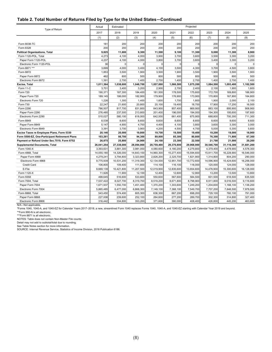#### **Table 2. Total Number of Returns Filed by Type for the United States—Continued**

| Type of Return                                 | Actual     | Estimated  | Projected  |              |            |            |            |            |             |
|------------------------------------------------|------------|------------|------------|--------------|------------|------------|------------|------------|-------------|
|                                                | 2017       | 2018       | 2019       | 2020         | 2021       | 2022       | 2023       | 2024       | 2025        |
|                                                | (1)        | (2)        | (3)        | (4)          | (5)        | (6)        | (7)        | (8)        | (9)         |
| Form 8038-TC                                   | 181        | 200        | 200        | 200          | 200        | 200        | 200        | 200        | 200         |
| Form 8328                                      | 200        | 200        | 200        | 200          | 200        | 200        | 200        | 200        | 200         |
| <b>Political Organizations, Total</b>          | 9,825      | 11,600     | 9,300      | 11,500       | 9,100      | 11,300     | 9,000      | 11,300     | 8,900       |
| Form 1120-POL, Total                           | 4,273      | 4,100      | 4,000      | 3,900        | 3,700      | 3,600      | 3,500      | 3,300      | 3,200       |
| Paper Form 1120-POL                            | 4,237      | 4,100      | 4,000      | 3,800        | 3,700      | 3,600      | 3,400      | 3,300      | 3,200       |
| Electronic Form 1120-POL                       | 36         | $\Omega$   | $\sqrt{2}$ | $\mathbf{C}$ | $\Omega$   | $\Omega$   | $\Omega$   | $\Omega$   | $\mathbf 0$ |
| Form 8871 ***                                  | 3,699      | 4,000      | 3,400      | 4,100        | 3,500      | 4,300      | 3,700      | 4,500      | 3,800       |
| Form 8872                                      | 1,853      | 3,500      | 1,900      | 3,500        | 1,900      | 3,500      | 1,900      | 3,500      | 1,900       |
| Paper Form 8872                                | 462        | 800        | 500        | 800          | 500        | 800        | 500        | 800        | 500         |
| Electronic Form 8872                           | 1,391      | 2,700      | 1,400      | 2,700        | 1,400      | 2,700      | 1,400      | 2,700      | 1,400       |
| Excise, Total                                  | 1,011,364  | 1,038,600  | 1,048,700  | 1,057,000    | 1,066,500  | 1,075,200  | 1,084,500  | 1,093,400  | 1,102,500   |
| Form 11-C                                      | 3,701      | 3,400      | 3,200      | 2,900        | 2,700      | 2,400      | 2,100      | 1,900      | 1,600       |
| Form 720                                       | 190,371    | 187,300    | 184,400    | 181,500      | 178,500    | 175,600    | 172,700    | 169,800    | 166,900     |
| Paper Form 720                                 | 189,145    | 186,000    | 182,900    | 179,900      | 176,900    | 173,900    | 170,800    | 167,800    | 164,800     |
| Electronic Form 720                            | 1,226      | 1,300      | 1,400      | 1,600        | 1,700      | 1,800      | 1,900      | 2,000      | 2,100       |
| Form 730                                       | 22,247     | 21,600     | 20,800     | 20,100       | 19,400     | 18,700     | 17,900     | 17,200     | 16,500      |
| Form 2290                                      | 786,507    | 817,700    | 831,800    | 843,900      | 857,400    | 869,900    | 883,100    | 895,900    | 908,900     |
| Paper Form 2290                                | 276,480    | 237,500    | 213,800    | 201,400      | 196,000    | 194,000    | 194,300    | 195,600    | 197,600     |
| Electronic Form 2290                           | 510,027    | 580,100    | 618,000    | 642,500      | 661,400    | 675,900    | 688,800    | 700,300    | 711,300     |
| Form 8849                                      | 8,538      | 8,600      | 8,600      | 8,600        | 8,600      | 8,600      | 8,600      | 8,600      | 8,600       |
| Paper Form 8849                                | 5,147      | 4,900      | 4,700      | 4,400        | 4,100      | 3,800      | 3,600      | 3,300      | 3,000       |
| Electronic Form 8849                           | 3,391      | 3,700      | 3,900      | 4,200        | 4,500      | 4,700      | 5,000      | 5,300      | 5,600       |
| Excise Taxes re Employee Plans, Form 5330      | 20,146     | 20,000     | 19,800     | 19,700       | 19,500     | 19,400     | 19,200     | 19,000     | 18,900      |
| Form 5500-EZ, One-Participant Retirement Plans | 103,261    | 98,700     | 94,300     | 89,800       | 85,300     | 80,800     | 76,300     | 71,800     | 67,300      |
| Payment or Refund Under Sec.7519, Form 8752    | 26,875     | 25,800     | 24,900     | 24,100       | 23,300     | 22,500     | 21,700     | 21,000     | 20,200      |
| <b>Supplemental Documents, Total</b>           | 26,041,254 | 27,338,000 | 28,094,900 | 28,759,400   | 29,376,800 | 29,968,900 | 30,546,700 | 31,116,300 | 31,681,200  |
| Form 1040-X                                    | 3,393,631  | 3,881,300  | 3,981,000  | 4,080,600    | 4,180,200  | 4,279,800  | 4,379,400  | 4,478,900  | 4,578,300   |
| Form 4868, Total                               | 14,055,180 | 14,326,000 | 14,643,100 | 14,960,300   | 15,277,400 | 15,594,600 | 15,911,700 | 16,228,900 | 16,546,000  |
| Paper Form 4868                                | 4,279,241  | 3,794,800  | 3,323,800  | 2,826,200    | 2,325,700  | 1,821,900  | 1,314,800  | 804,200    | 290,000     |
| Electronic Form 4868                           | 9,775,939  | 10,531,200 | 11,319,300 | 12,134,000   | 12,951,700 | 13,772,600 | 14,596,900 | 15,424,600 | 16,256,000  |
| Credit Card                                    | 106,800    | 109,400    | 111,800    | 114,100      | 116,100    | 118,000    | 120,000    | 124,000    | 128,000     |
| E-File                                         | 9,669,139  | 10,421,800 | 11,207,500 | 12,019,900   | 12,835,600 | 13,654,600 | 14,476,900 | 15,300,600 | 16,128,000  |
| Form 1120-X                                    | 11,926     | 11,900     | 12,100     | 12,400       | 12,600     | 12,900     | 13,200     | 13,500     | 13,800      |
| Form 5558                                      | 499,645    | 516,600    | 533,600    | 550,600      | 567,600    | 584,500    | 601,500    | 618,500    | 635,500     |
| Form 7004, Total                               | 7,537,422  | 8,027,700  | 8,319,700  | 8,519,200    | 8,671,800  | 8,798,900  | 8,911,800  | 9,016,500  | 9,116,600   |
| Paper Form 7004                                | 1,671,937  | 1,550,700  | 1,451,400  | 1,370,200    | 1,303,600  | 1,249,200  | 1,204,600  | 1,168,100  | 1,138,200   |
| Electronic Form 7004                           | 5,865,485  | 6,477,000  | 6,868,300  | 7,149,100    | 7,368,100  | 7,549,700  | 7,707,200  | 7,848,500  | 7,978,500   |
| Form 8868, Total                               | 543,450    | 574,400    | 605,300    | 636,300      | 667,200    | 698,200    | 729,100    | 760,100    | 791,000     |
| Paper Form 8868                                | 227,008    | 239,600    | 252,100    | 264,600      | 277,200    | 289,700    | 302,300    | 314,800    | 327,400     |
| Electronic Form 8868                           | 316,442    | 334,800    | 353,200    | 371,600      | 390,000    | 408,400    | 426,800    | 445,200    | 463,600     |

N/A—Not applicable.

\*Forms 1040, 1040-A, and 1040-EZ for Calendar Years 2017–2018; a new, streamlined Form 1040 replaces Forms 1040, 1040-A, and 1040-EZ starting with Calendar Year 2019 and beyond. \*\*Form 990-N is all electronic.

\*\*\*Form 8871 is all electronic.

NOTES: Table does not contain Non-Master File counts.

Detail may not add to subtotal/total due to rounding.

See Table Notes section for more information.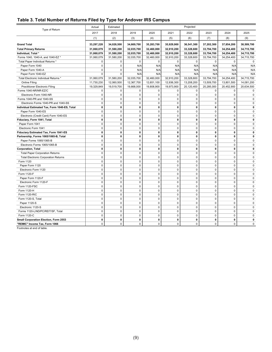#### **Table 3. Total Number of Returns Filed by Type for Andover IRS Campus**

| Type of Return<br>2017<br>2018<br>2019<br>2020<br>2021<br>2022<br>2023<br>2024<br>2025<br>(3)<br>(4)<br>(8)<br>(1)<br>(2)<br>(5)<br>(6)<br>(7)<br>(9)<br>33,297,228<br>34,028,500<br>34,669,700<br>35,283,700<br>35,929,900<br>36,541,300<br>37,202,300<br>37,854,200<br>38,509,700<br><b>Grand Total</b><br><b>Total Primary Returns</b><br>31,060,079<br>31,580,200<br>32,035,700<br>32,460,000<br>32,910,200<br>33,328,600<br>33,794,700<br>34,254,400<br>34,715,700<br>Individual, Total *<br>31,060,079<br>31,580,200<br>32,035,700<br>32,460,000<br>32,910,200<br>33,328,600<br>33,794,700<br>34,254,400<br>34,715,700<br>Forms 1040, 1040-A, and 1040-EZ *<br>31,060,079<br>31,580,200<br>32,035,700<br>32,460,000<br>32,910,200<br>33,328,600<br>33,794,700<br>34,254,400<br>34,715,700<br>Total Paper Individual Returns *<br>0<br>$\mathbf 0$<br>$\mathbf 0$<br>$\mathbf 0$<br>$\mathbf 0$<br>$\mathbf 0$<br>$\mathbf 0$<br>$\mathbf 0$<br>$\mathbf 0$<br>Paper Form 1040<br>$\mathbf 0$<br>$\mathbf 0$<br>N/A<br>N/A<br>N/A<br>N/A<br>N/A<br>N/A<br>N/A<br>Paper Form 1040-A<br>N/A<br>N/A<br>N/A<br>N/A<br>0<br>$\mathbf 0$<br>N/A<br>N/A<br>N/A<br>Paper Form 1040-EZ<br>$\mathbf 0$<br>N/A<br>N/A<br>N/A<br>N/A<br>0<br>N/A<br>N/A<br>N/A<br>31,060,079<br>31,580,200<br>33,794,700<br>34,254,400<br>Total Electronic Individual Returns *<br>32,035,700<br>32,460,000<br>32,910,200<br>33,328,600<br>34,715,700<br>11,730,230<br>12,060,500<br>12,367,700<br>12,651,100<br>13,208,200<br>13,509,700<br><b>Online Filing</b><br>12,936,300<br>13,801,500<br>14,081,200<br><b>Practitioner Electronic Filing</b><br>19,329,849<br>19,519,700<br>19,668,000<br>19,808,900<br>19,973,900<br>20,120,400<br>20,285,000<br>20,452,900<br>20,634,500<br>Forms 1040-NR/NR-EZ/C<br>0<br>$\mathbf 0$<br>$\mathbf 0$<br>$\mathbf 0$<br>0<br>$\mathbf 0$<br>$\mathbf 0$<br>0<br>0<br>$\mathbf 0$<br>$\mathbf 0$<br>$\mathbf 0$<br>$\pmb{0}$<br>$\mathsf 0$<br>$\mathbf 0$<br>$\mathbf 0$<br>$\mathbf 0$<br>$\mathbf 0$<br>Electronic Form 1040-NR<br>$\mathbf 0$<br>$\pmb{0}$<br>$\pmb{0}$<br>$\pmb{0}$<br>$\mathbf 0$<br>Forms 1040-PR and 1040-SS<br>0<br>$\pmb{0}$<br>$\mathbf 0$<br>$\pmb{0}$<br>$\pmb{0}$<br>$\mathbf 0$<br>Electronic Forms 1040-PR and 1040-SS<br>0<br>$\mathbf 0$<br>0<br>$\mathbf 0$<br>$\mathbf 0$<br>$\mathbf 0$<br>$\mathbf 0$<br>0<br>0<br>0<br>Individual Estimated Tax, Form 1040-ES, Total<br>$\mathbf 0$<br>0<br>0<br>0<br>0<br>0<br>$\mathbf 0$<br>$\mathbf 0$<br>$\pmb{0}$<br>$\pmb{0}$<br>$\mathbf 0$<br>0<br>$\mathbf 0$<br>$\mathbf 0$<br>Paper Form 1040-ES<br>0<br>Electronic (Credit Card) Form 1040-ES<br>0<br>$\mathbf 0$<br>$\mathbf 0$<br>$\mathbf 0$<br>$\mathbf 0$<br>0<br>$\mathbf 0$<br>$\mathbf 0$<br>$\pmb{0}$<br>$\mathbf 0$<br>Fiduciary, Form 1041, Total<br>0<br>$\mathbf 0$<br>0<br>0<br>$\mathbf{0}$<br>0<br>$\mathbf{0}$<br>$\pmb{0}$<br>$\pmb{0}$<br>Paper Form 1041<br>0<br>$\pmb{0}$<br>$\pmb{0}$<br>0<br>$\mathbf 0$<br>$\mathbf 0$<br>$\pmb{0}$<br>$\mathbf 0$<br>$\pmb{0}$<br>$\pmb{0}$<br>$\pmb{0}$<br>$\mathbf 0$<br>0<br>$\mathbf 0$<br>$\mathbf 0$<br>Electronic Form 1041<br>$\mathbf 0$<br>$\mathbf 0$<br>0<br>$\mathbf 0$<br>$\mathbf 0$<br>0<br>$\mathbf 0$<br>0<br>0<br>Fiduciary Estimated Tax, Form 1041-ES<br>$\mathbf 0$<br>0<br>$\mathbf{0}$<br>$\mathbf{0}$<br>$\mathbf{0}$<br>$\mathbf{0}$<br>0<br>$\mathbf{0}$<br>$\mathbf{0}$<br>Partnership, Forms 1065/1065-B, Total<br>$\pmb{0}$<br>$\pmb{0}$<br>0<br>0<br>Paper Forms 1065/1065-B<br>0<br>$\mathbf 0$<br>$\mathbf 0$<br>0<br>0 |                              | Actual      | Estimated   | Projected |           |             |             |             |             |              |
|------------------------------------------------------------------------------------------------------------------------------------------------------------------------------------------------------------------------------------------------------------------------------------------------------------------------------------------------------------------------------------------------------------------------------------------------------------------------------------------------------------------------------------------------------------------------------------------------------------------------------------------------------------------------------------------------------------------------------------------------------------------------------------------------------------------------------------------------------------------------------------------------------------------------------------------------------------------------------------------------------------------------------------------------------------------------------------------------------------------------------------------------------------------------------------------------------------------------------------------------------------------------------------------------------------------------------------------------------------------------------------------------------------------------------------------------------------------------------------------------------------------------------------------------------------------------------------------------------------------------------------------------------------------------------------------------------------------------------------------------------------------------------------------------------------------------------------------------------------------------------------------------------------------------------------------------------------------------------------------------------------------------------------------------------------------------------------------------------------------------------------------------------------------------------------------------------------------------------------------------------------------------------------------------------------------------------------------------------------------------------------------------------------------------------------------------------------------------------------------------------------------------------------------------------------------------------------------------------------------------------------------------------------------------------------------------------------------------------------------------------------------------------------------------------------------------------------------------------------------------------------------------------------------------------------------------------------------------------------------------------------------------------------------------------------------------------------------------------------------------------------------------------------------------------------------------------------------------------------------------------------------------------------------------------------------------------------------------------------------------------------------------------------------------------------------------------------------------------------------------------------------------------------------------------------------------|------------------------------|-------------|-------------|-----------|-----------|-------------|-------------|-------------|-------------|--------------|
|                                                                                                                                                                                                                                                                                                                                                                                                                                                                                                                                                                                                                                                                                                                                                                                                                                                                                                                                                                                                                                                                                                                                                                                                                                                                                                                                                                                                                                                                                                                                                                                                                                                                                                                                                                                                                                                                                                                                                                                                                                                                                                                                                                                                                                                                                                                                                                                                                                                                                                                                                                                                                                                                                                                                                                                                                                                                                                                                                                                                                                                                                                                                                                                                                                                                                                                                                                                                                                                                                                                                                                        |                              |             |             |           |           |             |             |             |             |              |
|                                                                                                                                                                                                                                                                                                                                                                                                                                                                                                                                                                                                                                                                                                                                                                                                                                                                                                                                                                                                                                                                                                                                                                                                                                                                                                                                                                                                                                                                                                                                                                                                                                                                                                                                                                                                                                                                                                                                                                                                                                                                                                                                                                                                                                                                                                                                                                                                                                                                                                                                                                                                                                                                                                                                                                                                                                                                                                                                                                                                                                                                                                                                                                                                                                                                                                                                                                                                                                                                                                                                                                        |                              |             |             |           |           |             |             |             |             |              |
|                                                                                                                                                                                                                                                                                                                                                                                                                                                                                                                                                                                                                                                                                                                                                                                                                                                                                                                                                                                                                                                                                                                                                                                                                                                                                                                                                                                                                                                                                                                                                                                                                                                                                                                                                                                                                                                                                                                                                                                                                                                                                                                                                                                                                                                                                                                                                                                                                                                                                                                                                                                                                                                                                                                                                                                                                                                                                                                                                                                                                                                                                                                                                                                                                                                                                                                                                                                                                                                                                                                                                                        |                              |             |             |           |           |             |             |             |             |              |
|                                                                                                                                                                                                                                                                                                                                                                                                                                                                                                                                                                                                                                                                                                                                                                                                                                                                                                                                                                                                                                                                                                                                                                                                                                                                                                                                                                                                                                                                                                                                                                                                                                                                                                                                                                                                                                                                                                                                                                                                                                                                                                                                                                                                                                                                                                                                                                                                                                                                                                                                                                                                                                                                                                                                                                                                                                                                                                                                                                                                                                                                                                                                                                                                                                                                                                                                                                                                                                                                                                                                                                        |                              |             |             |           |           |             |             |             |             |              |
|                                                                                                                                                                                                                                                                                                                                                                                                                                                                                                                                                                                                                                                                                                                                                                                                                                                                                                                                                                                                                                                                                                                                                                                                                                                                                                                                                                                                                                                                                                                                                                                                                                                                                                                                                                                                                                                                                                                                                                                                                                                                                                                                                                                                                                                                                                                                                                                                                                                                                                                                                                                                                                                                                                                                                                                                                                                                                                                                                                                                                                                                                                                                                                                                                                                                                                                                                                                                                                                                                                                                                                        |                              |             |             |           |           |             |             |             |             |              |
|                                                                                                                                                                                                                                                                                                                                                                                                                                                                                                                                                                                                                                                                                                                                                                                                                                                                                                                                                                                                                                                                                                                                                                                                                                                                                                                                                                                                                                                                                                                                                                                                                                                                                                                                                                                                                                                                                                                                                                                                                                                                                                                                                                                                                                                                                                                                                                                                                                                                                                                                                                                                                                                                                                                                                                                                                                                                                                                                                                                                                                                                                                                                                                                                                                                                                                                                                                                                                                                                                                                                                                        |                              |             |             |           |           |             |             |             |             |              |
|                                                                                                                                                                                                                                                                                                                                                                                                                                                                                                                                                                                                                                                                                                                                                                                                                                                                                                                                                                                                                                                                                                                                                                                                                                                                                                                                                                                                                                                                                                                                                                                                                                                                                                                                                                                                                                                                                                                                                                                                                                                                                                                                                                                                                                                                                                                                                                                                                                                                                                                                                                                                                                                                                                                                                                                                                                                                                                                                                                                                                                                                                                                                                                                                                                                                                                                                                                                                                                                                                                                                                                        |                              |             |             |           |           |             |             |             |             |              |
|                                                                                                                                                                                                                                                                                                                                                                                                                                                                                                                                                                                                                                                                                                                                                                                                                                                                                                                                                                                                                                                                                                                                                                                                                                                                                                                                                                                                                                                                                                                                                                                                                                                                                                                                                                                                                                                                                                                                                                                                                                                                                                                                                                                                                                                                                                                                                                                                                                                                                                                                                                                                                                                                                                                                                                                                                                                                                                                                                                                                                                                                                                                                                                                                                                                                                                                                                                                                                                                                                                                                                                        |                              |             |             |           |           |             |             |             |             |              |
|                                                                                                                                                                                                                                                                                                                                                                                                                                                                                                                                                                                                                                                                                                                                                                                                                                                                                                                                                                                                                                                                                                                                                                                                                                                                                                                                                                                                                                                                                                                                                                                                                                                                                                                                                                                                                                                                                                                                                                                                                                                                                                                                                                                                                                                                                                                                                                                                                                                                                                                                                                                                                                                                                                                                                                                                                                                                                                                                                                                                                                                                                                                                                                                                                                                                                                                                                                                                                                                                                                                                                                        |                              |             |             |           |           |             |             |             |             |              |
|                                                                                                                                                                                                                                                                                                                                                                                                                                                                                                                                                                                                                                                                                                                                                                                                                                                                                                                                                                                                                                                                                                                                                                                                                                                                                                                                                                                                                                                                                                                                                                                                                                                                                                                                                                                                                                                                                                                                                                                                                                                                                                                                                                                                                                                                                                                                                                                                                                                                                                                                                                                                                                                                                                                                                                                                                                                                                                                                                                                                                                                                                                                                                                                                                                                                                                                                                                                                                                                                                                                                                                        |                              |             |             |           |           |             |             |             |             |              |
|                                                                                                                                                                                                                                                                                                                                                                                                                                                                                                                                                                                                                                                                                                                                                                                                                                                                                                                                                                                                                                                                                                                                                                                                                                                                                                                                                                                                                                                                                                                                                                                                                                                                                                                                                                                                                                                                                                                                                                                                                                                                                                                                                                                                                                                                                                                                                                                                                                                                                                                                                                                                                                                                                                                                                                                                                                                                                                                                                                                                                                                                                                                                                                                                                                                                                                                                                                                                                                                                                                                                                                        |                              |             |             |           |           |             |             |             |             |              |
|                                                                                                                                                                                                                                                                                                                                                                                                                                                                                                                                                                                                                                                                                                                                                                                                                                                                                                                                                                                                                                                                                                                                                                                                                                                                                                                                                                                                                                                                                                                                                                                                                                                                                                                                                                                                                                                                                                                                                                                                                                                                                                                                                                                                                                                                                                                                                                                                                                                                                                                                                                                                                                                                                                                                                                                                                                                                                                                                                                                                                                                                                                                                                                                                                                                                                                                                                                                                                                                                                                                                                                        |                              |             |             |           |           |             |             |             |             |              |
|                                                                                                                                                                                                                                                                                                                                                                                                                                                                                                                                                                                                                                                                                                                                                                                                                                                                                                                                                                                                                                                                                                                                                                                                                                                                                                                                                                                                                                                                                                                                                                                                                                                                                                                                                                                                                                                                                                                                                                                                                                                                                                                                                                                                                                                                                                                                                                                                                                                                                                                                                                                                                                                                                                                                                                                                                                                                                                                                                                                                                                                                                                                                                                                                                                                                                                                                                                                                                                                                                                                                                                        |                              |             |             |           |           |             |             |             |             |              |
|                                                                                                                                                                                                                                                                                                                                                                                                                                                                                                                                                                                                                                                                                                                                                                                                                                                                                                                                                                                                                                                                                                                                                                                                                                                                                                                                                                                                                                                                                                                                                                                                                                                                                                                                                                                                                                                                                                                                                                                                                                                                                                                                                                                                                                                                                                                                                                                                                                                                                                                                                                                                                                                                                                                                                                                                                                                                                                                                                                                                                                                                                                                                                                                                                                                                                                                                                                                                                                                                                                                                                                        |                              |             |             |           |           |             |             |             |             |              |
|                                                                                                                                                                                                                                                                                                                                                                                                                                                                                                                                                                                                                                                                                                                                                                                                                                                                                                                                                                                                                                                                                                                                                                                                                                                                                                                                                                                                                                                                                                                                                                                                                                                                                                                                                                                                                                                                                                                                                                                                                                                                                                                                                                                                                                                                                                                                                                                                                                                                                                                                                                                                                                                                                                                                                                                                                                                                                                                                                                                                                                                                                                                                                                                                                                                                                                                                                                                                                                                                                                                                                                        |                              |             |             |           |           |             |             |             |             |              |
|                                                                                                                                                                                                                                                                                                                                                                                                                                                                                                                                                                                                                                                                                                                                                                                                                                                                                                                                                                                                                                                                                                                                                                                                                                                                                                                                                                                                                                                                                                                                                                                                                                                                                                                                                                                                                                                                                                                                                                                                                                                                                                                                                                                                                                                                                                                                                                                                                                                                                                                                                                                                                                                                                                                                                                                                                                                                                                                                                                                                                                                                                                                                                                                                                                                                                                                                                                                                                                                                                                                                                                        |                              |             |             |           |           |             |             |             |             |              |
|                                                                                                                                                                                                                                                                                                                                                                                                                                                                                                                                                                                                                                                                                                                                                                                                                                                                                                                                                                                                                                                                                                                                                                                                                                                                                                                                                                                                                                                                                                                                                                                                                                                                                                                                                                                                                                                                                                                                                                                                                                                                                                                                                                                                                                                                                                                                                                                                                                                                                                                                                                                                                                                                                                                                                                                                                                                                                                                                                                                                                                                                                                                                                                                                                                                                                                                                                                                                                                                                                                                                                                        |                              |             |             |           |           |             |             |             |             |              |
|                                                                                                                                                                                                                                                                                                                                                                                                                                                                                                                                                                                                                                                                                                                                                                                                                                                                                                                                                                                                                                                                                                                                                                                                                                                                                                                                                                                                                                                                                                                                                                                                                                                                                                                                                                                                                                                                                                                                                                                                                                                                                                                                                                                                                                                                                                                                                                                                                                                                                                                                                                                                                                                                                                                                                                                                                                                                                                                                                                                                                                                                                                                                                                                                                                                                                                                                                                                                                                                                                                                                                                        |                              |             |             |           |           |             |             |             |             |              |
|                                                                                                                                                                                                                                                                                                                                                                                                                                                                                                                                                                                                                                                                                                                                                                                                                                                                                                                                                                                                                                                                                                                                                                                                                                                                                                                                                                                                                                                                                                                                                                                                                                                                                                                                                                                                                                                                                                                                                                                                                                                                                                                                                                                                                                                                                                                                                                                                                                                                                                                                                                                                                                                                                                                                                                                                                                                                                                                                                                                                                                                                                                                                                                                                                                                                                                                                                                                                                                                                                                                                                                        |                              |             |             |           |           |             |             |             |             |              |
|                                                                                                                                                                                                                                                                                                                                                                                                                                                                                                                                                                                                                                                                                                                                                                                                                                                                                                                                                                                                                                                                                                                                                                                                                                                                                                                                                                                                                                                                                                                                                                                                                                                                                                                                                                                                                                                                                                                                                                                                                                                                                                                                                                                                                                                                                                                                                                                                                                                                                                                                                                                                                                                                                                                                                                                                                                                                                                                                                                                                                                                                                                                                                                                                                                                                                                                                                                                                                                                                                                                                                                        |                              |             |             |           |           |             |             |             |             | 0            |
|                                                                                                                                                                                                                                                                                                                                                                                                                                                                                                                                                                                                                                                                                                                                                                                                                                                                                                                                                                                                                                                                                                                                                                                                                                                                                                                                                                                                                                                                                                                                                                                                                                                                                                                                                                                                                                                                                                                                                                                                                                                                                                                                                                                                                                                                                                                                                                                                                                                                                                                                                                                                                                                                                                                                                                                                                                                                                                                                                                                                                                                                                                                                                                                                                                                                                                                                                                                                                                                                                                                                                                        |                              |             |             |           |           |             |             |             |             |              |
|                                                                                                                                                                                                                                                                                                                                                                                                                                                                                                                                                                                                                                                                                                                                                                                                                                                                                                                                                                                                                                                                                                                                                                                                                                                                                                                                                                                                                                                                                                                                                                                                                                                                                                                                                                                                                                                                                                                                                                                                                                                                                                                                                                                                                                                                                                                                                                                                                                                                                                                                                                                                                                                                                                                                                                                                                                                                                                                                                                                                                                                                                                                                                                                                                                                                                                                                                                                                                                                                                                                                                                        |                              |             |             |           |           |             |             |             |             |              |
|                                                                                                                                                                                                                                                                                                                                                                                                                                                                                                                                                                                                                                                                                                                                                                                                                                                                                                                                                                                                                                                                                                                                                                                                                                                                                                                                                                                                                                                                                                                                                                                                                                                                                                                                                                                                                                                                                                                                                                                                                                                                                                                                                                                                                                                                                                                                                                                                                                                                                                                                                                                                                                                                                                                                                                                                                                                                                                                                                                                                                                                                                                                                                                                                                                                                                                                                                                                                                                                                                                                                                                        |                              |             |             |           |           |             |             |             |             |              |
|                                                                                                                                                                                                                                                                                                                                                                                                                                                                                                                                                                                                                                                                                                                                                                                                                                                                                                                                                                                                                                                                                                                                                                                                                                                                                                                                                                                                                                                                                                                                                                                                                                                                                                                                                                                                                                                                                                                                                                                                                                                                                                                                                                                                                                                                                                                                                                                                                                                                                                                                                                                                                                                                                                                                                                                                                                                                                                                                                                                                                                                                                                                                                                                                                                                                                                                                                                                                                                                                                                                                                                        |                              |             |             |           |           |             |             |             |             |              |
|                                                                                                                                                                                                                                                                                                                                                                                                                                                                                                                                                                                                                                                                                                                                                                                                                                                                                                                                                                                                                                                                                                                                                                                                                                                                                                                                                                                                                                                                                                                                                                                                                                                                                                                                                                                                                                                                                                                                                                                                                                                                                                                                                                                                                                                                                                                                                                                                                                                                                                                                                                                                                                                                                                                                                                                                                                                                                                                                                                                                                                                                                                                                                                                                                                                                                                                                                                                                                                                                                                                                                                        |                              |             |             |           |           |             |             |             |             | $\mathbf{0}$ |
|                                                                                                                                                                                                                                                                                                                                                                                                                                                                                                                                                                                                                                                                                                                                                                                                                                                                                                                                                                                                                                                                                                                                                                                                                                                                                                                                                                                                                                                                                                                                                                                                                                                                                                                                                                                                                                                                                                                                                                                                                                                                                                                                                                                                                                                                                                                                                                                                                                                                                                                                                                                                                                                                                                                                                                                                                                                                                                                                                                                                                                                                                                                                                                                                                                                                                                                                                                                                                                                                                                                                                                        |                              |             |             |           |           |             |             |             |             |              |
|                                                                                                                                                                                                                                                                                                                                                                                                                                                                                                                                                                                                                                                                                                                                                                                                                                                                                                                                                                                                                                                                                                                                                                                                                                                                                                                                                                                                                                                                                                                                                                                                                                                                                                                                                                                                                                                                                                                                                                                                                                                                                                                                                                                                                                                                                                                                                                                                                                                                                                                                                                                                                                                                                                                                                                                                                                                                                                                                                                                                                                                                                                                                                                                                                                                                                                                                                                                                                                                                                                                                                                        | Electronic Forms 1065/1065-B | $\mathbf 0$ | $\mathbf 0$ | $\pmb{0}$ | $\pmb{0}$ | $\mathbf 0$ | $\mathbf 0$ | $\mathbf 0$ | $\mathbf 0$ | $\mathbf 0$  |
| $\mathbf 0$<br>$\mathbf 0$<br>0<br>$\mathbf 0$<br>$\mathbf 0$<br>$\mathbf 0$<br>0<br>0<br><b>Corporation, Total</b>                                                                                                                                                                                                                                                                                                                                                                                                                                                                                                                                                                                                                                                                                                                                                                                                                                                                                                                                                                                                                                                                                                                                                                                                                                                                                                                                                                                                                                                                                                                                                                                                                                                                                                                                                                                                                                                                                                                                                                                                                                                                                                                                                                                                                                                                                                                                                                                                                                                                                                                                                                                                                                                                                                                                                                                                                                                                                                                                                                                                                                                                                                                                                                                                                                                                                                                                                                                                                                                    |                              |             |             |           |           |             |             |             |             | $\mathbf{0}$ |
| $\mathbf 0$<br>0<br>0<br>$\mathbf 0$<br>$\mathbf 0$<br>$\mathbf 0$<br>0<br>$\mathbf 0$<br><b>Total Paper Corporation Returns</b>                                                                                                                                                                                                                                                                                                                                                                                                                                                                                                                                                                                                                                                                                                                                                                                                                                                                                                                                                                                                                                                                                                                                                                                                                                                                                                                                                                                                                                                                                                                                                                                                                                                                                                                                                                                                                                                                                                                                                                                                                                                                                                                                                                                                                                                                                                                                                                                                                                                                                                                                                                                                                                                                                                                                                                                                                                                                                                                                                                                                                                                                                                                                                                                                                                                                                                                                                                                                                                       |                              |             |             |           |           |             |             |             |             | $\mathbf 0$  |
| $\mathbf 0$<br>$\mathbf 0$<br>$\mathbf 0$<br>$\mathbf 0$<br>0<br>$\mathbf 0$<br><b>Total Electronic Corporation Returns</b><br>$\mathbf 0$<br>$\mathbf 0$                                                                                                                                                                                                                                                                                                                                                                                                                                                                                                                                                                                                                                                                                                                                                                                                                                                                                                                                                                                                                                                                                                                                                                                                                                                                                                                                                                                                                                                                                                                                                                                                                                                                                                                                                                                                                                                                                                                                                                                                                                                                                                                                                                                                                                                                                                                                                                                                                                                                                                                                                                                                                                                                                                                                                                                                                                                                                                                                                                                                                                                                                                                                                                                                                                                                                                                                                                                                              |                              |             |             |           |           |             |             |             |             | $\mathbf 0$  |
| $\Omega$<br>$\Omega$<br>$\mathbf 0$<br>$\Omega$<br>$\Omega$<br>0<br>$\Omega$<br>$\Omega$<br>Form 1120                                                                                                                                                                                                                                                                                                                                                                                                                                                                                                                                                                                                                                                                                                                                                                                                                                                                                                                                                                                                                                                                                                                                                                                                                                                                                                                                                                                                                                                                                                                                                                                                                                                                                                                                                                                                                                                                                                                                                                                                                                                                                                                                                                                                                                                                                                                                                                                                                                                                                                                                                                                                                                                                                                                                                                                                                                                                                                                                                                                                                                                                                                                                                                                                                                                                                                                                                                                                                                                                  |                              |             |             |           |           |             |             |             |             | 0            |
| $\mathbf 0$<br>Paper Form 1120<br>0<br>$\mathbf 0$<br>$\mathbf 0$<br>$\mathbf 0$<br>$\mathbf 0$<br>$\mathbf 0$<br>$\mathbf 0$                                                                                                                                                                                                                                                                                                                                                                                                                                                                                                                                                                                                                                                                                                                                                                                                                                                                                                                                                                                                                                                                                                                                                                                                                                                                                                                                                                                                                                                                                                                                                                                                                                                                                                                                                                                                                                                                                                                                                                                                                                                                                                                                                                                                                                                                                                                                                                                                                                                                                                                                                                                                                                                                                                                                                                                                                                                                                                                                                                                                                                                                                                                                                                                                                                                                                                                                                                                                                                          |                              |             |             |           |           |             |             |             |             | 0            |
| $\mathbf 0$<br>$\mathbf 0$<br>$\mathbf 0$<br>Electronic Form 1120<br>0<br>$\mathbf 0$<br>$\mathbf 0$<br>$\mathbf 0$<br>$\Omega$                                                                                                                                                                                                                                                                                                                                                                                                                                                                                                                                                                                                                                                                                                                                                                                                                                                                                                                                                                                                                                                                                                                                                                                                                                                                                                                                                                                                                                                                                                                                                                                                                                                                                                                                                                                                                                                                                                                                                                                                                                                                                                                                                                                                                                                                                                                                                                                                                                                                                                                                                                                                                                                                                                                                                                                                                                                                                                                                                                                                                                                                                                                                                                                                                                                                                                                                                                                                                                        |                              |             |             |           |           |             |             |             |             | 0            |
| Form 1120-F<br>$\mathbf 0$<br>$\mathbf 0$<br>$\pmb{0}$<br>$\mathbf 0$<br>$\mathbf 0$<br>$\mathbf 0$<br>$\mathbf 0$<br>$\mathbf 0$                                                                                                                                                                                                                                                                                                                                                                                                                                                                                                                                                                                                                                                                                                                                                                                                                                                                                                                                                                                                                                                                                                                                                                                                                                                                                                                                                                                                                                                                                                                                                                                                                                                                                                                                                                                                                                                                                                                                                                                                                                                                                                                                                                                                                                                                                                                                                                                                                                                                                                                                                                                                                                                                                                                                                                                                                                                                                                                                                                                                                                                                                                                                                                                                                                                                                                                                                                                                                                      |                              |             |             |           |           |             |             |             |             | $\Omega$     |
| $\pmb{0}$<br>$\pmb{0}$<br>Paper Form 1120-F<br>0<br>$\mathsf 0$<br>0<br>0<br>$\mathbf 0$<br>$\mathbf 0$                                                                                                                                                                                                                                                                                                                                                                                                                                                                                                                                                                                                                                                                                                                                                                                                                                                                                                                                                                                                                                                                                                                                                                                                                                                                                                                                                                                                                                                                                                                                                                                                                                                                                                                                                                                                                                                                                                                                                                                                                                                                                                                                                                                                                                                                                                                                                                                                                                                                                                                                                                                                                                                                                                                                                                                                                                                                                                                                                                                                                                                                                                                                                                                                                                                                                                                                                                                                                                                                |                              |             |             |           |           |             |             |             |             | $\mathbf 0$  |
| $\mathbf 0$<br>$\mathbf 0$<br>$\mathbf 0$<br>$\mathbf 0$<br>$\mathbf 0$<br>$\mathbf 0$<br>$\mathbf 0$<br>$\mathbf 0$<br>Electronic Form 1120-F                                                                                                                                                                                                                                                                                                                                                                                                                                                                                                                                                                                                                                                                                                                                                                                                                                                                                                                                                                                                                                                                                                                                                                                                                                                                                                                                                                                                                                                                                                                                                                                                                                                                                                                                                                                                                                                                                                                                                                                                                                                                                                                                                                                                                                                                                                                                                                                                                                                                                                                                                                                                                                                                                                                                                                                                                                                                                                                                                                                                                                                                                                                                                                                                                                                                                                                                                                                                                         |                              |             |             |           |           |             |             |             |             | $\mathbf 0$  |
| $\mathbf 0$<br>$\mathbf 0$<br>$\mathbf 0$<br>$\mathbf 0$<br>$\Omega$<br>$\mathbf 0$<br>$\Omega$<br>$\mathbf 0$<br>Form 1120-FSC                                                                                                                                                                                                                                                                                                                                                                                                                                                                                                                                                                                                                                                                                                                                                                                                                                                                                                                                                                                                                                                                                                                                                                                                                                                                                                                                                                                                                                                                                                                                                                                                                                                                                                                                                                                                                                                                                                                                                                                                                                                                                                                                                                                                                                                                                                                                                                                                                                                                                                                                                                                                                                                                                                                                                                                                                                                                                                                                                                                                                                                                                                                                                                                                                                                                                                                                                                                                                                        |                              |             |             |           |           |             |             |             |             | $\mathbf 0$  |
| $\mathbf 0$<br>$\mathbf 0$<br>$\mathbf 0$<br>$\mathbf 0$<br>$\mathbf 0$<br>$\mathbf 0$<br>$\mathbf 0$<br>Form 1120-H<br>$\mathbf 0$                                                                                                                                                                                                                                                                                                                                                                                                                                                                                                                                                                                                                                                                                                                                                                                                                                                                                                                                                                                                                                                                                                                                                                                                                                                                                                                                                                                                                                                                                                                                                                                                                                                                                                                                                                                                                                                                                                                                                                                                                                                                                                                                                                                                                                                                                                                                                                                                                                                                                                                                                                                                                                                                                                                                                                                                                                                                                                                                                                                                                                                                                                                                                                                                                                                                                                                                                                                                                                    |                              |             |             |           |           |             |             |             |             | $\mathbf 0$  |
| $\mathbf 0$<br>$\mathbf 0$<br>$\pmb{0}$<br>$\mathsf 0$<br>$\mathbf 0$<br>$\mathbf 0$<br>$\mathbf 0$<br>$\mathbf 0$<br>Form 1120-RIC                                                                                                                                                                                                                                                                                                                                                                                                                                                                                                                                                                                                                                                                                                                                                                                                                                                                                                                                                                                                                                                                                                                                                                                                                                                                                                                                                                                                                                                                                                                                                                                                                                                                                                                                                                                                                                                                                                                                                                                                                                                                                                                                                                                                                                                                                                                                                                                                                                                                                                                                                                                                                                                                                                                                                                                                                                                                                                                                                                                                                                                                                                                                                                                                                                                                                                                                                                                                                                    |                              |             |             |           |           |             |             |             |             | 0            |
| $\mathbf 0$<br>$\mathbf 0$<br>$\mathbf 0$<br>$\mathbf 0$<br>$\mathbf 0$<br>$\mathbf 0$<br>$\mathbf 0$<br>$\mathbf 0$<br>Form 1120-S, Total                                                                                                                                                                                                                                                                                                                                                                                                                                                                                                                                                                                                                                                                                                                                                                                                                                                                                                                                                                                                                                                                                                                                                                                                                                                                                                                                                                                                                                                                                                                                                                                                                                                                                                                                                                                                                                                                                                                                                                                                                                                                                                                                                                                                                                                                                                                                                                                                                                                                                                                                                                                                                                                                                                                                                                                                                                                                                                                                                                                                                                                                                                                                                                                                                                                                                                                                                                                                                             |                              |             |             |           |           |             |             |             |             | $\mathbf 0$  |
| $\pmb{0}$<br>$\pmb{0}$<br>$\pmb{0}$<br>0<br>$\pmb{0}$<br>0<br>Paper 1120-S<br>$\mathbf 0$<br>0                                                                                                                                                                                                                                                                                                                                                                                                                                                                                                                                                                                                                                                                                                                                                                                                                                                                                                                                                                                                                                                                                                                                                                                                                                                                                                                                                                                                                                                                                                                                                                                                                                                                                                                                                                                                                                                                                                                                                                                                                                                                                                                                                                                                                                                                                                                                                                                                                                                                                                                                                                                                                                                                                                                                                                                                                                                                                                                                                                                                                                                                                                                                                                                                                                                                                                                                                                                                                                                                         |                              |             |             |           |           |             |             |             |             | $\mathbf 0$  |
| $\mathbf 0$<br>$\mathbf 0$<br>$\pmb{0}$<br>0<br>$\mathbf 0$<br>$\mathbf 0$<br>$\mathbf 0$<br>$\mathbf 0$<br>Electronic 1120-S                                                                                                                                                                                                                                                                                                                                                                                                                                                                                                                                                                                                                                                                                                                                                                                                                                                                                                                                                                                                                                                                                                                                                                                                                                                                                                                                                                                                                                                                                                                                                                                                                                                                                                                                                                                                                                                                                                                                                                                                                                                                                                                                                                                                                                                                                                                                                                                                                                                                                                                                                                                                                                                                                                                                                                                                                                                                                                                                                                                                                                                                                                                                                                                                                                                                                                                                                                                                                                          |                              |             |             |           |           |             |             |             |             | $\mathbf 0$  |
| $\mathbf 0$<br>$\mathbf 0$<br>$\mathbf 0$<br>0<br>$\mathbf 0$<br>0<br>$\mathbf 0$<br>$\mathbf 0$<br>Forms 1120-L/ND/PC/REIT/SF, Total                                                                                                                                                                                                                                                                                                                                                                                                                                                                                                                                                                                                                                                                                                                                                                                                                                                                                                                                                                                                                                                                                                                                                                                                                                                                                                                                                                                                                                                                                                                                                                                                                                                                                                                                                                                                                                                                                                                                                                                                                                                                                                                                                                                                                                                                                                                                                                                                                                                                                                                                                                                                                                                                                                                                                                                                                                                                                                                                                                                                                                                                                                                                                                                                                                                                                                                                                                                                                                  |                              |             |             |           |           |             |             |             |             | $\mathbf 0$  |
| $\mathbf 0$<br>0<br>$\mathbf 0$<br>$\mathbf 0$<br>0<br>$\mathbf 0$<br>0<br>$\mathbf 0$<br>Form 1120-C                                                                                                                                                                                                                                                                                                                                                                                                                                                                                                                                                                                                                                                                                                                                                                                                                                                                                                                                                                                                                                                                                                                                                                                                                                                                                                                                                                                                                                                                                                                                                                                                                                                                                                                                                                                                                                                                                                                                                                                                                                                                                                                                                                                                                                                                                                                                                                                                                                                                                                                                                                                                                                                                                                                                                                                                                                                                                                                                                                                                                                                                                                                                                                                                                                                                                                                                                                                                                                                                  |                              |             |             |           |           |             |             |             |             | $\mathbf 0$  |
| Small Corporation Election, Form 2553<br>0<br>$\mathbf{0}$<br>0<br>0<br>0<br>0<br>$\mathbf{0}$<br>0                                                                                                                                                                                                                                                                                                                                                                                                                                                                                                                                                                                                                                                                                                                                                                                                                                                                                                                                                                                                                                                                                                                                                                                                                                                                                                                                                                                                                                                                                                                                                                                                                                                                                                                                                                                                                                                                                                                                                                                                                                                                                                                                                                                                                                                                                                                                                                                                                                                                                                                                                                                                                                                                                                                                                                                                                                                                                                                                                                                                                                                                                                                                                                                                                                                                                                                                                                                                                                                                    |                              |             |             |           |           |             |             |             |             | 0            |
| 0<br>0<br>$\Omega$<br>$\Omega$<br>$\Omega$<br>$\Omega$<br>"REMIC" Income Tax, Form 1066<br>$\Omega$<br>$\Omega$                                                                                                                                                                                                                                                                                                                                                                                                                                                                                                                                                                                                                                                                                                                                                                                                                                                                                                                                                                                                                                                                                                                                                                                                                                                                                                                                                                                                                                                                                                                                                                                                                                                                                                                                                                                                                                                                                                                                                                                                                                                                                                                                                                                                                                                                                                                                                                                                                                                                                                                                                                                                                                                                                                                                                                                                                                                                                                                                                                                                                                                                                                                                                                                                                                                                                                                                                                                                                                                        |                              |             |             |           |           |             |             |             |             | $\Omega$     |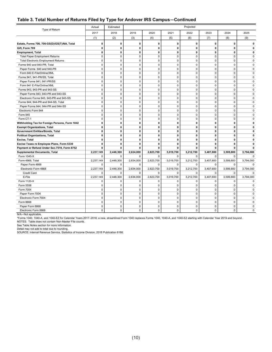#### **Table 3. Total Number of Returns Filed by Type for Andover IRS Campus—Continued**

|                                                | Actual            | Estimated                  | Projected                |                            |                         |                         |                              |               |                  |
|------------------------------------------------|-------------------|----------------------------|--------------------------|----------------------------|-------------------------|-------------------------|------------------------------|---------------|------------------|
| Type of Return                                 | 2017              | 2018                       | 2019                     | 2020                       | 2021                    | 2022                    | 2023                         | 2024          | 2025             |
|                                                | (1)               | (2)                        | (3)                      | (4)                        | (5)                     | (6)                     | (7)                          | (8)           | (9)              |
| Estate, Forms 706, 706-GS(D)/GS(T)/NA, Total   | $\mathbf{0}$      | $\mathbf{0}$               | $\mathbf 0$              | 0                          | $\mathbf{0}$            | 0                       | $\mathbf{0}$                 | 0             | $\mathbf{0}$     |
| Gift, Form 709                                 | 0                 | 0                          | $\mathbf 0$              | $\mathbf 0$                | 0                       | 0                       | 0                            | 0             | $\mathbf 0$      |
| <b>Employment, Total</b>                       | 0                 | 0                          | $\mathbf 0$              | $\mathbf 0$                | $\mathbf 0$             | 0                       | $\mathbf 0$                  | 0             | 0                |
| <b>Total Paper Employment Returns</b>          | $\mathbf 0$       | $\mathbf 0$                | $\mathbf 0$              | $\mathbf 0$                | $\mathbf 0$             | $\Omega$                | $\mathbf 0$                  | 0             | 0                |
| <b>Total Electronic Employment Returns</b>     | $\mathbf 0$       | $\mathbf 0$                | $\pmb{0}$                | 0                          | $\pmb{0}$               | $\mathbf 0$             | $\mathbf 0$                  | 0             | 0                |
| Forms 940 and 940-PR, Total                    | $\Omega$          | $\Omega$                   | $\mathbf 0$              | $\mathbf 0$                | $\Omega$                | $\Omega$                | $\Omega$                     | $\mathbf 0$   | $\Omega$         |
| Paper Forms 940 and 940-PR                     | $\mathbf 0$       | $\mathbf 0$                | $\mathbf 0$              | $\mathbf 0$                | $\mathbf 0$             | $\mathbf 0$             | $\mathbf 0$                  | 0             | 0                |
| Form 940 E-File/Online/XML                     | $\Omega$          | $\mathbf 0$                | $\mathbf 0$              | $\mathbf 0$                | $\mathbf 0$             | $\Omega$                | $\Omega$                     | $\Omega$      | $\Omega$         |
| Forms 941, 941-PR/SS, Total                    | 0                 | $\mathbf 0$                | $\mathbf 0$              | $\mathbf 0$                | $\mathbf 0$             | $\mathbf 0$             | $\mathbf 0$                  | $\mathbf 0$   | $\Omega$         |
| Paper Forms 941, 941-PR/SS                     | $\mathbf 0$       | $\mathbf 0$                | $\pmb{0}$                | $\mathsf 0$                | 0                       | $\mathbf 0$             | $\mathbf 0$                  | 0             | 0                |
| Form 941 E-File/Online/XML                     | $\Omega$          | $\mathbf 0$                | $\mathbf 0$              | $\mathbf 0$                | $\mathbf 0$             | $\mathbf 0$             | $\mathbf 0$                  | $\Omega$      | $\Omega$         |
| Forms 943, 943-PR and 943-SS                   | 0                 | $\mathbf 0$                | $\mathbf 0$              | $\mathbf 0$                | $\mathbf 0$             | 0                       | $\mathbf 0$                  | $\mathbf 0$   | 0                |
| Paper Forms 943, 943-PR and 943-SS             | $\mathbf 0$       | $\mathbf 0$                | $\mathbf 0$              | $\mathbf 0$                | $\mathbf 0$             | $\mathbf 0$             | $\mathbf 0$                  | $\mathbf 0$   | 0                |
|                                                | 0                 | $\mathbf 0$                | $\mathbf 0$              | $\mathsf 0$                | $\mathbf 0$             | $\mathbf 0$             | $\mathbf 0$                  | 0             | 0                |
| Electronic Forms 943, 943-PR and 943-SS        |                   |                            |                          |                            | $\mathbf 0$             | $\mathbf 0$             | $\mathbf 0$                  | 0             |                  |
| Forms 944, 944-PR and 944-SS, Total            | 0<br>$\Omega$     | $\mathbf 0$<br>$\mathbf 0$ | $\pmb{0}$<br>$\mathbf 0$ | $\mathsf 0$<br>$\mathbf 0$ | $\mathbf 0$             | $\Omega$                | $\Omega$                     | $\Omega$      | 0<br>$\mathbf 0$ |
| Paper Forms 944, 944-PR and 944-SS             |                   |                            |                          |                            |                         |                         |                              |               |                  |
| Electronic Form 944                            | 0<br>$\Omega$     | $\mathbf 0$<br>$\Omega$    | $\pmb{0}$<br>$\mathbf 0$ | $\mathbf 0$<br>$\Omega$    | $\mathbf 0$<br>$\Omega$ | $\mathbf 0$<br>$\Omega$ | $\mathbf 0$<br>$\Omega$      | 0<br>$\Omega$ | 0                |
| Form 945                                       |                   |                            |                          |                            |                         |                         |                              |               | 0                |
| Form CT-1                                      | 0                 | $\mathbf 0$                | $\mathbf 0$              | $\mathbf 0$                | $\mathbf 0$             | $\mathbf 0$             | $\mathbf 0$                  | 0             | 0                |
| Withholding Tax for Foreign Persons, Form 1042 | 0<br>$\mathbf{0}$ | $\mathbf 0$                | $\pmb{0}$                | $\pmb{0}$                  | $\mathbf 0$             | 0<br>$\mathbf{0}$       | $\mathbf{0}$<br>$\mathbf{0}$ | 0<br>0        | 0                |
| <b>Exempt Organizations, Total</b>             |                   | $\mathbf{0}$               | $\mathbf 0$              | 0                          | 0                       |                         |                              |               | 0                |
| Government Entities/Bonds, Total               | 0                 | $\mathbf 0$                | $\mathbf 0$              | $\mathbf 0$                | 0                       | 0                       | $\mathbf{0}$                 | 0             | 0                |
| <b>Political Organizations, Total</b>          | 0                 | $\mathbf{0}$               | $\mathbf 0$              | $\mathbf{0}$               | $\mathbf{0}$            | $\mathbf{0}$            | $\mathbf{0}$                 | 0             | 0                |
| Excise, Total                                  | 0                 | $\mathbf 0$                | 0                        | 0                          | 0                       | 0                       | $\mathbf 0$                  | 0             | 0                |
| Excise Taxes re Employee Plans, Form 5330      | 0                 | $\mathbf 0$                | 0                        | 0                          | 0                       | 0                       | 0                            | 0             | 0                |
| Payment or Refund Under Sec.7519, Form 8752    | 0                 | $\mathbf{0}$               | 0                        | 0                          | 0                       | 0                       | $\mathbf{0}$                 | 0             | 0                |
| <b>Supplemental Documents, Total</b>           | 2,237,149         | 2,448,300                  | 2,634,000                | 2,823,700                  | 3,019,700               | 3,212,700               | 3,407,600                    | 3,599,800     | 3,794,000        |
| Form 1040-X                                    | $\Omega$          | $\Omega$                   | $\mathbf 0$              | 0                          | $\Omega$                | $\Omega$                | $\Omega$                     | $\Omega$      | $\Omega$         |
| Form 4868, Total                               | 2,237,149         | 2,448,300                  | 2,634,000                | 2,823,700                  | 3,019,700               | 3,212,700               | 3,407,600                    | 3,599,800     | 3,794,000        |
| Paper Form 4868                                | $\mathbf 0$       | $\mathbf 0$                | 0                        | $\pmb{0}$                  | $\mathbf 0$             | $\mathbf 0$             | $\mathbf 0$                  | 0             | 0                |
| Electronic Form 4868                           | 2,237,149         | 2,448,300                  | 2,634,000                | 2,823,700                  | 3,019,700               | 3,212,700               | 3,407,600                    | 3,599,800     | 3,794,000        |
| Credit Card                                    | $\Omega$          | $\Omega$                   | $\mathbf 0$              | $\mathbf 0$                | $\Omega$                | $\Omega$                | $\Omega$                     | $\mathbf 0$   | $\mathbf 0$      |
| E-File                                         | 2,237,149         | 2,448,300                  | 2,634,000                | 2,823,700                  | 3,019,700               | 3,212,700               | 3,407,600                    | 3,599,800     | 3,794,000        |
| Form 1120-X                                    | 0                 | $\mathbf 0$                | $\mathbf 0$              | $\mathsf 0$                | $\mathbf 0$             | $\mathbf 0$             | $\mathbf 0$                  | 0             | 0                |
| Form 5558                                      | 0                 | $\mathbf 0$                | $\mathbf 0$              | $\mathbf 0$                | $\mathbf 0$             | $\mathbf 0$             | $\mathbf 0$                  | 0             | 0                |
| Form 7004                                      | 0                 | $\mathbf 0$                | $\mathbf 0$              | $\mathbf 0$                | $\mathbf 0$             | 0                       | $\mathbf 0$                  | 0             | 0                |
| Paper Form 7004                                | $\mathbf 0$       | $\mathbf 0$                | $\pmb{0}$                | $\mathsf 0$                | 0                       | $\mathbf 0$             | $\mathbf 0$                  | 0             | 0                |
| Electronic Form 7004                           | $\Omega$          | $\mathbf 0$                | $\mathbf 0$              | $\mathbf 0$                | $\mathbf 0$             | $\Omega$                | $\Omega$                     | $\Omega$      | 0                |
| Form 8868                                      | 0                 | $\mathbf 0$                | $\pmb{0}$                | $\mathsf 0$                | $\mathbf 0$             | 0                       | $\mathbf 0$                  | 0             | 0                |
| Paper Form 8868                                | $\mathbf 0$       | $\mathbf 0$                | $\mathbf 0$              | $\mathbf 0$                | $\mathbf 0$             | $\mathbf 0$             | $\mathbf 0$                  | $\mathbf 0$   | $\mathbf 0$      |
| Electronic Form 8868                           | 0                 | $\mathbf 0$                | 0                        | 0                          | $\mathbf 0$             | 0                       | $\mathbf 0$                  | 0             | 0                |

N/A—Not applicable.

\*Forms 1040, 1040-A, and 1040-EZ for Calendar Years 2017–2018; a new, streamlined Form 1040 replaces Forms 1040, 1040-A, and 1040-EZ starting with Calendar Year 2019 and beyond. NOTES: Table does not contain Non-Master File counts.

See Table Notes section for more information.

Detail may not add to total due to rounding.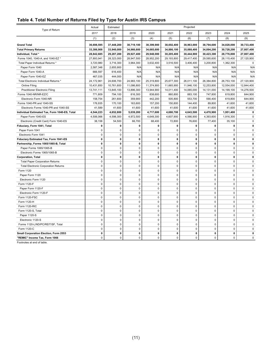#### **Table 4. Total Number of Returns Filed by Type for Austin IRS Campus**

|                                               | Actual       | Estimated   | Projected   |              |             |              |              |             |             |
|-----------------------------------------------|--------------|-------------|-------------|--------------|-------------|--------------|--------------|-------------|-------------|
| Type of Return                                | 2017         | 2018        | 2019        | 2020         | 2021        | 2022         | 2023         | 2024        | 2025        |
|                                               | (1)          | (2)         | (3)         | (4)          | (5)         | (6)          | (7)          | (8)         | (9)         |
| <b>Grand Total</b>                            | 36,698,595   | 37,448,200  | 38,719,100  | 38,399,900   | 38,692,400  | 38,963,000   | 38,794,600   | 34,028,000  | 30,733,400  |
| <b>Total Primary Returns</b>                  | 33,386,908   | 33,940,000  | 34,966,600  | 34,665,600   | 34,886,100  | 35,088,400   | 34,894,200   | 30,728,200  | 27,807,400  |
| Individual, Total *                           | 28,842,685   | 29,287,200  | 29,927,400  | 29,948,000   | 30,205,400  | 30,444,900   | 30,423,300   | 28,776,800  | 27,807,400  |
| Forms 1040, 1040-A, and 1040-EZ *             | 27,893,941   | 28,323,000  | 28,947,500  | 28,952,200   | 29,193,800  | 29,417,400   | 29,585,600   | 28,115,400  | 27,120,900  |
| Total Paper Individual Returns *              | 3,720,980    | 3,716,300   | 3,964,300   | 3,632,400    | 3,516,500   | 3,406,400    | 3,200,800    | 1,362,300   | $\mathbf 0$ |
| Paper Form 1040                               | 2,587,348    | 2,655,900   | N/A         | N/A          | N/A         | N/A          | N/A          | N/A         | N/A         |
| Paper Form 1040-A                             | 666,597      | 616,400     | N/A         | N/A          | N/A         | N/A          | N/A          | N/A         | N/A         |
| Paper Form 1040-EZ                            | 467,035      | 444,000     | N/A         | N/A          | N/A         | N/A          | N/A          | N/A         | N/A         |
| Total Electronic Individual Returns *         | 24,172,961   | 24,606,700  | 24,983,100  | 25,319,800   | 25,677,300  | 26,011,100   | 26,384,800   | 26,753,100  | 27,120,900  |
| Online Filing                                 | 10,431,850   | 10,761,600  | 11,086,800  | 11,374,900   | 11,665,900  | 11,946,100   | 12,253,800   | 12,554,000  | 12,844,400  |
| <b>Practitioner Electronic Filing</b>         | 13,741,111   | 13,845,100  | 13,896,300  | 13,944,900   | 14,011,400  | 14,065,000   | 14,131,000   | 14,199,100  | 14,276,500  |
| Forms 1040-NR/NR-EZ/C                         | 771,809      | 794,100     | 816,300     | 838,600      | 860,800     | 883,100      | 747,800      | 619,800     | 644,900     |
| Electronic Form 1040-NR                       | 158,754      | 261,600     | 359,900     | 442,200      | 505,800     | 553,700      | 590,400      | 619,800     | 644,900     |
| Forms 1040-PR and 1040-SS                     | 176,935      | 170,100     | 163,600     | 157,200      | 150,800     | 144,400      | 89,800       | 41,600      | 41,600      |
| Electronic Forms 1040-PR and 1040-SS          | 41,589       | 41,600      | 41,600      | 41,600       | 41,600      | 41,600       | 41,600       | 41,600      | 41,600      |
| Individual Estimated Tax, Form 1040-ES, Total | 4,544,223    | 4,652,800   | 5,039,200   | 4,717,600    | 4,680,700   | 4,643,500    | 4,470,900    | 1,951,400   | 0           |
| Paper Form 1040-ES                            | 4,506,066    | 4,598,300   | 4,972,500   | 4,649,300    | 4,607,900   | 4,566,900    | 4,393,600    | 1,916,300   | 0           |
| Electronic (Credit Card) Form 1040-ES         | 38,158       | 54,500      | 66,700      | 68,400       | 72,800      | 76,600       | 77,400       | 35,100      | 0           |
| Fiduciary, Form 1041, Total                   | 0            | 0           | 0           | $\mathbf 0$  | 0           | 0            | $\mathbf 0$  | 0           | 0           |
| Paper Form 1041                               | $\mathbf 0$  | $\mathbf 0$ | $\mathbf 0$ | $\mathbf 0$  | $\mathbf 0$ | $\mathbf 0$  | $\mathbf 0$  | 0           | 0           |
| Electronic Form 1041                          | $\mathbf 0$  | $\pmb{0}$   | $\pmb{0}$   | $\mathsf 0$  | $\mathbf 0$ | $\mathbf 0$  | $\mathbf 0$  | $\mathbf 0$ | 0           |
| Fiduciary Estimated Tax, Form 1041-ES         | $\mathbf{0}$ | $\mathbf 0$ | 0           | $\mathbf{0}$ | 0           | 0            | $\mathbf 0$  | 0           | 0           |
| Partnership, Forms 1065/1065-B, Total         | 0            | 0           | 0           | 0            | 0           | 0            | 0            | 0           | 0           |
| Paper Forms 1065/1065-B                       | $\mathbf 0$  | $\mathbf 0$ | 0           | $\mathbf 0$  | 0           | 0            | $\mathbf 0$  | 0           | 0           |
| Electronic Forms 1065/1065-B                  | $\mathbf 0$  | 0           | $\mathbf 0$ | $\mathbf 0$  | 0           | $\mathbf 0$  | $\mathbf 0$  | $\mathbf 0$ | $\mathbf 0$ |
| <b>Corporation, Total</b>                     | $\mathbf{0}$ | $\pmb{0}$   | 0           | $\mathbf{0}$ | 0           | $\mathbf{0}$ | $\mathbf{0}$ | 0           | 0           |
| <b>Total Paper Corporation Returns</b>        | $\mathbf 0$  | $\pmb{0}$   | 0           | $\mathbf 0$  | 0           | $\mathbf 0$  | $\mathbf 0$  | 0           | 0           |
| <b>Total Electronic Corporation Returns</b>   | $\mathsf 0$  | $\pmb{0}$   | $\pmb{0}$   | $\mathsf 0$  | $\pmb{0}$   | $\pmb{0}$    | $\pmb{0}$    | $\mathbf 0$ | 0           |
| Form 1120                                     | $\mathbf 0$  | $\pmb{0}$   | 0           | $\mathsf 0$  | 0           | $\mathbf 0$  | $\mathbf 0$  | $\mathbf 0$ | 0           |
| Paper Form 1120                               | $\mathbf 0$  | $\mathbf 0$ | 0           | $\mathbf 0$  | $\mathbf 0$ | $\mathbf 0$  | $\mathbf 0$  | $\mathbf 0$ | 0           |
| Electronic Form 1120                          | $\mathbf 0$  | $\pmb{0}$   | $\pmb{0}$   | $\mathbf 0$  | $\mathbf 0$ | $\mathbf 0$  | $\mathbf 0$  | 0           | $\mathbf 0$ |
| Form 1120-F                                   | $\mathbf 0$  | 0           | $\pmb{0}$   | $\mathsf 0$  | $\pmb{0}$   | $\mathbf 0$  | $\mathbf 0$  | $\mathbf 0$ | $\mathbf 0$ |
| Paper Form 1120-F                             | $\mathbf 0$  | 0           | $\mathbf 0$ | $\mathsf 0$  | 0           | $\pmb{0}$    | $\mathbf 0$  | $\mathbf 0$ | 0           |
| Electronic Form 1120-F                        | $\mathbf 0$  | 0           | $\mathbf 0$ | $\pmb{0}$    | 0           | $\mathbf 0$  | 0            | $\mathbf 0$ | 0           |
| Form 1120-FSC                                 | $\mathbf 0$  | $\mathbf 0$ | 0           | $\mathbf 0$  | 0           | 0            | $\mathbf 0$  | 0           | 0           |
| Form 1120-H                                   | $\mathbf 0$  | $\mathbf 0$ | 0           | $\mathbf 0$  | 0           | $\mathbf 0$  | $\mathbf 0$  | 0           | 0           |
| Form 1120-RIC                                 | $\mathbf 0$  | $\mathbf 0$ | 0           | $\mathbf 0$  | 0           | $\mathbf 0$  | $\mathbf 0$  | 0           | 0           |
| Form 1120-S, Total                            | $\mathbf 0$  | $\pmb{0}$   | $\mathbf 0$ | $\mathbf 0$  | $\mathbf 0$ | $\mathbf 0$  | $\Omega$     | $\mathbf 0$ | $\mathbf 0$ |
| Paper 1120-S                                  | $\mathsf 0$  | $\pmb{0}$   | $\pmb{0}$   | $\mathsf 0$  | $\pmb{0}$   | $\pmb{0}$    | $\pmb{0}$    | $\pmb{0}$   | 0           |
| Electronic 1120-S                             | $\mathsf 0$  | $\pmb{0}$   | $\mathbf 0$ | $\pmb{0}$    | 0           | $\mathbf 0$  | $\mathbf 0$  | $\mathbf 0$ | 0           |
| Forms 1120-L/ND/PC/REIT/SF, Total             | $\mathbf 0$  | $\mathbf 0$ | $\mathbf 0$ | $\mathbf 0$  | $\mathbf 0$ | $\mathbf 0$  | $\mathbf{0}$ | $\mathbf 0$ | 0           |
| Form 1120-C                                   | $\mathbf 0$  | $\mathbf 0$ | $\mathbf 0$ | $\mathbf 0$  | $\mathbf 0$ | $\mathbf 0$  | $\mathbf{0}$ | $\mathbf 0$ | 0           |
| Small Corporation Election, Form 2553         | $\mathbf 0$  | 0           | 0           | 0            | 0           | 0            | $\mathbf 0$  | 0           | 0           |
| "REMIC" Income Tax, Form 1066                 | $\pmb{0}$    | $\mathbf 0$ | $\mathbf 0$ | 0            | 0           | 0            | $\pmb{0}$    | $\mathbf 0$ | 0           |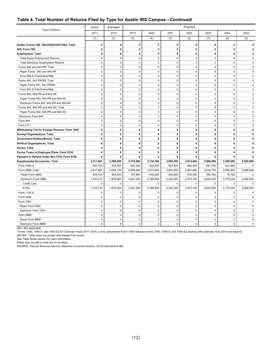#### **Table 4. Total Number of Returns Filed by Type for Austin IRS Campus—Continued**

|                                                          | Actual                     | Estimated    | Projected                  |                         |              |              |              |              |              |
|----------------------------------------------------------|----------------------------|--------------|----------------------------|-------------------------|--------------|--------------|--------------|--------------|--------------|
| Type of Return                                           | 2017                       | 2018         | 2019                       | 2020                    | 2021         | 2022         | 2023         | 2024         | 2025         |
|                                                          | (1)                        | (2)          | (3)                        | (4)                     | (5)          | (6)          | (7)          | (8)          | (9)          |
| Estate, Forms 706, 706-GS(D)/GS(T)/NA, Total             | $\mathbf 0$                | 0            | 0                          | 0                       | 0            | $\mathbf 0$  | $\mathbf 0$  | 0            | 0            |
| Gift, Form 709                                           | 0                          | 0            | 0                          | 0                       | 0            | $\mathbf 0$  | $\mathbf{0}$ | $\mathbf 0$  | 0            |
| <b>Employment, Total</b>                                 | $\mathbf{0}$               | $\mathbf 0$  | 0                          | $\mathbf 0$             | 0            | $\mathbf{0}$ | 0            | $\mathbf 0$  | 0            |
| <b>Total Paper Employment Returns</b>                    | $\mathbf 0$                | 0            | 0                          | 0                       | 0            | $\mathbf 0$  | $\mathbf 0$  | 0            | $\mathsf 0$  |
| <b>Total Electronic Employment Returns</b>               | $\mathbf{0}$               | $\mathbf 0$  | $\mathbf 0$                | $\mathbf 0$             | $\Omega$     | $\Omega$     | $\Omega$     | $\Omega$     | $\mathbf 0$  |
| Forms 940 and 940-PR, Total                              | $\mathbf 0$                | $\mathbf 0$  | $\pmb{0}$                  | $\mathbf 0$             | $\mathbf 0$  | $\mathbf 0$  | $\mathbf 0$  | $\mathbf 0$  | $\mathbf 0$  |
| Paper Forms 940 and 940-PR                               | $\mathsf 0$                | $\pmb{0}$    | 0                          | $\mathbf 0$             | $\mathbf 0$  | $\mathbf 0$  | $\mathbf 0$  | $\mathbf 0$  | $\mathsf 0$  |
| Form 940 E-File/Online/XML                               | $\mathbf 0$                | $\mathbf 0$  | $\pmb{0}$                  | $\mathbf 0$             | $\mathbf 0$  | $\mathbf 0$  | $\mathbf 0$  | $\mathbf 0$  | $\mathbf 0$  |
|                                                          | $\mathbf 0$                | $\mathbf 0$  | $\mathbf 0$                | $\mathbf 0$             | $\mathbf 0$  | $\mathbf 0$  | $\mathbf 0$  | $\mathbf 0$  | $\mathbf 0$  |
| Forms 941, 941-PR/SS, Total                              |                            | $\mathbf 0$  |                            | $\mathbf 0$             | $\mathbf 0$  | $\mathbf 0$  | $\mathbf 0$  | $\mathbf 0$  | $\mathbf 0$  |
| Paper Forms 941, 941-PR/SS<br>Form 941 E-File/Online/XML | $\mathsf 0$<br>$\mathbf 0$ | $\mathbf 0$  | 0<br>0                     | $\mathsf 0$             | 0            | $\mathbf 0$  | $\mathbf 0$  | $\pmb{0}$    | $\mathbf 0$  |
|                                                          |                            | $\mathbf 0$  | $\mathbf 0$                | $\mathbf 0$             | $\mathbf 0$  | $\mathbf 0$  | $\mathbf 0$  | $\mathbf 0$  | $\mathbf 0$  |
| Forms 943, 943-PR and 943-SS                             | $\mathbf 0$                | $\pmb{0}$    | $\mathbf 0$                | $\mathbf 0$             | $\mathbf 0$  | $\mathbf 0$  | $\mathbf 0$  | $\mathbf 0$  |              |
| Paper Forms 943, 943-PR and 943-SS                       | $\mathsf 0$<br>$\mathbf 0$ | $\mathbf 0$  |                            |                         | $\mathbf 0$  | $\mathbf 0$  | $\mathbf 0$  | $\mathbf 0$  | $\mathsf 0$  |
| Electronic Forms 943, 943-PR and 943-SS                  |                            |              | 0                          | $\mathsf 0$<br>$\Omega$ |              | $\Omega$     | $\Omega$     | $\Omega$     | $\mathbf 0$  |
| Forms 944, 944-PR and 944-SS, Total                      | $\mathbf 0$                | $\mathbf 0$  | $\mathbf 0$<br>$\mathbf 0$ |                         | $\mathbf 0$  |              |              |              | $\mathbf 0$  |
| Paper Forms 944, 944-PR and 944-SS                       | $\mathbf 0$                | $\mathbf 0$  |                            | $\mathbf 0$             | $\mathbf 0$  | $\mathbf 0$  | $\mathbf 0$  | $\mathbf 0$  | $\mathbf 0$  |
| Electronic Form 944                                      | $\mathbf 0$                | $\mathbf 0$  | $\mathbf 0$                | $\mathbf 0$             | $\mathbf 0$  | $\mathbf 0$  | $\mathbf 0$  | $\mathbf 0$  | $\mathbf 0$  |
| Form 945                                                 | $\mathbf 0$                | $\mathbf 0$  | 0                          | $\mathbf 0$             | $\mathbf 0$  | $\mathbf 0$  | $\mathbf 0$  | $\mathbf 0$  | 0            |
| Form CT-1                                                | $\mathbf 0$                | $\mathbf 0$  | 0                          | $\mathbf 0$             | $\mathbf 0$  | $\mathbf 0$  | $\mathbf 0$  | $\mathbf 0$  | $\mathbf 0$  |
| Withholding Tax for Foreign Persons, Form 1042           | $\pmb{0}$                  | 0            | 0                          | 0                       | $\pmb{0}$    | $\pmb{0}$    | $\mathbf 0$  | $\pmb{0}$    | 0            |
| <b>Exempt Organizations, Total</b>                       | $\mathbf 0$                | 0            | 0                          | 0                       | 0            | 0            | $\mathbf 0$  | $\mathbf{0}$ | 0            |
| <b>Government Entities/Bonds, Total</b>                  | $\mathbf 0$                | $\mathbf 0$  | 0                          | $\mathbf 0$             | 0            | $\mathbf 0$  | $\mathbf 0$  | $\mathbf 0$  | $\mathbf{0}$ |
| <b>Political Organizations, Total</b>                    | $\mathbf 0$                | 0            | 0                          | 0                       | $\mathbf 0$  | $\mathbf 0$  | $\mathbf 0$  | $\pmb{0}$    | 0            |
| Excise, Total                                            | $\mathbf 0$                | $\mathbf{0}$ | 0                          | $\mathbf 0$             | $\mathbf{0}$ | $\mathbf{0}$ | $\mathbf 0$  | $\mathbf 0$  | 0            |
| Excise Taxes re Employee Plans, Form 5330                | $\mathbf 0$                | $\pmb{0}$    | 0                          | $\mathbf 0$             | 0            | 0            | $\mathbf 0$  | $\mathbf 0$  | 0            |
| Payment or Refund Under Sec.7519, Form 8752              | $\mathbf{0}$               | 0            | 0                          | 0                       | 0            | 0            | $\mathbf{0}$ | 0            | 0            |
| <b>Supplemental Documents, Total</b>                     | 3,311,687                  | 3,508,200    | 3,752,500                  | 3,734,300               | 3,806,300    | 3,874,600    | 3,900,400    | 3,299,800    | 2,926,000    |
| Form 1040-X                                              | 693,720                    | 823,500      | 943,500                    | 924,300                 | 953,800      | 983,000      | 981,700      | 443,900      | 0            |
| Form 4868, Total                                         | 2,617,967                  | 2,684,700    | 2,809,000                  | 2,810,000               | 2,852,600    | 2,891,600    | 2,918,700    | 2,855,900    | 2,926,000    |
| Paper Form 4868                                          | 874,755                    | 805,200      | 787,800                    | 640,200                 | 530,600      | 418,500      | 294,700      | 79,700       | 0            |
| Electronic Form 4868                                     | 1,743,212                  | 1,879,500    | 2,021,200                  | 2,169,800               | 2,322,000    | 2,473,100    | 2,624,000    | 2,776,200    | 2,926,000    |
| <b>Credit Card</b>                                       | $\mathbf 0$                | $\mathbf 0$  | $\mathbf 0$                | $\mathbf 0$             | $\mathbf 0$  | $\mathbf 0$  | $\mathbf 0$  | $\mathbf 0$  | $\mathbf 0$  |
| E-File                                                   | 1,743,212                  | 1,879,500    | 2,021,200                  | 2,169,800               | 2,322,000    | 2,473,100    | 2,624,000    | 2,776,200    | 2,926,000    |
| Form 1120-X                                              | $\mathbf 0$                | $\mathbf 0$  | 0                          | $\Omega$                | $\Omega$     | $\Omega$     | $\Omega$     | $\Omega$     | $\Omega$     |
| Form 5558                                                | $\mathbf 0$                | $\mathbf 0$  | $\mathbf 0$                | $\mathbf 0$             | $\mathbf 0$  | $\mathbf 0$  | $\mathbf 0$  | $\mathbf 0$  | $\mathbf 0$  |
| Form 7004                                                | $\mathbf 0$                | $\mathbf 0$  | 0                          | $\mathbf 0$             | $\mathbf 0$  | $\mathbf 0$  | $\mathbf 0$  | $\mathbf 0$  | 0            |
| Paper Form 7004                                          | $\mathsf 0$                | $\mathbf 0$  | 0                          | $\mathbf 0$             | $\pmb{0}$    | $\pmb{0}$    | $\pmb{0}$    | $\pmb{0}$    | $\mathbf 0$  |
| Electronic Form 7004                                     | $\mathbf 0$                | $\mathbf 0$  | 0                          | $\mathbf 0$             | $\mathbf 0$  | $\mathbf 0$  | $\mathbf 0$  | $\mathbf 0$  | $\mathbf 0$  |
| Form 8868                                                | $\mathsf 0$                | $\pmb{0}$    | $\pmb{0}$                  | $\pmb{0}$               | $\mathbf 0$  | $\mathbf 0$  | $\mathbf 0$  | 0            | $\pmb{0}$    |
| Paper Form 8868                                          | $\mathbf 0$                | $\mathbf 0$  | 0                          | 0                       | $\mathbf 0$  | $\mathbf 0$  | $\mathbf 0$  | $\mathbf 0$  | $\mathbf 0$  |
| Electronic Form 8868                                     | $\mathbf 0$                | $\mathbf 0$  | $\Omega$                   | $\Omega$                | $\mathbf 0$  | $\Omega$     | $\Omega$     | $\Omega$     | 0            |

N/A—Not applicable.

\*Forms 1040, 1040-A, and 1040-EZ for Calendar Years 2017–2018; a new, streamlined Form 1040 replaces Forms 1040, 1040-A, and 1040-EZ starting with Calendar Year 2019 and beyond.

NOTES: Table does not contain Non-Master File counts.

See Table Notes section for more information.

Detail may not add to total due to rounding.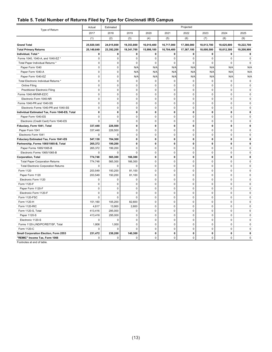#### **Table 5. Total Number of Returns Filed by Type for Cincinnati IRS Campus**

|                                               | Actual       | Projected<br>Estimated |              |             |             |             |              |              |             |
|-----------------------------------------------|--------------|------------------------|--------------|-------------|-------------|-------------|--------------|--------------|-------------|
| Type of Return                                | 2017         | 2018                   | 2019         | 2020        | 2021        | 2022        | 2023         | 2024         | 2025        |
|                                               | (1)          | (2)                    | (3)          | (4)         | (5)         | (6)         | (7)          | (8)          | (9)         |
| <b>Grand Total</b>                            | 25,920,545   | 24,015,800             | 19,353,800   | 16,010,400  | 16,717,000  | 17,380,000  | 18,013,700   | 18,625,800   | 19,222,700  |
| <b>Total Primary Returns</b>                  | 25,149,649   | 23,392,200             | 19,341,700   | 15,998,100  | 16,704,400  | 17,367,100  | 18,000,500   | 18,612,300   | 19,208,900  |
| Individual, Total *                           | $\mathbf 0$  | $\mathbf 0$            | $\mathbf 0$  | 0           | 0           | $\mathbf 0$ | $\mathbf 0$  | $\mathbf 0$  | 0           |
| Forms 1040, 1040-A, and 1040-EZ *             | $\mathbf 0$  | $\mathbf 0$            | $\mathbf 0$  | $\mathbf 0$ | $\mathbf 0$ | $\mathbf 0$ | $\mathbf 0$  | $\mathbf 0$  | $\mathbf 0$ |
| Total Paper Individual Returns *              | $\mathbf 0$  | $\mathbf 0$            | $\mathbf 0$  | $\mathbf 0$ | $\mathbf 0$ | $\Omega$    | $\Omega$     | $\Omega$     | $\mathbf 0$ |
| Paper Form 1040                               | $\mathbf 0$  | $\mathbf 0$            | N/A          | N/A         | N/A         | N/A         | N/A          | N/A          | N/A         |
| Paper Form 1040-A                             | $\mathbf 0$  | $\mathbf 0$            | N/A          | N/A         | N/A         | N/A         | N/A          | N/A          | N/A         |
| Paper Form 1040-EZ                            | $\mathbf 0$  | $\mathbf 0$            | N/A          | N/A         | N/A         | N/A         | N/A          | N/A          | N/A         |
| Total Electronic Individual Returns *         | $\mathbf 0$  | $\mathbf 0$            | $\mathbf 0$  | $\mathbf 0$ | $\mathbf 0$ | $\mathbf 0$ | $\mathbf 0$  | $\mathbf 0$  | $\mathbf 0$ |
| Online Filing                                 | $\mathbf 0$  | $\mathbf 0$            | $\mathbf 0$  | $\mathsf 0$ | $\mathbf 0$ | $\mathbf 0$ | $\mathbf 0$  | $\mathbf 0$  | $\mathbf 0$ |
| <b>Practitioner Electronic Filing</b>         | $\mathbf 0$  | $\mathbf 0$            | $\mathbf 0$  | $\mathsf 0$ | $\mathbf 0$ | $\Omega$    | $\Omega$     | 0            | 0           |
| Forms 1040-NR/NR-EZ/C                         | $\mathbf 0$  | 0                      | $\mathbf 0$  | $\mathbf 0$ | $\mathbf 0$ | 0           | $\mathbf 0$  | $\mathbf 0$  | $\mathbf 0$ |
| Electronic Form 1040-NR                       | $\mathbf 0$  | $\mathbf 0$            | $\mathbf 0$  | $\mathbf 0$ | $\mathbf 0$ | $\mathbf 0$ | $\mathbf 0$  | $\mathbf 0$  | $\mathbf 0$ |
| Forms 1040-PR and 1040-SS                     | $\mathbf 0$  | $\mathbf 0$            | $\mathbf 0$  | $\mathbf 0$ | $\mathbf 0$ | 0           | $\mathbf 0$  | $\mathbf 0$  | $\mathbf 0$ |
| Electronic Forms 1040-PR and 1040-SS          | $\mathbf 0$  | $\mathbf 0$            | $\mathbf 0$  | $\mathbf 0$ | $\mathbf 0$ | $\mathbf 0$ | $\mathbf 0$  | $\mathbf 0$  | $\mathbf 0$ |
| Individual Estimated Tax, Form 1040-ES, Total | $\mathbf{0}$ | $\mathbf{0}$           | $\mathbf{0}$ | $\mathbf 0$ | $\mathbf 0$ | 0           | $\mathbf{0}$ | $\mathbf 0$  | 0           |
| Paper Form 1040-ES                            | $\mathbf 0$  | $\mathbf 0$            | $\mathbf 0$  | $\mathbf 0$ | $\mathbf 0$ | 0           | $\mathbf 0$  | $\mathbf 0$  | $\mathbf 0$ |
| Electronic (Credit Card) Form 1040-ES         | $\mathbf 0$  | $\mathbf 0$            | $\mathbf 0$  | $\pmb{0}$   | 0           | $\pmb{0}$   | $\pmb{0}$    | $\pmb{0}$    | $\pmb{0}$   |
| Fiduciary, Form 1041, Total                   | 337,448      | 226,500                | $\pmb{0}$    | 0           | 0           | $\mathbf 0$ | 0            | $\mathbf 0$  | 0           |
| Paper Form 1041                               | 337,448      | 226,500                | $\mathbf 0$  | $\mathbf 0$ | 0           | 0           | $\pmb{0}$    | $\pmb{0}$    | $\pmb{0}$   |
| Electronic Form 1041                          | $\mathbf 0$  | $\mathbf 0$            | $\mathbf 0$  | $\mathbf 0$ | $\mathbf 0$ | $\mathbf 0$ | $\mathbf 0$  | $\mathbf 0$  | $\mathbf 0$ |
| <b>Fiduciary Estimated Tax, Form 1041-ES</b>  | 547,138      | 704,300                | $\pmb{0}$    | 0           | 0           | 0           | $\mathbf{0}$ | $\mathbf{0}$ | 0           |
| Partnership, Forms 1065/1065-B, Total         | 265,372      | 199,200                | 0            | 0           | 0           | 0           | 0            | 0            | 0           |
| Paper Forms 1065/1065-B                       | 265,372      | 199,200                | $\mathbf 0$  | $\mathbf 0$ | $\mathbf 0$ | $\mathbf 0$ | $\mathbf 0$  | $\mathbf 0$  | $\mathbf 0$ |
| Electronic Forms 1065/1065-B                  | $\mathbf 0$  | $\mathbf 0$            | $\mathbf 0$  | $\mathbf 0$ | $\mathbf 0$ | $\mathbf 0$ | $\mathbf 0$  | $\mathbf 0$  | $\mathbf 0$ |
| <b>Corporation, Total</b>                     | 774,748      | 565,300                | 166,300      | $\mathbf 0$ | $\mathbf 0$ | $\mathbf 0$ | $\mathbf 0$  | $\mathbf 0$  | 0           |
| <b>Total Paper Corporation Returns</b>        | 774,748      | 565,300                | 166,300      | $\mathbf 0$ | $\mathbf 0$ | $\mathbf 0$ | $\mathbf 0$  | $\mathbf 0$  | $\mathbf 0$ |
| <b>Total Electronic Corporation Returns</b>   | $\mathbf 0$  | $\mathbf 0$            | $\pmb{0}$    | $\pmb{0}$   | $\pmb{0}$   | 0           | $\mathbf 0$  | $\mathbf 0$  | 0           |
| Form 1120                                     | 203,549      | 150,200                | 81,100       | $\mathbf 0$ | $\mathbf 0$ | 0           | $\mathbf 0$  | $\mathbf 0$  | $\mathbf 0$ |
| Paper Form 1120                               | 203,549      | 150,200                | 81,100       | $\pmb{0}$   | $\pmb{0}$   | $\mathbf 0$ | $\pmb{0}$    | $\mathbf 0$  | $\mathbf 0$ |
| Electronic Form 1120                          | $\mathbf 0$  | 0                      | $\mathbf 0$  | $\mathbf 0$ | $\pmb{0}$   | $\pmb{0}$   | $\pmb{0}$    | $\mathbf 0$  | $\mathbf 0$ |
| Form 1120-F                                   | $\mathbf 0$  | $\mathbf 0$            | $\mathbf 0$  | $\mathbf 0$ | $\mathbf 0$ | 0           | $\mathbf 0$  | 0            | $\mathbf 0$ |
| Paper Form 1120-F                             | $\mathbf 0$  | $\mathbf 0$            | $\mathsf 0$  | $\mathbf 0$ | $\mathbf 0$ | 0           | 0            | 0            | 0           |
| Electronic Form 1120-F                        | $\mathbf 0$  | $\mathbf 0$            | $\mathbf 0$  | $\mathbf 0$ | $\mathbf 0$ | 0           | $\mathbf 0$  | 0            | $\mathbf 0$ |
| Form 1120-FSC                                 | $\mathbf 0$  | $\mathbf 0$            | $\mathbf 0$  | $\mathbf 0$ | $\mathbf 0$ | $\mathbf 0$ | $\mathbf 0$  | $\mathbf 0$  | $\mathbf 0$ |
| Form 1120-H                                   | 151,160      | 105,200                | 82,600       | $\mathbf 0$ | $\mathbf 0$ | $\mathbf 0$ | $\mathbf 0$  | $\mathbf 0$  | $\mathbf 0$ |
| Form 1120-RIC                                 | 4,817        | 13,900                 | 2,600        | $\mathbf 0$ | 0           | $\mathbf 0$ | $\mathbf 0$  | $\mathbf 0$  | $\mathbf 0$ |
| Form 1120-S, Total                            | 413,416      | 295,000                | $\mathbf 0$  | $\mathbf 0$ | $\mathbf 0$ | $\mathbf 0$ | $\mathbf 0$  | $\mathbf 0$  | $\mathbf 0$ |
| Paper 1120-S                                  | 413,416      | 295,000                | $\mathbf 0$  | $\mathbf 0$ | $\mathbf 0$ | $\mathbf 0$ | $\mathbf 0$  | $\mathbf 0$  | $\mathbf 0$ |
| Electronic 1120-S                             | $\mathbf 0$  | $\mathbf 0$            | $\mathbf 0$  | $\mathbf 0$ | $\mathbf 0$ | $\mathbf 0$ | 0            | $\mathbf 0$  | $\mathbf 0$ |
| Forms 1120-L/ND/PC/REIT/SF, Total             | 1,806        | 1,000                  | $\mathbf 0$  | $\pmb{0}$   | $\pmb{0}$   | 0           | $\pmb{0}$    | $\mathbf 0$  | $\pmb{0}$   |
| Form 1120-C                                   | $\mathbf 0$  | $\mathbf 0$            | $\mathbf 0$  | $\mathbf 0$ | $\mathbf 0$ | $\mathbf 0$ | $\mathbf 0$  | $\pmb{0}$    | $\pmb{0}$   |
| Small Corporation Election, Form 2553         | 231,472      | 238,200                | 140,300      | 0           | 0           | 0           | $\mathbf 0$  | 0            | 0           |
| "REMIC" Income Tax, Form 1066                 | $\mathbf 0$  | $\mathbf 0$            | $\mathbf 0$  | $\mathsf 0$ | $\pmb{0}$   | 0           | 0            | 0            | 0           |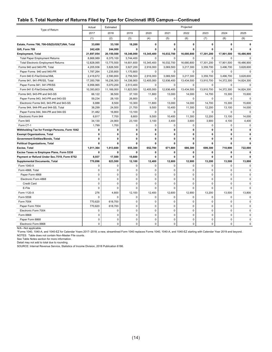#### **Table 5. Total Number of Returns Filed by Type for Cincinnati IRS Campus—Continued**

|                                                | Actual       | Estimated    |             |             |              | Projected    |             |             |              |  |
|------------------------------------------------|--------------|--------------|-------------|-------------|--------------|--------------|-------------|-------------|--------------|--|
| Type of Return                                 | 2017         | 2018         | 2019        | 2020        | 2021         | 2022         | 2023        | 2024        | 2025         |  |
|                                                | (1)          | (2)          | (3)         | (4)         | (5)          | (6)          | (7)         | (8)         | (9)          |  |
| Estate, Forms 706, 706-GS(D)/GS(T)/NA, Total   | 33,690       | 33,100       | 18,200      | 0           | $\mathbf{0}$ | $\mathbf{0}$ | 0           | 0           | 0            |  |
| Gift, Form 709                                 | 242,426      | 244,000      | 0           | 0           | 0            | $\mathbf{0}$ | 0           | 0           | $\mathbf{r}$ |  |
| <b>Employment, Total</b>                       | 21,697,054   | 20,150,500   | 18,346,000  | 15,345,400  | 16,032,700   | 16.680.800   | 17,301,200  | 17.901.500  | 18.486.900   |  |
| <b>Total Paper Employment Returns</b>          | 8,868,989    | 6,375,100    | 3,744,400   | $\Omega$    | $\Omega$     | $\Omega$     | $\Omega$    | $\Omega$    | $\mathbf 0$  |  |
| <b>Total Electronic Employment Returns</b>     | 12,828,065   | 13,775,500   | 14,601,600  | 15,345,400  | 16,032,700   | 16,680,800   | 17,301,200  | 17,901,500  | 18,486,900   |  |
| Forms 940 and 940-PR, Total                    | 4,205,936    | 3,826,500    | 3,927,200   | 2,916,000   | 3,069,500    | 3,217,300    | 3,359,700   | 3,496,700   | 3,628,600    |  |
| Paper Forms 940 and 940-PR                     | 1,787,264    | 1,235,800    | 1,170,800   | 0           | $\mathbf 0$  | $\mathbf 0$  | 0           | $\mathbf 0$ | $\mathbf 0$  |  |
| Form 940 E-File/Online/XML                     | 2,418,672    | 2,590,800    | 2,756,500   | 2,916,000   | 3,069,500    | 3,217,300    | 3,359,700   | 3,496,700   | 3,628,600    |  |
| Forms 941, 941-PR/SS, Total                    | 17,350,768   | 16,236,300   | 14,336,900  | 12,405,000  | 12,936,400   | 13,434,500   | 13,910,700  | 14,372,300  | 14,824,300   |  |
| Paper Forms 941, 941-PR/SS                     | 6,956,965    | 5,070,200    | 2,513,400   | $\Omega$    | $\Omega$     | $\Omega$     | $\Omega$    | $\Omega$    | $\mathbf 0$  |  |
| Form 941 E-File/Online/XML                     | 10,393,803   | 11,166,000   | 11,823,500  | 12,405,000  | 12,936,400   | 13,434,500   | 13,910,700  | 14,372,300  | 14,824,300   |  |
| Forms 943, 943-PR and 943-SS                   | 66,122       | 36,500       | 37,100      | 11,800      | 13,000       | 14,000       | 14,700      | 15,300      | 15,600       |  |
| Paper Forms 943, 943-PR and 943-SS             | 59,234       | 28,100       | 26,800      | 0           | 0            | 0            | 0           | $\mathbf 0$ | $\pmb{0}$    |  |
| Electronic Forms 943, 943-PR and 943-SS        | 6,888        | 8,500        | 10,300      | 11,800      | 13,000       | 14,000       | 14,700      | 15,300      | 15,600       |  |
| Forms 944, 944-PR and 944-SS, Total            | 38,299       | 24,500       | 21,700      | 9,500       | 10,400       | 11,300       | 12,200      | 13,100      | 14,000       |  |
| Paper Forms 944, 944-PR and 944-SS             | 31,482       | 16,800       | 13,100      | 0           | $\mathbf 0$  | 0            | 0           | $\mathbf 0$ | 0            |  |
| Electronic Form 944                            | 6,817        | 7,700        | 8,600       | 9,500       | 10,400       | 11,300       | 12,200      | 13,100      | 14.000       |  |
| Form 945                                       | 34,130       | 24,900       | 23,100      | 3,100       | 3,400        | 3,600        | 3,900       | 4,100       | 4,400        |  |
| Form CT-1                                      | 1,799        | 1,700        | $\mathbf 0$ | $\mathbf 0$ | $\mathbf 0$  | 0            | $\Omega$    | $\Omega$    | $\mathbf 0$  |  |
| Withholding Tax for Foreign Persons, Form 1042 | 0            | 0            | 0           | 0           | 0            | 0            | 0           | 0           | 0            |  |
| <b>Exempt Organizations, Total</b>             | $\mathbf{0}$ | 0            | 0           | 0           | 0            | 0            | 0           | 0           | 0            |  |
| <b>Government Entities/Bonds, Total</b>        | $\mathbf{0}$ | $\mathbf{0}$ | 0           | 0           | $\mathbf{0}$ | 0            | 0           | 0           | 0            |  |
| <b>Political Organizations, Total</b>          | $\mathbf{0}$ | 0            | 0           | 0           | 0            | 0            | 0           | 0           | 0            |  |
| Excise, Total                                  | 1,011,364    | 1,013,600    | 655.300     | 652,700     | 671,600      | 686.300      | 699.300     | 710,900     | 722,000      |  |
| Excise Taxes re Employee Plans, Form 5330      | 0            | 0            | 0           | 0           | 0            | 0            | 0           | 0           | 0            |  |
| Payment or Refund Under Sec.7519, Form 8752    | 8,937        | 17,500       | 15,600      | 0           | 0            | 0            | 0           | 0           | 0            |  |
| <b>Supplemental Documents, Total</b>           | 770,896      | 623,500      | 12,100      | 12,400      | 12,600       | 12,900       | 13,200      | 13,500      | 13,800       |  |
| Form 1040-X                                    | $\mathbf 0$  | 0            | 0           | $\Omega$    | $\Omega$     | $\Omega$     | $\Omega$    | $\Omega$    | $\Omega$     |  |
| Form 4868, Total                               | $\Omega$     | $\mathbf 0$  | 0           | $\mathbf 0$ | $\Omega$     | $\Omega$     | $\Omega$    | $\Omega$    | $\Omega$     |  |
| Paper Form 4868                                | $\mathbf 0$  | 0            | 0           | $\mathbf 0$ | $\mathbf 0$  | 0            | $\mathbf 0$ | 0           | $\mathbf 0$  |  |
| Electronic Form 4868                           | $\mathbf 0$  | 0            | 0           | $\Omega$    | $\mathbf 0$  | $\Omega$     | 0           | $\Omega$    | $\Omega$     |  |
| Credit Card                                    | $\mathbf 0$  | 0            | $\mathbf 0$ | 0           | $\pmb{0}$    | 0            | 0           | $\mathbf 0$ | $\mathbf 0$  |  |
| E-File                                         | $\mathbf 0$  | $\mathbf 0$  | 0           | 0           | $\mathbf 0$  | 0            | 0           | 0           | $\mathbf 0$  |  |
| Form 1120-X                                    | 276          | 4,800        | 12,100      | 12,400      | 12,600       | 12,900       | 13,200      | 13,500      | 13,800       |  |
| Form 5558                                      | $\mathbf 0$  | 0            | 0           | $\mathbf 0$ | $\mathbf 0$  | $\mathbf 0$  | $\mathbf 0$ | $\mathbf 0$ | $\mathbf 0$  |  |
| Form 7004                                      | 770,620      | 618,700      | 0           | $\mathbf 0$ | 0            | 0            | $\mathbf 0$ | $\mathbf 0$ | $\mathbf 0$  |  |
| Paper Form 7004                                | 770,620      | 618,700      | 0           | $\mathbf 0$ | 0            | 0            | $\mathbf 0$ | 0           | 0            |  |
| Electronic Form 7004                           | $\mathbf 0$  | $\mathbf 0$  | 0           | $\mathbf 0$ | 0            | 0            | $\mathbf 0$ | $\mathbf 0$ | $\mathbf 0$  |  |
| Form 8868                                      | $\mathbf 0$  | $\pmb{0}$    | 0           | 0           | $\pmb{0}$    | 0            | 0           | 0           | 0            |  |
| Paper Form 8868                                | $\mathbf 0$  | $\mathbf 0$  | $\mathbf 0$ | 0           | $\mathbf 0$  | 0            | 0           | 0           | 0            |  |
| Electronic Form 8868                           | $\Omega$     | $\mathbf 0$  | $\mathbf 0$ | $\mathbf 0$ | $\Omega$     | $\Omega$     | $\Omega$    | $\Omega$    | $\mathbf 0$  |  |

N/A—Not applicable.

\*Forms 1040, 1040-A, and 1040-EZ for Calendar Years 2017–2018; a new, streamlined Form 1040 replaces Forms 1040, 1040-A, and 1040-EZ starting with Calendar Year 2019 and beyond.

NOTES: Table does not contain Non-Master File counts.

See Table Notes section for more information.

Detail may not add to total due to rounding.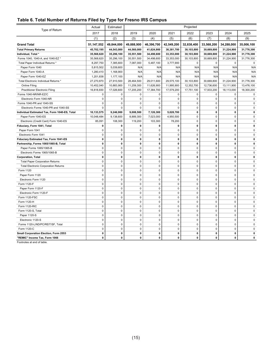#### **Table 6. Total Number of Returns Filed by Type for Fresno IRS Campus**

|                                               | Actual      | Estimated   |             |             |             | Projected   |              |             |             |  |
|-----------------------------------------------|-------------|-------------|-------------|-------------|-------------|-------------|--------------|-------------|-------------|--|
| Type of Return                                | 2017        | 2018        | 2019        | 2020        | 2021        | 2022        | 2023         | 2024        | 2025        |  |
|                                               | (1)         | (2)         | (3)         | (4)         | (5)         | (6)         | (7)          | (8)         | (9)         |  |
| <b>Grand Total</b>                            | 51,147,552  | 49,844,000  | 49,888,900  | 46,396,700  | 42,549,200  | 32,838,400  | 33,568,200   | 34,288,000  | 35,006,100  |  |
| <b>Total Primary Returns</b>                  | 45,702,195  | 44,543,000  | 44,560,000  | 41,624,900  | 38,381,700  | 30,103,800  | 30,669,800   | 31,224,900  | 31,776,300  |  |
| Individual, Total *                           | 35,568,620  | 35,296,100  | 35,551,500  | 34,498,600  | 33,353,000  | 30,103,800  | 30,669,800   | 31,224,900  | 31,776,300  |  |
| Forms 1040, 1040-A, and 1040-EZ *             | 35,568,620  | 35,296,100  | 35,551,500  | 34,498,600  | 33,353,000  | 30,103,800  | 30,669,800   | 31,224,900  | 31,776,300  |  |
| Total Paper Individual Returns *              | 8,297,750   | 7,385,600   | 7,087,000   | 5,487,100   | 3,777,900   | $\mathbf 0$ | $\mathbf 0$  | $\mathbf 0$ | $\mathbf 0$ |  |
| Paper Form 1040                               | 5,815,502   | 5,039,600   | N/A         | N/A         | N/A         | N/A         | N/A          | N/A         | N/A         |  |
| Paper Form 1040-A                             | 1,280,410   | 1,168,900   | N/A         | N/A         | N/A         | N/A         | N/A          | N/A         | N/A         |  |
| Paper Form 1040-EZ                            | 1,201,838   | 1,177,100   | N/A         | N/A         | N/A         | N/A         | N/A          | N/A         | N/A         |  |
| Total Electronic Individual Returns *         | 27,270,870  | 27,910,500  | 28,464,500  | 29,011,600  | 29,575,100  | 30,103,800  | 30,669,800   | 31,224,900  | 31,776,300  |  |
| Online Filing                                 | 10,452,040  | 10,883,900  | 11,259,300  | 11,626,900  | 11,995,900  | 12,352,700  | 12,736,600   | 13,111,900  | 13,476,100  |  |
| <b>Practitioner Electronic Filing</b>         | 16,818,830  | 17,026,600  | 17,205,200  | 17,384,700  | 17,579,200  | 17,751,100  | 17,933,200   | 18,113,000  | 18,300,200  |  |
| Forms 1040-NR/NR-EZ/C                         | 0           | 0           | 0           | 0           | 0           | $\mathbf 0$ | 0            | 0           | 0           |  |
| Electronic Form 1040-NR                       | $\mathbf 0$ | 0           | $\mathbf 0$ | 0           | $\mathbf 0$ | $\mathbf 0$ | $\mathbf 0$  | 0           | $\mathbf 0$ |  |
| Forms 1040-PR and 1040-SS                     | $\mathbf 0$ | $\mathbf 0$ | $\mathbf 0$ | 0           | $\mathbf 0$ | $\mathbf 0$ | $\mathbf 0$  | 0           | $\mathbf 0$ |  |
| Electronic Forms 1040-PR and 1040-SS          | $\mathbf 0$ | 0           | $\mathbf 0$ | $\mathbf 0$ | $\Omega$    | $\mathbf 0$ | $\mathbf 0$  | 0           | $\mathbf 0$ |  |
| Individual Estimated Tax, Form 1040-ES, Total | 10,133,575  | 9,246,900   | 9,008,500   | 7,126,300   | 5,028,700   | $\mathbf 0$ | 0            | $\mathbf 0$ | $\mathbf 0$ |  |
| Paper Form 1040-ES                            | 10,048,484  | 9,138,600   | 8,889,300   | 7,023,000   | 4,950,500   | $\mathbf 0$ | $\mathsf 0$  | $\mathbf 0$ | $\pmb{0}$   |  |
| Electronic (Credit Card) Form 1040-ES         | 85,091      | 108,300     | 119,200     | 103,300     | 78,200      | $\mathbf 0$ | $\mathbf 0$  | 0           | $\mathbf 0$ |  |
| Fiduciary, Form 1041, Total                   | $\mathbf 0$ | 0           | $\mathbf 0$ | 0           | $\mathbf 0$ | $\mathbf 0$ | 0            | 0           | $\mathbf 0$ |  |
| Paper Form 1041                               | $\mathbf 0$ | $\mathbf 0$ | $\mathbf 0$ | $\pmb{0}$   | $\mathbf 0$ | $\mathbf 0$ | $\mathbf 0$  | 0           | 0           |  |
| Electronic Form 1041                          | $\mathbf 0$ | $\mathbf 0$ | $\mathsf 0$ | $\pmb{0}$   | $\mathbf 0$ | $\mathbf 0$ | $\mathbf 0$  | 0           | $\mathbf 0$ |  |
| Fiduciary Estimated Tax, Form 1041-ES         | $\mathbf 0$ | $\mathbf 0$ | $\mathbf 0$ | 0           | $\mathbf 0$ | $\mathbf 0$ | 0            | $\mathbf 0$ | $\mathbf 0$ |  |
| Partnership, Forms 1065/1065-B, Total         | $\mathbf 0$ | 0           | 0           | 0           | 0           | 0           | 0            | 0           | 0           |  |
| Paper Forms 1065/1065-B                       | $\mathbf 0$ | 0           | $\mathbf 0$ | 0           | $\mathbf 0$ | 0           | $\mathbf 0$  | 0           | $\mathbf 0$ |  |
| Electronic Forms 1065/1065-B                  | $\mathbf 0$ | $\mathbf 0$ | $\mathbf 0$ | $\mathbf 0$ | $\mathbf 0$ | $\mathbf 0$ | $\mathbf 0$  | 0           | $\mathbf 0$ |  |
| <b>Corporation, Total</b>                     | $\mathbf 0$ | $\mathbf 0$ | $\mathbf 0$ | 0           | $\mathbf 0$ | $\mathbf 0$ | 0            | 0           | $\mathbf 0$ |  |
| <b>Total Paper Corporation Returns</b>        | $\mathbf 0$ | $\mathbf 0$ | $\mathbf 0$ | 0           | $\mathbf 0$ | $\mathbf 0$ | $\mathbf 0$  | 0           | $\mathbf 0$ |  |
| <b>Total Electronic Corporation Returns</b>   | $\pmb{0}$   | $\mathsf 0$ | $\pmb{0}$   | $\mathbf 0$ | $\mathsf 0$ | $\pmb{0}$   | $\mathsf 0$  | 0           | 0           |  |
| Form 1120                                     | 0           | $\mathbf 0$ | $\pmb{0}$   | $\mathbf 0$ | $\mathsf 0$ | $\mathbf 0$ | $\mathbf 0$  | 0           | 0           |  |
| Paper Form 1120                               | $\mathbf 0$ | $\mathbf 0$ | $\mathbf 0$ | 0           | $\mathbf 0$ | $\mathbf 0$ | $\mathbf 0$  | 0           | $\mathbf 0$ |  |
| Electronic Form 1120                          | $\mathbf 0$ | $\mathbf 0$ | $\pmb{0}$   | $\pmb{0}$   | $\mathbf 0$ | $\mathbf 0$ | $\mathbf 0$  | $\mathbf 0$ | 0           |  |
| Form 1120-F                                   | $\mathbf 0$ | $\mathbf 0$ | $\pmb{0}$   | $\pmb{0}$   | $\pmb{0}$   | $\mathbf 0$ | $\mathbf 0$  | $\mathbf 0$ | $\mathbf 0$ |  |
| Paper Form 1120-F                             | 0           | $\pmb{0}$   | $\pmb{0}$   | $\mathbf 0$ | $\pmb{0}$   | $\pmb{0}$   | $\mathbf 0$  | 0           | 0           |  |
| Electronic Form 1120-F                        | 0           | $\mathbf 0$ | $\pmb{0}$   | 0           | $\mathbf 0$ | 0           | 0            | 0           | $\mathbf 0$ |  |
| Form 1120-FSC                                 | $\mathbf 0$ | 0           | $\mathbf 0$ | 0           | $\mathbf 0$ | $\mathbf 0$ | $\mathbf 0$  | 0           | $\mathbf 0$ |  |
| Form 1120-H                                   | $\mathbf 0$ | $\mathbf 0$ | $\mathbf 0$ | 0           | $\mathbf 0$ | $\mathbf 0$ | $\mathbf 0$  | 0           | $\mathbf 0$ |  |
| Form 1120-RIC                                 | $\mathbf 0$ | $\mathbf 0$ | $\mathbf 0$ | 0           | $\mathbf 0$ | $\mathbf 0$ | $\mathbf 0$  | $\mathbf 0$ | $\mathbf 0$ |  |
| Form 1120-S, Total                            | $\mathbf 0$ | $\mathbf 0$ | $\mathbf 0$ | $\mathbf 0$ | $\mathbf 0$ | $\mathbf 0$ | $\mathbf 0$  | $\mathbf 0$ | $\mathbf 0$ |  |
| Paper 1120-S                                  | $\pmb{0}$   | 0           | $\pmb{0}$   | $\pmb{0}$   | $\pmb{0}$   | $\pmb{0}$   | $\mathbf 0$  | $\mathbf 0$ | $\mathsf 0$ |  |
| Electronic 1120-S                             | $\mathsf 0$ | $\mathbf 0$ | $\pmb{0}$   | $\mathbf 0$ | $\pmb{0}$   | $\mathbf 0$ | $\mathbf 0$  | 0           | 0           |  |
| Forms 1120-L/ND/PC/REIT/SF, Total             | $\mathbf 0$ | 0           | $\mathbf 0$ | $\mathbf 0$ | $\mathbf 0$ | $\mathbf 0$ | $\mathbf 0$  | 0           | 0           |  |
| Form 1120-C                                   | $\mathbf 0$ | $\mathbf 0$ | $\mathbf 0$ | 0           | $\mathbf 0$ | $\mathbf 0$ | $\mathbf 0$  | 0           | 0           |  |
| Small Corporation Election, Form 2553         | $\mathbf 0$ | 0           | $\mathbf 0$ | 0           | $\mathbf 0$ | 0           | $\mathbf{0}$ | 0           | $\mathbf 0$ |  |
| "REMIC" Income Tax, Form 1066                 | $\pmb{0}$   | 0           | $\pmb{0}$   | 0           | $\pmb{0}$   | 0           | $\pmb{0}$    | 0           | $\pmb{0}$   |  |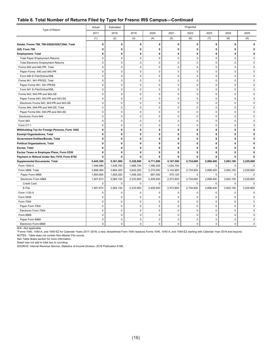#### **Table 6. Total Number of Returns Filed by Type for Fresno IRS Campus—Continued**

|                                                | Actual       | Estimated   |              |             |              | Projected   |              |              |             |
|------------------------------------------------|--------------|-------------|--------------|-------------|--------------|-------------|--------------|--------------|-------------|
| Type of Return                                 | 2017         | 2018        | 2019         | 2020        | 2021         | 2022        | 2023         | 2024         | 2025        |
|                                                | (1)          | (2)         | (3)          | (4)         | (5)          | (6)         | (7)          | (8)          | (9)         |
| Estate, Forms 706, 706-GS(D)/GS(T)/NA, Total   | 0            | 0           | $\mathbf 0$  | 0           | $\mathbf{0}$ | 0           | $\mathbf{0}$ | 0            | 0           |
| Gift, Form 709                                 | 0            | 0           | 0            | 0           | $\mathbf 0$  | 0           | $\mathbf 0$  | 0            | 0           |
| <b>Employment, Total</b>                       | 0            | 0           | 0            | 0           | $\mathbf 0$  | 0           | $\mathbf 0$  | 0            | 0           |
| <b>Total Paper Employment Returns</b>          | $\mathbf 0$  | $\mathbf 0$ | $\mathbf 0$  | 0           | $\mathbf 0$  | $\mathbf 0$ | $\mathbf 0$  | 0            | $\mathbf 0$ |
| <b>Total Electronic Employment Returns</b>     | $\mathbf 0$  | 0           | $\mathbf 0$  | $\pmb{0}$   | $\mathbf 0$  | $\mathbf 0$ | $\mathbf 0$  | $\mathbf 0$  | $\mathbf 0$ |
| Forms 940 and 940-PR, Total                    | $\mathbf 0$  | $\mathbf 0$ | $\mathbf 0$  | $\mathbf 0$ | $\mathbf 0$  | $\mathbf 0$ | $\mathbf 0$  | $\mathbf 0$  | $\mathbf 0$ |
| Paper Forms 940 and 940-PR                     | $\mathbf 0$  | $\mathbf 0$ | $\mathbf 0$  | $\mathbf 0$ | $\mathbf 0$  | $\mathbf 0$ | $\mathbf 0$  | 0            | $\mathbf 0$ |
| Form 940 E-File/Online/XML                     | $\mathbf 0$  | 0           | $\mathbf 0$  | 0           | $\mathbf 0$  | $\mathbf 0$ | $\mathbf 0$  | 0            | $\mathbf 0$ |
| Forms 941, 941-PR/SS, Total                    | $\mathbf 0$  | $\mathbf 0$ | $\mathbf 0$  | $\mathbf 0$ | $\mathbf 0$  | $\mathbf 0$ | $\mathbf 0$  | $\mathbf 0$  | $\mathbf 0$ |
| Paper Forms 941, 941-PR/SS                     | $\mathbf 0$  | $\mathbf 0$ | $\mathbf 0$  | $\mathbf 0$ | $\mathbf 0$  | $\mathbf 0$ | $\Omega$     | $\mathbf 0$  | $\mathbf 0$ |
| Form 941 E-File/Online/XML                     | $\mathbf 0$  | $\mathbf 0$ | 0            | 0           | $\mathsf 0$  | $\mathbf 0$ | $\mathbf 0$  | $\mathbf 0$  | $\mathbf 0$ |
| Forms 943, 943-PR and 943-SS                   | $\mathbf 0$  | $\mathbf 0$ | $\mathbf 0$  | $\mathbf 0$ | $\mathbf 0$  | $\mathbf 0$ | $\mathbf 0$  | $\mathbf 0$  | $\mathbf 0$ |
| Paper Forms 943, 943-PR and 943-SS             | $\mathsf 0$  | 0           | $\mathsf 0$  | $\pmb{0}$   | $\mathsf 0$  | $\mathbf 0$ | $\mathbf 0$  | $\pmb{0}$    | $\pmb{0}$   |
| Electronic Forms 943, 943-PR and 943-SS        | $\mathbf 0$  | $\mathbf 0$ | $\mathsf 0$  | 0           | $\mathsf 0$  | $\mathbf 0$ | $\mathbf 0$  | $\mathbf 0$  | $\mathbf 0$ |
| Forms 944, 944-PR and 944-SS, Total            | $\mathbf 0$  | $\mathbf 0$ | $\mathbf 0$  | $\mathbf 0$ | $\mathbf 0$  | $\mathbf 0$ | $\mathbf 0$  | $\mathbf 0$  | $\mathbf 0$ |
| Paper Forms 944, 944-PR and 944-SS             | $\mathsf 0$  | 0           | $\pmb{0}$    | $\pmb{0}$   | $\mathsf 0$  | $\mathbf 0$ | $\mathbf{0}$ | $\pmb{0}$    | $\pmb{0}$   |
| Electronic Form 944                            | $\mathbf 0$  | $\mathbf 0$ | $\mathbf 0$  | 0           | $\mathsf 0$  | $\mathbf 0$ | $\mathbf 0$  | $\mathbf 0$  | $\mathbf 0$ |
| Form 945                                       | $\mathbf 0$  | $\mathbf 0$ | $\mathbf 0$  | $\mathbf 0$ | $\mathbf 0$  | $\mathbf 0$ | $\Omega$     | $\mathbf 0$  | $\Omega$    |
| Form CT-1                                      | $\mathsf 0$  | $\mathbf 0$ | $\pmb{0}$    | 0           | $\mathsf 0$  | $\mathbf 0$ | $\mathbf 0$  | $\pmb{0}$    | $\mathbf 0$ |
| Withholding Tax for Foreign Persons, Form 1042 | $\mathbf 0$  | 0           | $\mathbf 0$  | 0           | 0            | 0           | $\mathbf 0$  | 0            | $\mathbf 0$ |
| <b>Exempt Organizations, Total</b>             | $\mathbf{0}$ | 0           | $\mathbf{0}$ | 0           | $\mathbf{0}$ | 0           | $\mathbf{0}$ | 0            | 0           |
| Government Entities/Bonds, Total               | $\mathbf 0$  | 0           | $\mathbf 0$  | 0           | 0            | 0           | $\mathbf 0$  | 0            | 0           |
| <b>Political Organizations, Total</b>          | $\mathbf 0$  | 0           | $\mathbf 0$  | 0           | $\mathbf 0$  | 0           | $\mathbf 0$  | 0            | 0           |
| Excise, Total                                  | $\mathbf{0}$ | 0           | $\mathbf{0}$ | 0           | $\mathbf{0}$ | 0           | $\mathbf{0}$ | $\mathbf{0}$ | 0           |
| Excise Taxes re Employee Plans, Form 5330      | 0            | 0           | $\mathbf 0$  | 0           | 0            | 0           | $\mathbf 0$  | 0            | 0           |
| Payment or Refund Under Sec.7519, Form 8752    | 0            | 0           | $\mathbf 0$  | 0           | 0            | 0           | $\mathbf 0$  | 0            | 0           |
| <b>Supplemental Documents, Total</b>           | 5,445,358    | 5,301,000   | 5,328,900    | 4,771,800   | 4,167,500    | 2,734,600   | 2,898,400    | 3,063,100    | 3,229,800   |
| Form 1040-X                                    | 1,546,989    | 1,636,700   | 1,686,700    | 1,396,300   | 1,024,700    | 0           | $\Omega$     | $\mathbf 0$  | 0           |
| Form 4868, Total                               | 3,898,369    | 3,664,300   | 3,642,200    | 3,375,500   | 3,142,900    | 2,734,600   | 2,898,400    | 3,063,100    | 3,229,800   |
| Paper Form 4868                                | 1,950,695    | 1,600,200   | 1,408,300    | 967,000     | 570,100      | $\mathbf 0$ | $\mathbf 0$  | 0            | $\mathsf 0$ |
| Electronic Form 4868                           | 1,947,673    | 2,064,100   | 2,233,900    | 2,408,500   | 2,572,800    | 2,734,600   | 2,898,400    | 3,063,100    | 3,229,800   |
| Credit Card                                    | $\mathbf 0$  | $\Omega$    | $\mathbf 0$  | 0           | $\mathbf 0$  | $\Omega$    | $\mathbf 0$  | 0            | $\mathbf 0$ |
| E-File                                         | 1,947,673    | 2,064,100   | 2,233,900    | 2,408,500   | 2,572,800    | 2,734,600   | 2,898,400    | 3,063,100    | 3,229,800   |
| Form 1120-X                                    | 0            | 0           | $\mathbf 0$  | 0           | $\mathbf 0$  | $\mathbf 0$ | $\mathbf 0$  | 0            | $\mathbf 0$ |
| Form 5558                                      | $\mathbf 0$  | $\Omega$    | $\mathbf 0$  | 0           | $\mathbf 0$  | $\Omega$    | $\mathbf 0$  | $\mathbf 0$  | $\mathbf 0$ |
| Form 7004                                      | $\pmb{0}$    | 0           | $\pmb{0}$    | $\mathbf 0$ | $\pmb{0}$    | 0           | $\pmb{0}$    | $\pmb{0}$    | $\mathsf 0$ |
| Paper Form 7004                                | $\mathbf 0$  | $\mathbf 0$ | $\mathbf 0$  | 0           | $\mathbf 0$  | 0           | $\mathbf 0$  | 0            | $\Omega$    |
| Electronic Form 7004                           | $\mathbf 0$  | $\Omega$    | $\mathbf 0$  | 0           | $\mathbf 0$  | $\mathbf 0$ | $\mathbf 0$  | $\mathbf 0$  | $\mathbf 0$ |
| Form 8868                                      | $\pmb{0}$    | 0           | $\mathsf 0$  | 0           | $\mathsf 0$  | 0           | $\mathbf 0$  | $\pmb{0}$    | 0           |
| Paper Form 8868                                | $\mathbf 0$  | $\Omega$    | $\mathbf 0$  | $\mathbf 0$ | $\mathbf 0$  | $\mathbf 0$ | $\mathbf 0$  | 0            | 0           |
| Electronic Form 8868                           | $\Omega$     | $\Omega$    | $\Omega$     | $\Omega$    | $\Omega$     | $\Omega$    | $\Omega$     | $\Omega$     | $\Omega$    |

N/A—Not applicable.

\*Forms 1040, 1040-A, and 1040-EZ for Calendar Years 2017–2018; a new, streamlined Form 1040 replaces Forms 1040, 1040-A, and 1040-EZ starting with Calendar Year 2019 and beyond.

NOTES: Table does not contain Non-Master File counts.

See Table Notes section for more information.

Detail may not add to total due to rounding.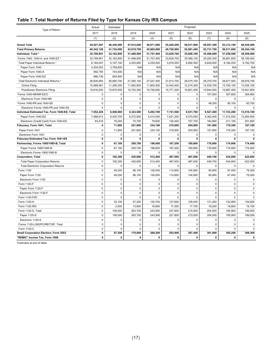#### **Table 7. Total Number of Returns Filed by Type for Kansas City IRS Campus**

| Type of Return                                | Actual      | Estimated   |             |             |             | Projected   |              |             |             |
|-----------------------------------------------|-------------|-------------|-------------|-------------|-------------|-------------|--------------|-------------|-------------|
|                                               | 2017        | 2018        | 2019        | 2020        | 2021        | 2022        | 2023         | 2024        | 2025        |
|                                               | (1)         | (2)         | (3)         | (4)         | (5)         | (6)         | (7)          | (8)         | (9)         |
| <b>Grand Total</b>                            | 45,027,407  | 46,436,500  | 47,812,600  | 50,871,900  | 55,429,200  | 58,917,800  | 58,957,300   | 63,312,100  | 66,536,400  |
| <b>Total Primary Returns</b>                  | 40,342,129  | 41,724,000  | 43,018,700  | 45,965,900  | 49,756,900  | 52,681,400  | 52,731,700   | 56,511,000  | 59,344,100  |
| Individual, Total *                           | 32,789,901  | 32,162,800  | 31,468,900  | 31,757,400  | 33,629,700  | 35,068,100  | 35,406,000   | 37,259,500  | 38,558,000  |
| Forms 1040, 1040-A, and 1040-EZ *             | 32,789,901  | 32,162,800  | 31,468,900  | 31,757,400  | 33,629,700  | 35,068,100  | 35,200,300   | 36,861,600  | 38,169,400  |
| Total Paper Individual Returns *              | 6,184,047   | 5,197,100   | 4,203,800   | 4,230,000   | 5,816,000   | 6,992,400   | 6,820,600    | 8,184,200   | 9,192,700   |
| Paper Form 1040                               | 4,304,553   | 3,759,800   | N/A         | N/A         | N/A         | N/A         | N/A          | N/A         | N/A         |
| Paper Form 1040-A                             | 992,755     | 743,500     | N/A         | N/A         | N/A         | N/A         | N/A          | N/A         | N/A         |
| Paper Form 1040-EZ                            | 886,739     | 693,800     | N/A         | N/A         | N/A         | N/A         | N/A          | N/A         | N/A         |
| Total Electronic Individual Returns *         | 26,605,854  | 26,965,700  | 27,265,100  | 27,527,400  | 27,813,700  | 28,075,700  | 28,379,700   | 28,677,500  | 28,976,700  |
| Online Filing                                 | 10,989,561  | 11,295,200  | 11,562,800  | 11,800,500  | 12,042,400  | 12,274,300  | 12,535,700   | 12,790,100  | 13,035,100  |
| <b>Practitioner Electronic Filing</b>         | 15,616,293  | 15,670,500  | 15,702,300  | 15,726,900  | 15,771,300  | 15,801,400  | 15,844,000   | 15,887,400  | 15,941,600  |
| Forms 1040-NR/NR-EZ/C                         | 0           | $\mathbf 0$ | 0           | 0           | $\mathbf 0$ | 0           | 157,500      | 307,800     | 304,900     |
| Electronic Form 1040-NR                       | 0           | $\mathbf 0$ | 0           | 0           | $\mathbf 0$ | $\mathbf 0$ | $\mathbf 0$  | $\mathbf 0$ | 0           |
| Forms 1040-PR and 1040-SS                     | $\Omega$    | $\mathbf 0$ | 0           | $\mathbf 0$ | $\mathbf 0$ | $\Omega$    | 48,200       | 90,100      | 83,700      |
| Electronic Forms 1040-PR and 1040-SS          | $\Omega$    | $\Omega$    | $\Omega$    | $\Omega$    | $\Omega$    | $\Omega$    | $\Omega$     | $\Omega$    | $\Omega$    |
| Individual Estimated Tax, Form 1040-ES, Total | 7,552,228   | 6,506,900   | 5,343,500   | 5,493,700   | 7,741,500   | 9,531,700   | 9,527,200    | 11,723,200  | 13,516,100  |
| Paper Form 1040-ES                            | 7,488,813   | 6,430,700   | 5,272,800   | 5,414,000   | 7,621,200   | 9,374,500   | 9,362,400    | 11,512,000  | 13,264,500  |
| Electronic (Credit Card) Form 1040-ES         | 63,416      | 76,200      | 70,700      | 79,600      | 120,400     | 157,100     | 164,800      | 211,100     | 251,600     |
| Fiduciary, Form 1041, Total                   | 0           | 71,600      | 251,800     | 234,100     | 218,900     | 204,900     | 191,900      | 179,300     | 167,100     |
| Paper Form 1041                               | $\mathbf 0$ | 71,600      | 251,800     | 234,100     | 218,900     | 204,900     | 191,900      | 179,300     | 167,100     |
| Electronic Form 1041                          | 0           | 0           | 0           | 0           | 0           | 0           | $\mathbf 0$  | 0           | 0           |
| Fiduciary Estimated Tax, Form 1041-ES         | 0           | 0           | 0           | 0           | $\mathbf 0$ | 0           | $\Omega$     | 0           | $\mathbf 0$ |
| Partnership, Forms 1065/1065-B, Total         | 0           | 67,100      | 209,700     | 196,600     | 187,200     | 180,800     | 176,900      | 174,900     | 174,400     |
| Paper Forms 1065/1065-B                       | $\mathbf 0$ | 67,100      | 209,700     | 196,600     | 187,200     | 180,800     | 176,900      | 174,900     | 174,400     |
| Electronic Forms 1065/1065-B                  | $\mathbf 0$ | $\mathbf 0$ | 0           | 0           | $\Omega$    | 0           | $\Omega$     | 0           | $\mathbf 0$ |
| <b>Corporation, Total</b>                     | 0           | 192,300     | 430,900     | 512,400     | 487,500     | 467,000     | 449,700      | 434,900     | 422,000     |
| <b>Total Paper Corporation Returns</b>        | $\mathbf 0$ | 192,300     | 430,900     | 512,400     | 487,500     | 467,000     | 449,700      | 434,900     | 422,000     |
| <b>Total Electronic Corporation Returns</b>   | $\mathbf 0$ | $\Omega$    | 0           | $\Omega$    | $\Omega$    | $\Omega$    | $\mathbf 0$  | 0           | $\mathbf 0$ |
| Form 1120                                     | $\Omega$    | 49,200      | 96,100      | 126,000     | 114,800     | 104,900     | 95,900       | 87,400      | 79,300      |
| Paper Form 1120                               | $\mathsf 0$ | 49,200      | 96,100      | 126,000     | 114,800     | 104,900     | 95,900       | 87,400      | 79,300      |
| Electronic Form 1120                          | $\pmb{0}$   | $\mathbf 0$ | 0           | 0           | $\pmb{0}$   | 0           | $\mathbf 0$  | 0           | 0           |
| Form 1120-F                                   | $\mathbf 0$ | 0           | 0           | 0           | $\pmb{0}$   | 0           | $\mathbf 0$  | 0           | 0           |
| Paper Form 1120-F                             | $\mathbf 0$ | $\mathbf 0$ | $\mathbf 0$ | 0           | $\mathbf 0$ | 0           | $\mathbf 0$  | 0           | 0           |
| Electronic Form 1120-F                        | $\mathbf 0$ | $\mathbf 0$ | $\mathbf 0$ | $\mathbf 0$ | $\mathbf 0$ | 0           | $\mathbf 0$  | 0           | $\mathbf 0$ |
| Form 1120-FSC                                 | $\mathbf 0$ | $\mathbf 0$ | 0           | 0           | $\mathbf 0$ | 0           | $\mathbf 0$  | $\mathbf 0$ | $\Omega$    |
| Form 1120-H                                   | $\mathbf 0$ | 33,100      | 57,300      | 125,700     | 127,600     | 129,400     | 131,200      | 132,900     | 134,600     |
| Form 1120-RIC                                 | $\mathbf 0$ | 2,000       | 13,800      | 16,800      | 17,300      | 17,700      | 18,200       | 18,600      | 19,100      |
| Form 1120-S, Total                            | $\mathbf 0$ | 108,000     | 263,700     | 243,900     | 227,900     | 215,000     | 204,500      | 195,900     | 189,000     |
| Paper 1120-S                                  | $\mathbf 0$ | 108,000     | 263,700     | 243,900     | 227,900     | 215,000     | 204,500      | 195,900     | 189,000     |
| Electronic 1120-S                             | $\mathbf 0$ | $\mathbf 0$ | $\mathbf 0$ | $\mathbf 0$ | $\mathbf 0$ | $\mathbf 0$ | $\mathbf{0}$ | $\mathbf 0$ | $\mathbf 0$ |
| Forms 1120-L/ND/PC/REIT/SF, Total             | $\pmb{0}$   | 0           | 0           | 0           | $\mathsf 0$ | 0           | 0            | $\pmb{0}$   | 0           |
| Form 1120-C                                   | $\mathbf 0$ | 0           | $\mathbf 0$ | 0           | $\mathbf 0$ | $\Omega$    | $\mathbf 0$  | $\Omega$    | 0           |
| Small Corporation Election, Form 2553         | 0           | 67,300      | 170,800     | 289,200     | 293,900     | 297,400     | 301,800      | 305,200     | 309,300     |
| "REMIC" Income Tax, Form 1066                 | 0           | 0           | 0           | 0           | 0           | 0           | 0            | 0           | 0           |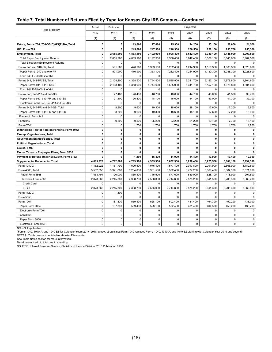#### **Table 7. Total Number of Returns Filed by Type for Kansas City IRS Campus—Continued**

| Type of Return                                 | Actual       | Estimated    |              |             |             | Projected    |              |             |             |
|------------------------------------------------|--------------|--------------|--------------|-------------|-------------|--------------|--------------|-------------|-------------|
|                                                | 2017         | 2018         | 2019         | 2020        | 2021        | 2022         | 2023         | 2024        | 2025        |
|                                                | (1)          | (2)          | (3)          | (4)         | (5)         | (6)          | (7)          | (8)         | (9)         |
| Estate, Forms 706, 706-GS(D)/GS(T)/NA, Total   | $\mathbf{0}$ | 0            | 13,000       | 27,000      | 25,900      | 24,200       | 23,100       | 22,000      | 21,500      |
| Gift, Form 709                                 | 0            | 0            | 245,600      | 247,300     | 248,900     | 250,500      | 252,100      | 253,700     | 255,300     |
| <b>Employment, Total</b>                       | 0            | 2,655,900    | 4,883,100    | 7,192,900   | 6,908,400   | 6,642,400    | 6,389,100    | 6,145,000   | 5,907,500   |
| <b>Total Paper Employment Returns</b>          | $\Omega$     | 2.655.900    | 4,883,100    | 7,192,900   | 6,908,400   | 6,642,400    | 6,389,100    | 6,145,000   | 5,907,500   |
| <b>Total Electronic Employment Returns</b>     | $\mathbf 0$  | $\mathbf 0$  | $\mathbf 0$  | $\mathsf 0$ | 0           | $\mathbf 0$  | $\mathbf 0$  | $\mathbf 0$ | $\mathbf 0$ |
| Forms 940 and 940-PR, Total                    | $\mathbf 0$  | 501,900      | 476,900      | 1,353,100   | 1,282,400   | 1,214,900    | 1,150,300    | 1,088,300   | 1,028,600   |
| Paper Forms 940 and 940-PR                     | $\Omega$     | 501,900      | 476,900      | 1,353,100   | 1,282,400   | 1,214,900    | 1,150,300    | 1,088,300   | 1,028,600   |
| Form 940 E-File/Online/XML                     | $\mathbf 0$  | $\mathbf 0$  | 0            | $\mathsf 0$ | $\mathbf 0$ | $\mathbf 0$  | $\mathbf 0$  | $\mathbf 0$ | 0           |
| Forms 941, 941-PR/SS, Total                    | $\mathbf 0$  | 2,108,400    | 4,358,900    | 5,744,900   | 5,535,900   | 5,341,700    | 5,157,100    | 4,978,800   | 4,804,600   |
| Paper Forms 941, 941-PR/SS                     | $\Omega$     | 2.108.400    | 4,358,900    | 5,744,900   | 5,535,900   | 5,341,700    | 5,157,100    | 4,978,800   | 4.804.600   |
| Form 941 E-File/Online/XML                     | $\mathbf 0$  | $\mathbf 0$  | 0            | $\mathsf 0$ | 0           | $\mathbf 0$  | $\mathbf 0$  | $\mathbf 0$ | 0           |
| Forms 943, 943-PR and 943-SS                   | $\mathbf 0$  | 27,400       | 26,400       | 48,700      | 46,600      | 44,700       | 43,000       | 41,300      | 39,700      |
| Paper Forms 943, 943-PR and 943-SS             | $\mathbf 0$  | 27,400       | 26,400       | 48,700      | 46,600      | 44,700       | 43,000       | 41,300      | 39,700      |
| Electronic Forms 943, 943-PR and 943-SS        | $\mathbf 0$  | $\Omega$     | 0            | $\mathbf 0$ | $\mathbf 0$ | 0            | $\mathbf 0$  | $\mathbf 0$ | $\mathbf 0$ |
| Forms 944, 944-PR and 944-SS, Total            | $\mathbf 0$  | 8,800        | 9,600        | 19,300      | 18,600      | 18,100       | 17,600       | 17,200      | 16,900      |
| Paper Forms 944, 944-PR and 944-SS             | $\mathbf 0$  | 8,800        | 9,600        | 19,300      | 18,600      | 18,100       | 17,600       | 17,200      | 16,900      |
| Electronic Form 944                            | $\mathbf 0$  | $\mathbf 0$  | $\mathbf 0$  | $\mathbf 0$ | $\mathbf 0$ | 0            | $\mathbf 0$  | 0           | $\Omega$    |
| Form 945                                       | $\mathbf 0$  | 9,500        | 9.500        | 25,200      | 23,200      | 21,200       | 19.400       | 17,700      | 16.100      |
| Form CT-1                                      | $\mathbf 0$  | $\mathbf 0$  | 1,700        | 1,700       | 1,700       | 1,700        | 1,700        | 1,700       | 1,700       |
| Withholding Tax for Foreign Persons, Form 1042 | 0            | $\mathbf 0$  | $\mathbf{0}$ | 0           | 0           | $\mathbf 0$  | $\mathbf 0$  | 0           | $\mathbf 0$ |
| <b>Exempt Organizations, Total</b>             | 0            | $\mathbf{0}$ | $\mathbf{0}$ | 0           | 0           | $\mathbf 0$  | $\mathbf 0$  | 0           | 0           |
| Government Entities/Bonds, Total               | 0            | $\mathbf 0$  | 0            | $\mathbf 0$ | 0           | 0            | $\mathbf 0$  | 0           | 0           |
| <b>Political Organizations, Total</b>          | 0            | $\mathbf 0$  | 0            | 0           | 0           | $\mathbf{0}$ | $\mathbf 0$  | 0           | 0           |
| Excise, Total                                  | $\mathbf{0}$ | $\mathbf{0}$ | 0            | 0           | 0           | $\mathbf{0}$ | $\mathbf{0}$ | 0           | 0           |
| Excise Taxes re Employee Plans, Form 5330      | 0            | 0            | 0            | 0           | 0           | 0            | 0            | 0           | 0           |
| Payment or Refund Under Sec.7519, Form 8752    | 0            | 0            | 1,200        | 15,400      | 14,900      | 14,400       | 13,900       | 13,400      | 12,900      |
| <b>Supplemental Documents, Total</b>           | 4,685,278    | 4,712,600    | 4,793,900    | 4,905,900   | 5,672,300   | 6,236,400    | 6,225,500    | 6,801,100   | 7,192,300   |
| Form 1040-X                                    | 1,152,922    | 1,151,700    | 1,000,500    | 1,076,400   | 1,577,400   | 2,017,800    | 2,091,900    | 2,666,900   | 3,182,600   |
| Form 4868, Total                               | 3,532,356    | 3,371,800    | 3,234,000    | 3,301,500   | 3,592,400   | 3,737,200    | 3,669,400    | 3,684,100   | 3,571,000   |
| Paper Form 4868                                | 1,453,791    | 1,126,000    | 835,300      | 745,500     | 877,600     | 859,000      | 628,100      | 478,900     | 201,600     |
| Electronic Form 4868                           | 2,078,566    | 2,245,800    | 2,398,700    | 2,556,000   | 2,714,800   | 2,878,200    | 3,041,300    | 3,205,300   | 3,369,400   |
| <b>Credit Card</b>                             | $\Omega$     | $\mathbf 0$  | $\mathbf 0$  | $\mathbf 0$ | $\Omega$    | $\Omega$     | $\Omega$     | $\Omega$    | $\Omega$    |
| E-File                                         | 2,078,566    | 2,245,800    | 2,398,700    | 2,556,000   | 2,714,800   | 2,878,200    | 3,041,300    | 3,205,300   | 3,369,400   |
| Form 1120-X                                    | $\mathbf 0$  | 1,300        | $\mathbf 0$  | 0           | 0           | 0            | 0            | 0           | $\Omega$    |
| Form 5558                                      | $\mathbf 0$  | $\mathbf 0$  | $\mathbf 0$  | $\mathbf 0$ | $\Omega$    | $\Omega$     | $\Omega$     | $\Omega$    | $\Omega$    |
| Form 7004                                      | $\mathbf 0$  | 187,800      | 559,400      | 528,100     | 502,400     | 481,400      | 464,300      | 450,200     | 438,700     |
| Paper Form 7004                                | $\mathbf 0$  | 187,800      | 559,400      | 528,100     | 502,400     | 481,400      | 464,300      | 450,200     | 438,700     |
| Electronic Form 7004                           | $\mathbf 0$  | $\mathbf 0$  | $\mathbf 0$  | $\mathbf 0$ | 0           | $\Omega$     | $\Omega$     | $\Omega$    | $\Omega$    |
| Form 8868                                      | $\mathbf 0$  | $\mathbf 0$  | $\mathbf 0$  | $\mathbf 0$ | $\mathbf 0$ | 0            | $\mathbf 0$  | $\mathbf 0$ | $\mathbf 0$ |
| Paper Form 8868                                | $\mathbf 0$  | $\mathbf 0$  | $\mathbf 0$  | 0           | $\mathbf 0$ | $\mathbf 0$  | $\mathbf 0$  | $\mathbf 0$ | $\mathbf 0$ |
| Electronic Form 8868                           | $\Omega$     | $\mathbf 0$  | $\mathbf 0$  | 0           | $\Omega$    | $\Omega$     | $\Omega$     | $\Omega$    | $\Omega$    |

N/A—Not applicable.

\*Forms 1040, 1040-A, and 1040-EZ for Calendar Years 2017–2018; a new, streamlined Form 1040 replaces Forms 1040, 1040-A, and 1040-EZ starting with Calendar Year 2019 and beyond.

NOTES: Table does not contain Non-Master File counts.

See Table Notes section for more information.

Detail may not add to total due to rounding.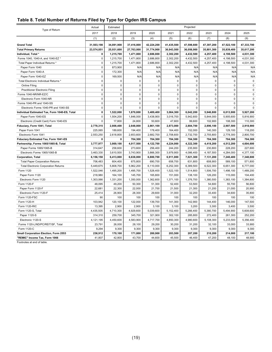#### **Table 8. Total Number of Returns Filed by Type for Ogden IRS Campus**

| Type of Return                                | Actual      | Estimated   |             |             |             | Projected   |             |             |             |
|-----------------------------------------------|-------------|-------------|-------------|-------------|-------------|-------------|-------------|-------------|-------------|
|                                               | 2017        | 2018        | 2019        | 2020        | 2021        | 2022        | 2023        | 2024        | 2025        |
|                                               | (1)         | (2)         | (3)         | (4)         | (5)         | (6)         | (7)         | (8)         | (9)         |
| <b>Grand Total</b>                            | 31,503,198  | 34,891,900  | 37,416,800  | 42,224,200  | 41,435,500  | 47,598,600  | 47,397,200  | 47,522,100  | 47,333,700  |
| <b>Total Primary Returns</b>                  | 23,574,851  | 25,931,600  | 27,763,000  | 31,774,900  | 30,943,500  | 36,056,900  | 35,801,300  | 35,839,400  | 35,617,200  |
| Individual, Total *                           | 0           | 1,215,700   | 1,471,800   | 2,686,800   | 2,302,200   | 4,432,500   | 4,257,400   | 4,198,500   | 4,031,300   |
| Forms 1040, 1040-A, and 1040-EZ'              | $\mathbf 0$ | 1,215,700   | 1,471,800   | 2,686,800   | 2,302,200   | 4,432,500   | 4,257,400   | 4,198,500   | 4,031,300   |
| Total Paper Individual Returns *              | $\mathbf 0$ | 1,215,700   | 1,471,800   | 2,686,800   | 2,302,200   | 4,432,500   | 4,257,400   | 4,198,500   | 4,031,300   |
| Paper Form 1040                               | $\mathbf 0$ | 873,900     | N/A         | N/A         | N/A         | N/A         | N/A         | N/A         | N/A         |
| Paper Form 1040-A                             | $\mathbf 0$ | 172,300     | N/A         | N/A         | N/A         | N/A         | N/A         | N/A         | N/A         |
| Paper Form 1040-EZ                            | $\pmb{0}$   | 169,500     | N/A         | N/A         | N/A         | N/A         | N/A         | N/A         | N/A         |
| Total Electronic Individual Returns *         | $\mathbf 0$ | $\mathbf 0$ | 0           | $\mathsf 0$ | $\mathbf 0$ | $\mathbf 0$ | $\mathbf 0$ | $\pmb{0}$   | 0           |
| <b>Online Filing</b>                          | $\mathbf 0$ | $\mathbf 0$ | $\mathbf 0$ | $\mathsf 0$ | $\mathsf 0$ | $\mathbf 0$ | $\mathbf 0$ | $\pmb{0}$   | 0           |
| <b>Practitioner Electronic Filing</b>         | $\mathbf 0$ | $\mathbf 0$ | $\mathbf 0$ | $\mathsf 0$ | $\mathsf 0$ | $\mathbf 0$ | $\mathbf 0$ | $\pmb{0}$   | $\pmb{0}$   |
| Forms 1040-NR/NR-EZ/C                         | $\mathbf 0$ | $\mathbf 0$ | $\mathbf 0$ | $\mathsf 0$ | $\mathbf 0$ | $\mathbf 0$ | $\mathbf 0$ | $\pmb{0}$   | $\mathbf 0$ |
| Electronic Form 1040-NR                       | $\mathbf 0$ | $\mathbf 0$ | $\mathbf 0$ | $\mathbf 0$ | $\mathbf 0$ | $\mathbf 0$ | $\mathbf 0$ | $\mathbf 0$ | $\mathbf 0$ |
| Forms 1040-PR and 1040-SS                     | $\pmb{0}$   | $\mathbf 0$ | 0           | $\pmb{0}$   | $\pmb{0}$   | 0           | $\mathbf 0$ | $\pmb{0}$   | 0           |
| Electronic Forms 1040-PR and 1040-SS          | $\mathbf 0$ | $\mathbf 0$ | 0           | 0           | $\mathbf 0$ | 0           | $\mathbf 0$ | $\mathbf 0$ | 0           |
| Individual Estimated Tax, Form 1040-ES, Total | $\mathbf 0$ | 1,522,000   | 1,870,800   | 3,489,400   | 3,064,300   | 6,042,200   | 5,946,800   | 6,013,900   | 5,927,200   |
| Paper Form 1040-ES                            | $\mathbf 0$ | 1,504,200   | 1,846,000   | 3,438,900   | 3,016,700   | 5,942,600   | 5,844,000   | 5,905,600   | 5,816,900   |
| Electronic (Credit Card) Form 1040-ES         | $\mathbf 0$ | 17,800      | 24,800      | 50,600      | 47,600      | 99,600      | 102,900     | 108,300     | 110,300     |
| Fiduciary, Form 1041, Total                   | 2,778,315   | 2,808,400   | 2,848,000   | 2,861,100   | 2,873,000   | 2,884,700   | 2,896,100   | 2,907,500   | 2,918,900   |
| Paper Form 1041                               | 225.065     | 189,600     | 194,400     | 178,400     | 164,400     | 152,000     | 140,300     | 129,100     | 118,200     |
| Electronic Form 1041                          | 2,553,250   | 2,618,800   | 2,653,600   | 2,682,700   | 2,708,600   | 2,732,700   | 2,755,800   | 2,778,300   | 2,800,700   |
| Fiduciary Estimated Tax, Form 1041-ES         | 0           | 0           | 704,300     | 704,300     | 704,300     | 704,300     | 704,300     | 704,300     | 704,300     |
| Partnership, Forms 1065/1065-B, Total         | 3,777,977   | 3,869,100   | 4,017,500   | 4,122,700   | 4,224,000   | 4,322,300   | 4,418,200   | 4,512,200   | 4,604,600   |
| Paper Forms 1065/1065-B                       | 314,647     | 258,600     | 273,600     | 256,400     | 244,200     | 235,900     | 230,800     | 228,200     | 227,600     |
| Electronic Forms 1065/1065-B                  | 3,463,330   | 3,610,500   | 3,743,900   | 3,866,300   | 3,979,900   | 4,086,400   | 4,187,500   | 4,284,000   | 4,377,100   |
| <b>Corporation, Total</b>                     | 6,156,158   | 6,413,000   | 6,638,000   | 6,800,700   | 6,911,000   | 7,021,300   | 7,131,200   | 7,240,400   | 7,348,800   |
| <b>Total Paper Corporation Returns</b>        | 706,483     | 604,400     | 675,800     | 690,700     | 658,700     | 631,800     | 608,900     | 589,100     | 571,800     |
| <b>Total Electronic Corporation Returns</b>   | 5,449,675   | 5,808,700   | 5,962,200   | 6,110,000   | 6,252,300   | 6,389,500   | 6,522,300   | 6,651,300   | 6,777,000   |
| Form 1120                                     | 1,522,046   | 1,495,200   | 1,495,700   | 1,528,400   | 1,522,100   | 1,514,800   | 1,506,700   | 1,498,100   | 1,489,200   |
| Paper Form 1120                               | 218,980     | 164,100     | 145,700     | 165,800     | 151,000     | 138,100     | 126,200     | 115,000     | 104,400     |
| Electronic Form 1120                          | 1,303,066   | 1,331,200   | 1,350,000   | 1,362,600   | 1,371,100   | 1,376,700   | 1,380,500   | 1,383,100   | 1,384,800   |
| Form 1120-F                                   | 48,095      | 49,200      | 50,300      | 51,300      | 52,400      | 53,500      | 54,600      | 55,700      | 56,800      |
| Paper Form 1120-F                             | 22,681      | 22,300      | 22,000      | 21,700      | 21,500      | 21,300      | 21,200      | 21,000      | 20,900      |
| Electronic Form 1120-F                        | 25,414      | 26,900      | 28,300      | 29,600      | 31,000      | 32,200      | 33,400      | 34,600      | 35,800      |
| Form 1120-FSC                                 | 90          | 100         | 100         | 100         | 100         | 100         | 100         | 100         | 100         |
| Form 1120-H                                   | 103,942     | 120,100     | 122,000     | 139,700     | 141,300     | 142,900     | 144,400     | 146,000     | 147,500     |
| <b>Form 1120-RIC</b>                          | 13,395      | 2,900       | 2,900       | 3,100       | 3,100       | 3,200       | 3,300       | 3,400       | 3,500       |
| Form 1120-S, Total                            | 4,435,505   | 4,710,300   | 4,929,600   | 5,039,600   | 5,152,400   | 5,266,400   | 5,380,700   | 5,494,900   | 5,608,600   |
| Paper 1120-S                                  | 314,310     | 259,700     | 345,700     | 321,900     | 302,100     | 285,800     | 272,400     | 261,300     | 252,200     |
| Electronic 1120-S                             | 4,121,195   | 4,450,600   | 4,583,900   | 4,717,700   | 4,850,300   | 4,980,600   | 5,108,300   | 5,233,500   | 5,356,400   |
| Forms 1120-L/ND/PC/REIT/SF, Total             | 23,791      | 26,000      | 28,100      | 29,200      | 30,200      | 31,200      | 32,100      | 33,000      | 33,900      |
| Form 1120-C                                   | 9,294       | 9,300       | 9,300       | 9,300       | 9,300       | 9,300       | 9,300       | 9,300       | 9,300       |
| Small Corporation Election, Form 2553         | 236,912     | 170,100     | 171,800     | 200,900     | 203,500     | 207,200     | 210,200     | 214,000     | 217,100     |
| "REMIC" Income Tax, Form 1066                 | 41,807      | 42,800      | 43,700      | 44,600      | 45,500      | 46,400      | 47,200      | 48,100      | 48,900      |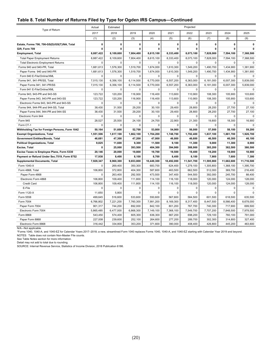#### **Table 8. Total Number of Returns Filed by Type for Ogden IRS Campus—Continued**

| Type of Return                                 | Actual       | Estimated    |             |             |              | Projected    |              |             |              |
|------------------------------------------------|--------------|--------------|-------------|-------------|--------------|--------------|--------------|-------------|--------------|
|                                                | 2017         | 2018         | 2019        | 2020        | 2021         | 2022         | 2023         | 2024        | 2025         |
|                                                | (1)          | (2)          | (3)         | (4)         | (5)          | (6)          | (7)          | (8)         | (9)          |
| Estate, Forms 706, 706-GS(D)/GS(T)/NA, Total   | $\mathbf{0}$ | $\mathbf{0}$ | $\mathbf 0$ | $\mathbf 0$ | $\mathbf{0}$ | $\mathbf{0}$ | $\mathbf{0}$ | 0           | $\mathbf{0}$ |
| Gift, Form 709                                 | 0            | $\mathbf{0}$ | 0           | 0           | 0            | 0            | 0            | 0           |              |
| <b>Employment, Total</b>                       | 8,887,422    | 8,109,600    | 7,804,400   | 8,615,100   | 8,333,400    | 8,073,100    | 7,828,000    | 7,594,100   | 7,368,500    |
| <b>Total Paper Employment Returns</b>          | 8,887,422    | 8,109,600    | 7,804,400   | 8,615,100   | 8,333,400    | 8,073,100    | 7,828,000    | 7,594,100   | 7,368,500    |
| <b>Total Electronic Employment Returns</b>     | 0            | $\mathbf 0$  | 0           | $\mathbf 0$ | $\mathbf 0$  | $\mathbf 0$  | $\mathbf 0$  | $\mathbf 0$ | $\mathbf 0$  |
| Forms 940 and 940-PR, Total                    | 1,681,613    | 1,576,300    | 1,519,700   | 1,674,000   | 1.610.300    | 1.549.200    | 1.490.700    | 1,434,900   | 1,381,900    |
| Paper Forms 940 and 940-PR                     | 1,681,613    | 1,576,300    | 1,519,700   | 1,674,000   | 1,610,300    | 1,549,200    | 1,490,700    | 1,434,900   | 1,381,900    |
| Form 940 E-File/Online/XML                     | $\mathbf 0$  | $\Omega$     | 0           | $\mathbf 0$ | $\mathbf 0$  | $\mathbf 0$  | $\mathbf 0$  | 0           | $\mathbf 0$  |
| Forms 941, 941-PR/SS, Total                    | 7,015,130    | 6,356,100    | 6,114,500   | 6,770,000   | 6,557,200    | 6,363,000    | 6,181,000    | 6,007,300   | 5,839,000    |
| Paper Forms 941, 941-PR/SS                     | 7,015,130    | 6,356,100    | 6,114,500   | 6,770,000   | 6,557,200    | 6,363,000    | 6,181,000    | 6,007,300   | 5,839,000    |
| Form 941 E-File/Online/XML                     | $\Omega$     | $\Omega$     | 0           | $\mathbf 0$ | $\mathbf 0$  | $\Omega$     | $\Omega$     | 0           | $\mathbf 0$  |
| Forms 943, 943-PR and 943-SS                   | 123,722      | 120,200      | 116,900     | 116,400     | 113,600      | 110,900      | 108,300      | 105,900     | 103,600      |
| Paper Forms 943, 943-PR and 943-SS             | 123,722      | 120,200      | 116,900     | 116,400     | 113,600      | 110,900      | 108,300      | 105,900     | 103,600      |
| Electronic Forms 943, 943-PR and 943-SS        | 0            | $\mathbf 0$  | $\mathbf 0$ | $\mathbf 0$ | $\mathbf 0$  | $\mathbf 0$  | $\mathbf 0$  | 0           | $\mathbf 0$  |
| Forms 944, 944-PR and 944-SS, Total            | 38,430       | 31,500       | 29,200      | 30,100      | 29,400       | 28,800       | 28,200       | 27,700      | 27,100       |
| Paper Forms 944, 944-PR and 944-SS             | 38,430       | 31,500       | 29,200      | 30,100      | 29,400       | 28,800       | 28,200       | 27,700      | 27,100       |
| Electronic Form 944                            | $\mathbf 0$  | $\mathbf 0$  | $\mathbf 0$ | $\mathsf 0$ | $\mathbf 0$  | $\mathbf 0$  | $\mathbf 0$  | $\mathbf 0$ | $\mathbf 0$  |
| Form 945                                       | 28,527       | 25,500       | 24,100      | 24,700      | 22,900       | 21,300       | 19,800       | 18,300      | 16.900       |
| Form CT-1                                      | 0            | $\mathbf 0$  | 0           | 0           | $\mathbf 0$  | 0            | $\mathbf 0$  | 0           | $\mathbf 0$  |
| Withholding Tax for Foreign Persons, Form 1042 | 50,164       | 51,600       | 52,700      | 53,800      | 54,900       | 56,000       | 57,000       | 58,100      | 59,200       |
| <b>Exempt Organizations, Total</b>             | 1,551,506    | 1,617,100    | 1,662,100   | 1,704,200   | 1,748,700    | 1,792,400    | 1,837,100    | 1,881,700   | 1,926,700    |
| <b>Government Entities/Bonds, Total</b>        | 46,681       | 47,300       | 47,200      | 47,000      | 46,800       | 46,600       | 46,500       | 46,300      | 46,100       |
| <b>Political Organizations, Total</b>          | 9,825        | 11,600       | 9,300       | 11,500      | 9,100        | 11,300       | 9,000        | 11,300      | 8,900        |
| Excise, Total                                  | 0            | 25,000       | 393,500     | 404,300     | 394,900      | 388,900      | 385,200      | 382,500     | 380,500      |
| Excise Taxes re Employee Plans, Form 5330      | 20,146       | 20,000       | 19,800      | 19,700      | 19,500       | 19,400       | 19,200       | 19,000      | 18,900       |
| Payment or Refund Under Sec.7519, Form 8752    | 17,938       | 8.400        | 8,100       | 8,700       | 8,400        | 8,100        | 7,900        | 7,600       | 7,300        |
| <b>Supplemental Documents, Total</b>           | 7,928,347    | 8,960,300    | 9,653,800   | 10,449,300  | 10,492,000   | 11,541,700   | 11,595,900   | 11,682,600  | 11,716,500   |
| Form 1040-X                                    | 0            | 269,400      | 350,300     | 683,700     | 624,400      | 1,279,100    | 1,305,800    | 1,368,100   | 1,395,700    |
| Form 4868, Total                               | 106,800      | 372,800      | 404,300     | 587,600     | 463,500      | 662,500      | 512,000      | 369,700     | 216,400      |
| Paper Form 4868                                | 0            | 263,400      | 292,500     | 473,500     | 347,400      | 544,500      | 392,000      | 245,700     | 88,400       |
| Electronic Form 4868                           | 106,800      | 109,400      | 111,800     | 114,100     | 116,100      | 118,000      | 120,000      | 124,000     | 128,000      |
| Credit Card                                    | 106,800      | 109,400      | 111,800     | 114,100     | 116,100      | 118,000      | 120,000      | 124,000     | 128,000      |
| E-File                                         | $\Omega$     | $\mathbf 0$  | $\mathbf 0$ | $\mathbf 0$ | $\Omega$     | $\Omega$     | $\Omega$     | $\mathbf 0$ | $\mathbf 0$  |
| Form 1120-X                                    | 11,650       | 5,800        | $\pmb{0}$   | $\mathsf 0$ | 0            | $\mathbf 0$  | $\mathbf 0$  | 0           | $\mathbf 0$  |
| Form 5558                                      | 499,645      | 516,600      | 533,600     | 550,600     | 567,600      | 584,500      | 601,500      | 618,500     | 635.500      |
| Form 7004                                      | 6,766,802    | 7,221,200    | 7,760,300   | 7,991,200   | 8,169,300    | 8,317,400    | 8,447,500    | 8,566,400   | 8,678,000    |
| Paper Form 7004                                | 901,317      | 744,200      | 892,000     | 842,100     | 801,200      | 767,700      | 740,300      | 717,900     | 699,500      |
| Electronic Form 7004                           | 5,865,485    | 6,477,000    | 6,868,300   | 7,149,100   | 7,368,100    | 7,549,700    | 7,707,200    | 7,848,500   | 7,978,500    |
| Form 8868                                      | 543,450      | 574,400      | 605,300     | 636,300     | 667,200      | 698,200      | 729,100      | 760,100     | 791,000      |
| Paper Form 8868                                | 227,008      | 239,600      | 252,100     | 264,600     | 277,200      | 289,700      | 302,300      | 314,800     | 327,400      |
| Electronic Form 8868                           | 316,442      | 334,800      | 353,200     | 371,600     | 390.000      | 408.400      | 426.800      | 445.200     | 463.600      |

N/A—Not applicable.

\*Forms 1040, 1040-A, and 1040-EZ for Calendar Years 2017–2018; a new, streamlined Form 1040 replaces Forms 1040, 1040-A, and 1040-EZ starting with Calendar Year 2019 and beyond.

NOTES: Table does not contain Non-Master File counts.

See Table Notes section for more information.

Detail may not add to total due to rounding.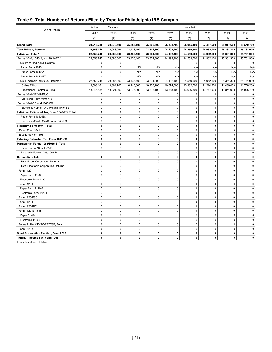#### **Table 9. Total Number of Returns Filed by Type for Philadelphia IRS Campus**

|                                               | Actual       | Estimated    |             |              |              | Projected   |              |              |             |  |
|-----------------------------------------------|--------------|--------------|-------------|--------------|--------------|-------------|--------------|--------------|-------------|--|
| Type of Return                                | 2017         | 2018         | 2019        | 2020         | 2021         | 2022        | 2023         | 2024         | 2025        |  |
|                                               | (1)          | (2)          | (3)         | (4)          | (5)          | (6)         | (7)          | (8)          | (9)         |  |
| <b>Grand Total</b>                            | 24,216,285   | 24,870,100   | 25,356,100  | 25,866,300   | 26,398,700   | 26,915,400  | 27,467,600   | 28,017,600   | 28,570,700  |  |
| <b>Total Primary Returns</b>                  | 22,553,745   | 23,086,000   | 23,436,400  | 23,804,300   | 24,192,400   | 24,559,500  | 24,962,100   | 25,361,300   | 25,761,900  |  |
| Individual, Total *                           | 22,553,745   | 23,086,000   | 23,436,400  | 23,804,300   | 24,192,400   | 24,559,500  | 24,962,100   | 25,361,300   | 25,761,900  |  |
| Forms 1040, 1040-A, and 1040-EZ *             | 22,553,745   | 23,086,000   | 23,436,400  | 23,804,300   | 24,192,400   | 24,559,500  | 24,962,100   | 25,361,300   | 25,761,900  |  |
| Total Paper Individual Returns *              | $\mathbf 0$  | $\mathbf 0$  | $\mathbf 0$ | $\mathbf 0$  | $\mathbf 0$  | $\mathbf 0$ | $\mathbf 0$  | $\mathbf 0$  | $\mathbf 0$ |  |
| Paper Form 1040                               | $\mathbf 0$  | $\pmb{0}$    | N/A         | N/A          | N/A          | N/A         | N/A          | N/A          | N/A         |  |
| Paper Form 1040-A                             | $\mathbf 0$  | $\mathbf 0$  | N/A         | N/A          | N/A          | N/A         | N/A          | N/A          | N/A         |  |
| Paper Form 1040-EZ                            | $\mathbf 0$  | $\mathbf 0$  | N/A         | N/A          | N/A          | N/A         | N/A          | N/A          | N/A         |  |
| Total Electronic Individual Returns *         | 22,553,745   | 23,086,000   | 23,436,400  | 23,804,300   | 24,192,400   | 24,559,500  | 24,962,100   | 25,361,300   | 25,761,900  |  |
| Online Filing                                 | 9,508,161    | 9,864,700    | 10,140,600  | 10,406,200   | 10,674,000   | 10,932,700  | 11,214,200   | 11,489,400   | 11,756,200  |  |
| <b>Practitioner Electronic Filing</b>         | 13,045,584   | 13,221,300   | 13,295,800  | 13,398,100   | 13,518,400   | 13,626,800  | 13,747,900   | 13,871,900   | 14,005,700  |  |
| Forms 1040-NR/NR-EZ/C                         | 0            | 0            | 0           | 0            | 0            | 0           | 0            | 0            | 0           |  |
| Electronic Form 1040-NR                       | $\mathbf 0$  | $\mathbf 0$  | 0           | $\mathbf 0$  | 0            | 0           | $\mathbf 0$  | $\mathbf 0$  | 0           |  |
| Forms 1040-PR and 1040-SS                     | $\mathbf 0$  | $\mathbf 0$  | 0           | $\mathbf 0$  | 0            | $\mathbf 0$ | $\mathbf 0$  | 0            | 0           |  |
| Electronic Forms 1040-PR and 1040-SS          | $\mathsf 0$  | $\pmb{0}$    | $\mathbf 0$ | $\mathbf 0$  | $\mathbf 0$  | $\mathbf 0$ | $\mathbf 0$  | $\mathbf 0$  | 0           |  |
| Individual Estimated Tax, Form 1040-ES, Total | $\mathbf 0$  | $\mathbf 0$  | $\mathbf 0$ | $\mathbf 0$  | $\mathbf 0$  | $\mathbf 0$ | $\mathbf 0$  | $\mathbf{0}$ | 0           |  |
| Paper Form 1040-ES                            | $\mathsf 0$  | $\pmb{0}$    | $\pmb{0}$   | $\mathsf 0$  | $\pmb{0}$    | 0           | $\pmb{0}$    | $\mathbf 0$  | 0           |  |
| Electronic (Credit Card) Form 1040-ES         | $\mathbf 0$  | $\mathbf 0$  | 0           | $\mathbf 0$  | $\mathbf 0$  | 0           | $\mathbf 0$  | $\mathbf 0$  | 0           |  |
| Fiduciary, Form 1041, Total                   | $\mathbf 0$  | 0            | 0           | $\mathbf 0$  | $\mathbf 0$  | 0           | $\mathbf 0$  | $\mathbf{0}$ | 0           |  |
| Paper Form 1041                               | $\mathbf 0$  | $\mathbf 0$  | 0           | $\mathbf 0$  | 0            | $\mathbf 0$ | $\mathbf 0$  | $\mathbf 0$  | 0           |  |
| Electronic Form 1041                          | $\mathbf 0$  | $\pmb{0}$    | 0           | $\mathsf 0$  | $\mathbf 0$  | $\mathbf 0$ | $\mathbf 0$  | $\mathbf 0$  | 0           |  |
| Fiduciary Estimated Tax, Form 1041-ES         | $\mathbf{0}$ | $\mathbf{0}$ | 0           | $\mathbf{0}$ | $\mathbf{0}$ | 0           | $\mathbf{0}$ | $\mathbf{0}$ | 0           |  |
| Partnership, Forms 1065/1065-B, Total         | 0            | 0            | 0           | 0            | 0            | 0           | 0            | 0            | 0           |  |
| Paper Forms 1065/1065-B                       | $\mathbf 0$  | $\mathbf 0$  | 0           | $\mathbf 0$  | 0            | 0           | $\mathbf 0$  | 0            | 0           |  |
| Electronic Forms 1065/1065-B                  | $\mathbf 0$  | 0            | $\mathbf 0$ | $\mathbf 0$  | 0            | $\mathbf 0$ | $\mathbf 0$  | $\mathbf 0$  | $\mathbf 0$ |  |
| <b>Corporation, Total</b>                     | $\mathbf{0}$ | $\pmb{0}$    | 0           | $\mathbf{0}$ | 0            | 0           | $\mathbf{0}$ | 0            | 0           |  |
| <b>Total Paper Corporation Returns</b>        | $\mathbf 0$  | $\pmb{0}$    | 0           | $\mathbf 0$  | 0            | $\mathbf 0$ | $\mathbf 0$  | $\mathbf 0$  | 0           |  |
| <b>Total Electronic Corporation Returns</b>   | $\mathsf 0$  | $\pmb{0}$    | 0           | $\mathsf 0$  | $\pmb{0}$    | 0           | $\pmb{0}$    | $\mathbf 0$  | 0           |  |
| Form 1120                                     | $\mathsf 0$  | $\pmb{0}$    | 0           | $\mathsf 0$  | $\pmb{0}$    | $\mathbf 0$ | $\mathbf 0$  | $\mathbf 0$  | 0           |  |
| Paper Form 1120                               | $\mathbf 0$  | $\mathbf 0$  | 0           | $\mathbf 0$  | $\mathbf 0$  | $\mathbf 0$ | $\mathbf 0$  | $\mathbf 0$  | 0           |  |
| Electronic Form 1120                          | $\mathbf 0$  | $\pmb{0}$    | 0           | $\mathbf 0$  | $\mathbf 0$  | $\mathbf 0$ | $\mathbf 0$  | 0            | $\mathbf 0$ |  |
| Form 1120-F                                   | $\mathbf 0$  | $\mathbf 0$  | 0           | $\mathsf 0$  | $\pmb{0}$    | $\mathbf 0$ | $\mathbf 0$  | $\mathbf 0$  | $\mathbf 0$ |  |
| Paper Form 1120-F                             | $\mathsf 0$  | 0            | $\mathbf 0$ | $\pmb{0}$    | 0            | $\pmb{0}$   | $\mathbf 0$  | $\mathbf 0$  | 0           |  |
| Electronic Form 1120-F                        | $\mathbf 0$  | 0            | $\mathbf 0$ | $\pmb{0}$    | $\mathbf 0$  | $\mathbf 0$ | 0            | $\mathbf 0$  | 0           |  |
| Form 1120-FSC                                 | $\mathbf 0$  | $\mathbf 0$  | 0           | $\mathbf 0$  | 0            | 0           | $\mathbf 0$  | 0            | 0           |  |
| Form 1120-H                                   | $\mathbf 0$  | $\mathbf 0$  | 0           | $\mathbf 0$  | $\mathbf 0$  | 0           | $\mathbf 0$  | 0            | 0           |  |
| Form 1120-RIC                                 | $\mathbf 0$  | $\mathbf 0$  | 0           | $\mathbf 0$  | $\mathbf 0$  | $\mathbf 0$ | $\mathbf 0$  | 0            | 0           |  |
| Form 1120-S, Total                            | $\mathbf 0$  | $\pmb{0}$    | $\mathbf 0$ | $\mathbf 0$  | $\mathbf 0$  | $\mathbf 0$ | $\mathbf 0$  | $\mathbf 0$  | $\mathbf 0$ |  |
| Paper 1120-S                                  | $\mathsf 0$  | $\pmb{0}$    | $\pmb{0}$   | $\pmb{0}$    | $\pmb{0}$    | $\pmb{0}$   | $\pmb{0}$    | $\pmb{0}$    | 0           |  |
| Electronic 1120-S                             | $\mathsf 0$  | $\pmb{0}$    | $\mathbf 0$ | $\pmb{0}$    | 0            | $\mathbf 0$ | $\mathbf 0$  | $\mathbf 0$  | 0           |  |
| Forms 1120-L/ND/PC/REIT/SF, Total             | $\mathbf 0$  | $\mathbf 0$  | $\mathbf 0$ | $\mathbf 0$  | $\mathbf 0$  | $\mathbf 0$ | $\mathbf 0$  | $\mathbf 0$  | 0           |  |
| Form 1120-C                                   | $\mathbf 0$  | $\mathbf 0$  | $\mathbf 0$ | $\mathbf 0$  | $\mathbf 0$  | $\mathbf 0$ | $\mathbf 0$  | $\mathbf 0$  | 0           |  |
| Small Corporation Election, Form 2553         | $\mathbf 0$  | 0            | 0           | 0            | 0            | 0           | $\mathbf 0$  | 0            | 0           |  |
| "REMIC" Income Tax, Form 1066                 | 0            | 0            | 0           | 0            | 0            | 0           | $\mathbf 0$  | 0            | 0           |  |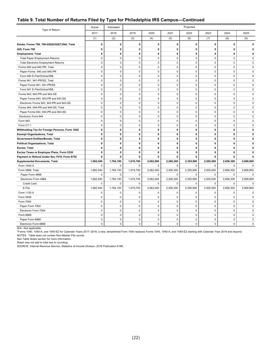#### **Table 9. Total Number of Returns Filed by Type for Philadelphia IRS Campus—Continued**

| Type of Return                                      | Actual                      | Estimated                |                          |                          |                            | Projected                   |                          |                |                |
|-----------------------------------------------------|-----------------------------|--------------------------|--------------------------|--------------------------|----------------------------|-----------------------------|--------------------------|----------------|----------------|
|                                                     | 2017                        | 2018                     | 2019                     | 2020                     | 2021                       | 2022                        | 2023                     | 2024           | 2025           |
|                                                     | (1)                         | (2)                      | (3)                      | (4)                      | (5)                        | (6)                         | (7)                      | (8)            | (9)            |
| Estate, Forms 706, 706-GS(D)/GS(T)/NA, Total        | $\mathbf{0}$                | 0                        | 0                        | $\mathbf{0}$             | 0                          | 0                           | $\mathbf{0}$             | 0              | 0              |
| Gift, Form 709                                      | 0                           | $\mathbf 0$              | 0                        | $\mathbf 0$              | 0                          | $\mathbf 0$                 | $\mathbf 0$              | 0              | 0              |
| <b>Employment, Total</b>                            | $\mathbf 0$                 | $\mathbf 0$              | 0                        | $\mathbf 0$              | 0                          | $\mathbf 0$                 | $\mathbf 0$              | 0              | 0              |
| <b>Total Paper Employment Returns</b>               | $\mathbf 0$                 | $\mathsf 0$              | 0                        | $\mathsf 0$              | $\mathsf 0$                | $\mathbf 0$                 | $\mathbf 0$              | 0              | $\mathsf 0$    |
| <b>Total Electronic Employment Returns</b>          | $\mathbf 0$                 | $\mathbf 0$              | $\mathbf 0$              | $\mathbf 0$              | $\mathbf 0$                | $\mathbf 0$                 | $\mathbf 0$              | $\mathbf 0$    | $\mathbf 0$    |
| Forms 940 and 940-PR, Total                         | $\mathbf 0$                 | $\mathbf 0$              | $\mathbf 0$              | $\mathbf 0$              | $\mathbf 0$                | $\mathbf 0$                 | $\mathbf 0$              | $\mathbf 0$    | $\mathbf 0$    |
| Paper Forms 940 and 940-PR                          | $\mathbf 0$                 | $\mathbf 0$              | 0                        | $\mathbf 0$              | $\mathbf 0$                | $\mathbf 0$                 | $\mathbf 0$              | 0              | 0              |
| Form 940 E-File/Online/XML                          | $\mathbf 0$                 | $\mathbf 0$              | $\mathbf 0$              | $\mathbf 0$              | $\mathbf 0$                | $\mathbf 0$                 | $\mathbf 0$              | $\mathbf 0$    | $\mathbf 0$    |
| Forms 941, 941-PR/SS, Total                         | $\mathbf 0$                 | $\mathbf 0$              | $\pmb{0}$                | $\mathsf 0$              | $\mathsf 0$                | $\mathsf 0$                 | $\pmb{0}$                | $\mathbf 0$    | $\mathsf 0$    |
| Paper Forms 941, 941-PR/SS                          | $\mathbf 0$                 | $\mathbf 0$              | $\mathbf 0$              | $\mathbf 0$              | $\mathbf 0$                | $\mathbf 0$                 | $\mathbf 0$              | $\mathbf 0$    | $\mathsf 0$    |
| Form 941 E-File/Online/XML                          | $\mathbf 0$                 | $\mathbf 0$              | $\mathbf 0$              | $\mathbf 0$              | $\mathbf 0$                | $\mathbf 0$                 | $\mathbf 0$              | $\mathbf 0$    | $\mathbf 0$    |
| Forms 943, 943-PR and 943-SS                        | $\mathbf 0$                 | $\mathbf 0$              | 0                        | $\mathbf 0$              | $\mathbf 0$                | $\mathbf 0$                 | $\mathbf 0$              | 0              | $\mathbf 0$    |
| Paper Forms 943, 943-PR and 943-SS                  | $\mathbf 0$                 | $\mathbf 0$              | $\mathbf 0$              | $\mathbf 0$              | $\mathbf 0$                | $\mathbf 0$                 | $\mathbf 0$              | $\mathbf 0$    | $\mathbf 0$    |
| Electronic Forms 943, 943-PR and 943-SS             | $\mathbf 0$                 | $\mathbf 0$              | $\pmb{0}$                | $\mathsf 0$              | $\pmb{0}$                  | $\mathsf 0$                 | $\pmb{0}$                | $\pmb{0}$      | $\mathsf 0$    |
| Forms 944, 944-PR and 944-SS, Total                 | $\mathbf 0$                 | $\mathbf 0$              | $\mathbf 0$              | $\mathbf 0$              | $\mathbf 0$                | $\mathbf 0$                 | $\mathbf 0$              | $\mathbf 0$    | 0              |
| Paper Forms 944, 944-PR and 944-SS                  | $\mathbf{0}$                | $\mathbf 0$              | $\mathbf 0$              | $\mathbf 0$              | $\mathbf 0$                | $\Omega$                    | $\Omega$                 | $\mathbf 0$    | $\mathbf 0$    |
| Electronic Form 944                                 | $\mathbf 0$                 | $\pmb{0}$                | $\pmb{0}$                | $\mathsf 0$              | $\pmb{0}$                  | 0                           | $\pmb{0}$                | 0              | $\mathsf 0$    |
|                                                     |                             | $\mathbf 0$              | $\mathbf 0$              | $\Omega$                 | $\Omega$                   | $\Omega$                    | $\Omega$                 | $\Omega$       |                |
| Form 945<br>Form CT-1                               | $\mathbf 0$<br>$\mathbf 0$  | $\mathbf 0$              | $\pmb{0}$                | $\pmb{0}$                | $\pmb{0}$                  | $\pmb{0}$                   | $\pmb{0}$                | $\mathbf 0$    | 0<br>$\pmb{0}$ |
|                                                     | $\mathbf 0$                 | $\mathbf 0$              |                          | 0                        | $\mathbf 0$                | $\mathbf 0$                 | $\mathbf 0$              | 0              | 0              |
| Withholding Tax for Foreign Persons, Form 1042      | $\mathbf 0$                 | $\mathbf{0}$             | 0<br>$\mathbf 0$         | 0                        | $\mathbf 0$                | $\mathbf{0}$                | $\mathbf 0$              | 0              | 0              |
| <b>Exempt Organizations, Total</b>                  |                             |                          |                          |                          |                            |                             |                          |                |                |
| Government Entities/Bonds, Total                    | $\mathbf 0$<br>$\mathbf{0}$ | 0<br>$\mathbf{0}$        | 0<br>$\mathbf 0$         | 0<br>$\mathbf 0$         | $\mathbf 0$<br>$\mathbf 0$ | $\mathbf 0$<br>$\mathbf{0}$ | 0<br>$\mathbf 0$         | 0<br>0         | 0<br>0         |
| <b>Political Organizations, Total</b>               |                             |                          |                          |                          |                            |                             |                          |                |                |
| Excise, Total                                       | $\mathbf 0$                 | $\pmb{0}$                | $\mathbf 0$              | $\mathbf 0$              | $\mathbf 0$                | $\mathbf 0$                 | $\mathbf 0$              | 0              | 0              |
| Excise Taxes re Employee Plans, Form 5330           | $\mathbf 0$                 | 0<br>0                   | 0                        | 0                        | $\mathbf 0$                | 0                           | $\mathbf 0$              | 0<br>0         | 0              |
| Payment or Refund Under Sec.7519, Form 8752         | $\mathbf{0}$                |                          | 0                        | 0                        | 0                          | $\mathbf{0}$                | $\mathbf{0}$             |                | 0              |
| <b>Supplemental Documents, Total</b><br>Form 1040-X | 1,662,540                   | 1,784,100<br>$\mathbf 0$ | 1,919,700<br>$\mathbf 0$ | 2,062,000<br>$\mathbf 0$ | 2,206,300<br>$\mathbf 0$   | 2,355,900<br>$\mathbf 0$    | 2,505,500                | 2,656,300<br>0 | 2,808,800<br>0 |
|                                                     | $\mathbf 0$<br>1,662,540    | 1,784,100                |                          | 2,062,000                | 2,206,300                  | 2,355,900                   | 0                        |                |                |
| Form 4868, Total                                    | $\mathbf 0$                 |                          | 1,919,700                |                          | $\mathbf 0$                | $\mathbf 0$                 | 2,505,500<br>$\mathbf 0$ | 2,656,300<br>0 | 2,808,800      |
| Paper Form 4868                                     |                             | 0                        | 0                        | 0                        |                            |                             |                          |                | 0              |
| Electronic Form 4868                                | 1,662,540                   | 1,784,100<br>$\mathbf 0$ | 1,919,700                | 2,062,000                | 2,206,300                  | 2,355,900                   | 2,505,500                | 2,656,300      | 2,808,800      |
| <b>Credit Card</b>                                  | $\mathbf 0$                 |                          | $\mathbf 0$              | $\mathbf 0$              | $\mathbf 0$                | $\mathbf 0$                 | $\mathbf 0$              | $\mathbf 0$    | 0              |
| E-File                                              | 1,662,540                   | 1,784,100                | 1,919,700                | 2,062,000                | 2,206,300                  | 2,355,900                   | 2,505,500                | 2,656,300      | 2,808,800      |
| Form 1120-X                                         | $\mathbf 0$                 | $\mathbf 0$              | $\mathbf 0$              | $\mathbf 0$              | $\mathbf 0$                | $\mathbf 0$                 | $\mathbf 0$              | 0              | 0              |
| Form 5558                                           | $\mathbf 0$                 | $\mathbf 0$              | $\mathbf 0$              | $\mathbf 0$              | $\mathbf 0$<br>$\Omega$    | $\mathbf 0$                 | $\mathbf 0$              | 0<br>0         | $\mathbf 0$    |
| Form 7004                                           | $\mathbf 0$                 | $\mathbf 0$              | $\mathbf 0$              | $\mathbf 0$              |                            | $\mathbf 0$                 | $\mathbf 0$              |                | $\mathbf 0$    |
| Paper Form 7004                                     | $\mathbf 0$                 | $\mathbf 0$              | $\pmb{0}$                | $\pmb{0}$                | $\pmb{0}$                  | 0                           | $\mathbf 0$              | 0              | $\mathbf 0$    |
| Electronic Form 7004                                | $\mathbf 0$                 | $\mathbf 0$              | $\pmb{0}$                | $\mathbf 0$              | $\mathbf 0$                | $\mathbf 0$                 | $\mathbf 0$              | 0              | $\mathbf 0$    |
| Form 8868                                           | $\mathbf 0$                 | $\pmb{0}$                | $\pmb{0}$                | $\mathsf 0$              | $\mathbf 0$                | $\mathbf 0$                 | $\mathbf 0$              | $\mathbf 0$    | $\pmb{0}$      |
| Paper Form 8868                                     | $\mathbf 0$                 | $\mathbf 0$              | 0                        | $\mathsf 0$              | $\mathbf 0$                | $\mathbf 0$                 | $\mathbf 0$              | $\mathbf 0$    | $\mathbf 0$    |
| Electronic Form 8868                                | $\Omega$                    | $\mathbf 0$              | $\Omega$                 | $\Omega$                 | $\mathbf 0$                | $\Omega$                    | $\Omega$                 | $\Omega$       | 0              |

N/A—Not applicable.

\*Forms 1040, 1040-A, and 1040-EZ for Calendar Years 2017–2018; a new, streamlined Form 1040 replaces Forms 1040, 1040-A, and 1040-EZ starting with Calendar Year 2019 and beyond.

NOTES: Table does not contain Non-Master File counts.

See Table Notes section for more information.

Detail may not add to total due to rounding.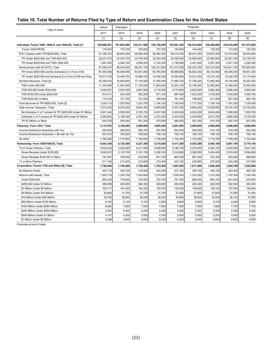#### **Table 10. Total Number of Returns Filed by Type of Return and Examination Class for the United States**

| Type of return                                               | Actual      | Estimated   |             |             |             | Projected   |             |             |             |
|--------------------------------------------------------------|-------------|-------------|-------------|-------------|-------------|-------------|-------------|-------------|-------------|
|                                                              | 2017        | 2018        | 2019        | 2020        | 2021        | 2022        | 2023        | 2024        | 2025        |
|                                                              | (1)         | (2)         | (3)         | (4)         | (5)         | (6)         | (7)         | (8)         | (9)         |
| Individual, Forms 1040, 1040-A, and 1040-EZ, Total [1]       | 149,866,291 | 151,663,800 | 152,911,800 | 154,159,200 | 155,581,300 | 156,910,000 | 158,469,900 | 160,016,000 | 161,575,500 |
| Forms 1040-PR/SS                                             | 176,935     | 170,100     | 163,600     | 157,200     | 150,800     | 144,400     | 138,000     | 131,600     | 125,300     |
| EITC Classes (with TPI<\$200,000), Total                     | 27,168,372  | 26,603,400  | 26,568,300  | 26,392,300  | 26,219,700  | 26,047,400  | 25,875,200  | 25,703,000  | 25,530,800  |
| TPI Under \$200,000 and TGR<\$25,000                         | 25,227,279  | 24,576,700  | 24,478,300  | 24,252,000  | 24,029,000  | 23,806,400  | 23,583,800  | 23,361,300  | 23,138,700  |
| TPI Under \$200,000 and TGR>=\$25,000                        | 1,941,093   | 2,026,700   | 2,090,000   | 2,140,300   | 2,190,600   | 2,241,000   | 2,291,300   | 2,341,700   | 2,392,000   |
| Nonbusiness (with No EITC), Total                            | 97,548,347  | 98,916,500  | 99,391,100  | 100,231,600 | 101,272,500 | 102,233,700 | 103,433,000 | 104,621,700 | 105,825,600 |
| TPI Under \$200,000 and No Schedule E or Form 2106           | 81,930,598  | 83,469,800  | 83,901,900  | 84,795,400  | 85,888,800  | 86,902,300  | 88,153,900  | 89,395,000  | 90,651,200  |
| TPI Under \$200,000 and Schedule E or Form 2106 Are Okay     | 15,617,750  | 15,446,700  | 15,489,100  | 15,436,200  | 15,383,800  | 15,331,400  | 15,279,100  | 15,226,700  | 15,174,400  |
| Nonfarm Business, Total [2]                                  | 16,348,034  | 16,690,900  | 17,104,500  | 17,350,500  | 17,566,700  | 17,768,300  | 17,962,900  | 18,154,000  | 18,343,300  |
| <b>TGR Under \$25,000</b>                                    | 11,334,584  | 11,502,800  | 11,750,000  | 11,893,500  | 12,023,100  | 12,146,400  | 12,266,900  | 12,386,000  | 12,504,500  |
| TGR \$25,000 Under \$100,000                                 | 3,383,021   | 3,523,000   | 3,647,800   | 3,719,300   | 3,774,800   | 3,822,200   | 3,865,300   | 3,906,200   | 3,946,000   |
| TGR \$100,000 Under \$200,000                                | 915,411     | 933,400     | 955,200     | 971,100     | 987,000     | 1,003,000   | 1,018,900   | 1,034,800   | 1,050,700   |
| TGR \$200,000 or More                                        | 715,018     | 731,700     | 751,500     | 766,600     | 781,700     | 796,800     | 811,900     | 827,000     | 842,100     |
| Farm Business & TPI<\$200,000, Total [3]                     | 1.229.113   | 1,207,600   | 1.203.700   | 1,194,100   | 1,185,400   | 1,177,200   | 1.169.100   | 1.161.200   | 1.153.400   |
| High-Income Taxpayers, Total                                 | 7,572,425   | 8,245,500   | 8,644,300   | 8,990,600   | 9,337,000   | 9,683,400   | 10,029,800  | 10,376,100  | 10,722,500  |
| No Schedule C or F present & TPI \$200,000 Under \$1 Million | 5,001,344   | 5,508,500   | 5,795,700   | 6,047,900   | 6,300,000   | 6,552,200   | 6,804,400   | 7,056,500   | 7,308,700   |
| Schedule C or F present & TPI \$200,000 Under \$1 Million    | 2,066,803   | 2,196,500   | 2,291,300   | 2,372,200   | 2,453,000   | 2,533,800   | 2,614,700   | 2,695,500   | 2,776,300   |
| TPI \$1 Million or More                                      | 504,278     | 540,400     | 557,200     | 570,600     | 584,000     | 597,300     | 610,700     | 624,100     | 637,400     |
| Fiduciary, Form 1041, Total                                  | 3,115,763   | 3,106,500   | 3,099,800   | 3,095,200   | 3,091,900   | 3,089,600   | 3,088,000   | 3,086,800   | 3,086,000   |
| Income Distribution Deduction with Tax                       | 495,826     | 568,000     | 588,700     | 597,500     | 603,500     | 608,900     | 614,100     | 619,300     | 624,500     |
| Income Distribution Deduction > \$0 with No Tax              | 837,574     | 763,500     | 758,500     | 758,100     | 758,100     | 758,100     | 758,100     | 758,100     | 758,100     |
| All Other                                                    | 1,782,363   | 1,774,900   | 1,752,600   | 1,739,500   | 1,730,300   | 1,722,600   | 1,715,700   | 1,709,400   | 1,703,400   |
| Partnership, Form 1065/1065-B, Total                         | 4,043,349   | 4,135,300   | 4,227,300   | 4,319,200   | 4,411,200   | 4,503,200   | 4,595,100   | 4,687,100   | 4,779,100   |
| 10 or Fewer Partners, Total                                  | 3,832,203   | 3,922,900   | 4,011,500   | 4,099,800   | 4,188,100   | 4,276,400   | 4,364,700   | 4,452,900   | 4,541,200   |
| Gross Receipts Under \$100,000                               | 3,050,912   | 3,123,700   | 3,191,700   | 3,258,100   | 3,323,800   | 3,389,200   | 3,454,400   | 3,519,500   | 3,584,600   |
| Gross Receipts \$100,000 or More                             | 781,291     | 799,200     | 819,800     | 841,700     | 864,300     | 887,200     | 910,300     | 933,400     | 956,600     |
| 11 or More Partners                                          | 211,146     | 212,400     | 215,800     | 219,400     | 223,100     | 226,800     | 230,500     | 234,200     | 237,900     |
| Corporation, Forms 1120 and Other [4], Total                 | 1,769,494   | 1,740,500   | 1,720,400   | 1,703,500   | 1,687,600   | 1,671,900   | 1,656,300   | 1,640,700   | 1,625,000   |
| No Balance Sheet                                             | 405,716     | 409,700     | 416,800     | 424,000     | 431,300     | 438,700     | 446,100     | 453,400     | 460,700     |
| Returns with Assets, Total                                   | 1,363,778   | 1,330,700   | 1,303,600   | 1,279,500   | 1,256,300   | 1,233,200   | 1,210,200   | 1,187,300   | 1,164,300   |
| Under \$250,000                                              | 802,205     | 778,600     | 752,800     | 729,700     | 707,300     | 685,200     | 663,100     | 641,000     | 619,000     |
| \$250,000 Under \$1 Million                                  | 289,356     | 284,800     | 284,300     | 283,800     | 283,500     | 283,200     | 282,900     | 282,500     | 282,200     |
| \$1 Million Under \$5 Million                                | 163,717     | 161,000     | 160,300     | 159,700     | 159,200     | 158,600     | 158,100     | 157,500     | 156,900     |
| \$5 Million Under \$10 Million                               | 33,664      | 31,700      | 31,700      | 31,700      | 31,600      | 31,600      | 31,600      | 31,500      | 31,500      |
| \$10 Million Under \$50 Million                              | 39,792      | 39,800      | 39,500      | 39,200      | 38,900      | 38,600      | 38,400      | 38,100      | 37,800      |
| \$50 Million Under \$100 Million                             | 9,150       | 9,100       | 9,100       | 9,000       | 8,900       | 8,800       | 8,700       | 8,600       | 8,600       |
| \$100 Million Under \$250 Million                            | 8,890       | 7,900       | 7,900       | 7,800       | 7,800       | 7,800       | 7,800       | 7,700       | 7,700       |
| \$250 Million Under \$500 Million                            | 5,402       | 5,400       | 5,400       | 5,400       | 5,300       | 5,300       | 5,300       | 5,300       | 5,300       |
| \$500 Million Under \$1 Billion                              | 4,147       | 4,300       | 4,500       | 4,700       | 4,800       | 5,000       | 5,200       | 5,400       | 5,500       |
| \$1 Billion Under \$5 Billion                                | 5,246       | 5,600       | 5,800       | 6,000       | 6,200       | 6,400       | 6,600       | 6,800       | 6,900       |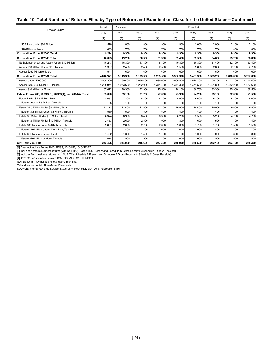#### **Table 10. Total Number of Returns Filed by Type of Return and Examination Class for the United States—Continued**

| Type of Return                                           | Actual    | Estimated |           |           |                  | Projected |           |           |           |
|----------------------------------------------------------|-----------|-----------|-----------|-----------|------------------|-----------|-----------|-----------|-----------|
|                                                          | 2017      | 2018      | 2019      | 2020      | 2021             | 2022      | 2023      | 2024      | 2025      |
|                                                          | (1)       | (2)       | (3)       | (4)       | (5)              | (6)       | (7)       | (8)       | (9)       |
| \$5 Billion Under \$20 Billion                           | 1.576     | 1.800     | 1.800     | 1.900     | 1.900            | 2.000     | 2.000     | 2.100     | 2,100     |
| \$20 Billion or More                                     | 633       | 700       | 700       | 700       | 700              | 700       | 700l      | 800       | 800       |
| Corporation, Form 1120-C, Total                          | 9,294     | 9,300     | 9,300     | 9,300     | 9,300            | 9,300     | 9,300     | 9,300     | 9,300     |
| Corporation, Form 1120-F, Total                          | 48.095    | 49.200    | 50,300    | 51,300    | 52,400           | 53,500    | 54.600    | 55.700    | 56,800    |
| No Balance Sheet and Assets Under \$10 Million           | 45,247    | 46,300    | 47,300    | 48,300    | 49,300           | 50,300    | 51,400    | 52.400    | 53,400    |
| Assets \$10 Million Under \$250 Million                  | 2,307     | 2,400     | 2,400     | 2,500     | 2,500            | 2,600     | 2,600     | 2,700     | 2,700     |
| Assets \$250 Million or More                             | 541       | 600       | 600       | 600       | 600l             | 600l      | 600       | 600       | 600       |
| Corporation, Form 1120-S, Total                          | 4.848.921 | 5,113,300 | 5,193,300 | 5,283,500 | 5,380,300        | 5,481,300 | 5,585,200 | 5,690,800 | 5,797,600 |
| Assets Under \$200,000                                   | 3.554.309 | 3,789,400 | 3,838,400 | 3,896,600 | 3,960,900        | 4,029,200 | 4,100,100 | 4,172,700 | 4,246,400 |
| Assets \$200,000 Under \$10 Million                      | 1,226,941 | 1,253,600 | 1,282,000 | 1,311,400 | 1,341,300        | 1,371,500 | 1,401,800 | 1,432,200 | 1,462,600 |
| Assets \$10 Million or More                              | 67.672    | 70,300    | 72.900    | 75,500    | 78.100           | 80.700    | 83.300    | 85.900    | 88,500    |
| Estate, Forms 706, 706GS(D), 706GS(T), and 706-NA, Total | 33.690    | 33,100    | 31,200    | 27,000    | 25,900           | 24,200    | 23,100    | 22,000    | 21,500    |
| Estate Under \$1.5 Million, Total                        | 8,051     | 7,300     | 6,800     | 6,300     | 5,900            | 5.600     | 5,300     | 5,100     | 5,000     |
| Estate Under \$1.5 Million, Taxable                      | 105       | 100       | 100       | 100       | 100 <sup>1</sup> | 100       | 100l      | 100       | 100       |
| Estate \$1.5 Million Under \$5 Million. Total            | 13.172    | 12,400    | 11.800    | 11,200    | 10,800           | 10.400    | 10.000    | 9.800     | 9,500     |
| Estate \$1.5 Million Under \$5 Million, Taxable          | 530       | 500       | 500       | 500       | 400              | 400       | 400       | 400       | 400       |
| Estate \$5 Million Under \$10 Million. Total             | 8.324     | 8.900     | 8.400     | 6.300     | 6,200            | 5.500     | 5.200     | 4.700     | 4,700     |
| Estate \$5 Million Under \$10 Million. Taxable           | 2.453     | 2,600     | 2,500     | 1.900     | 1,800            | 1.600     | 1.500     | 1.400     | 1.400     |
| Estate \$10 Million Under \$20 Million, Total            | 2,661     | 2,800     | 2,700     | 2,000     | 2,000            | 1,700     | 1,700     | 1,500     | 1,500     |
| Estate \$10 Million Under \$20 Million. Taxable          | 1.317     | 1.400     | 1.300     | 1.000     | 1,000            | 900       | 800       | 700       | 700       |
| Estate \$20 Million or More, Total                       | 1.482     | 1.600     | 1.500     | 1,100     | 1,100            | 1.000     | 900       | 800       | 800       |
| Estate \$20 Million or More, Taxable                     | 874       | 900       | 900       | 700       | 600              | 600       | 500       | 500       | 500       |
| Gift, Form 709, Total                                    | 242,426   | 244,000   | 245,600   | 247,300   | 248,900          | 250,500   | 252,100   | 253,700   | 255,300   |

[1] Does not include Forms 1040-PR/SS, 1040-NR, 1040-NR-EZ.

[2] Includes nonfarm business returns (with No EITC) (Schedule C Present and Schedule C Gross Receipts ≥ Schedule F Gross Receipts).

[3] Includes farm business returns (with No EITC) (Schedule F Present and Schedule F Gross Receipts ≥ Schedule C Gross Receipts).

[4] 1120 "Other" includes Forms 1120-FSC/L/ND/PC/REIT/RIC/SF.

NOTES: Detail may not add to total due to rounding.

Table does not contain Non-Master File counts.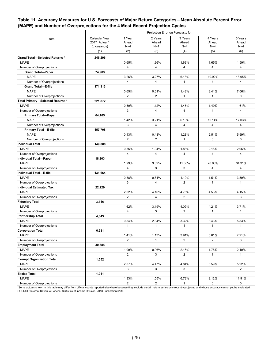#### **Table 11. Accuracy Measures for U.S. Forecasts of Major Return Categories—Mean Absolute Percent Error (MAPE) and Number of Overprojections for the 4 Most Recent Projection Cycles**

|                                       |               |                |                | Projection Error on Forecasts for: |                |                |
|---------------------------------------|---------------|----------------|----------------|------------------------------------|----------------|----------------|
| Item                                  | Calendar Year | 1 Year         | 2 Years        | 3 Years                            | 4 Years        | 5 Years        |
|                                       | 2017 Actual * | Ahead          | Ahead          | Ahead                              | Ahead          | Ahead          |
|                                       | (thousands)   | $N=4$          | $N=4$          | $N=4$                              | $N=4$          | $N=4$          |
|                                       | (1)           | (2)            | (3)            | (4)                                | (5)            | (6)            |
| <b>Grand Total-Selected Returns *</b> | 246,296       |                |                |                                    |                |                |
| <b>MAPE</b>                           |               | 0.65%          | 1.36%          | 1.63%                              | 1.65%          | 1.59%          |
| Number of Overprojections             |               | 4              | 4              | $\overline{4}$                     | 4              | 4              |
| <b>Grand Total-Paper</b>              | 74,983        |                |                |                                    |                |                |
| <b>MAPE</b>                           |               | 3.26%          | 3.27%          | 6.18%                              | 10.92%         | 18.95%         |
| Number of Overprojections             |               | $\overline{4}$ | 4              | $\overline{4}$                     | $\overline{4}$ | 4              |
| <b>Grand Total-E-file</b>             | 171,313       |                |                |                                    |                |                |
| <b>MAPE</b>                           |               | 0.65%          | 0.61%          | 1.48%                              | 3.41%          | 7.06%          |
| Number of Overprojections             |               | 2              | $\overline{2}$ | $\mathbf{1}$                       | $\mathbf{1}$   | 0              |
| Total Primary-Selected Returns *      | 221,872       |                |                |                                    |                |                |
| <b>MAPE</b>                           |               | 0.50%          | 1.12%          | 1.45%                              | 1.49%          | 1.61%          |
| Number of Overprojections             |               | 3              | 4              | $\overline{4}$                     | $\overline{4}$ | 4              |
| <b>Primary Total-Paper</b>            | 64,165        |                |                |                                    |                |                |
| <b>MAPE</b>                           |               | 1.42%          | 3.21%          | 6.13%                              | 10.14%         | 17.03%         |
| Number of Overprojections             |               | 3              | 4              | $\overline{4}$                     | $\overline{4}$ | 4              |
| <b>Primary Total-E-file</b>           | 157,708       |                |                |                                    |                |                |
| <b>MAPE</b>                           |               | 0.43%          | 0.48%          | 1.28%                              | 2.51%          | 5.59%          |
| Number of Overprojections             |               | $\overline{2}$ | $\overline{2}$ | $\mathbf{1}$                       | 0              | $\Omega$       |
| <b>Individual Total</b>               | 149,866       |                |                |                                    |                |                |
| <b>MAPE</b>                           |               | 0.55%          | 1.04%          | 1.83%                              | 2.15%          | 2.06%          |
| Number of Overprojections             |               | $\overline{4}$ | 4              | $\overline{4}$                     | 4              | 4              |
| <b>Individual Total-Paper</b>         | 18,203        |                |                |                                    |                |                |
| <b>MAPE</b>                           |               | 1.99%          | 3.82%          | 11.08%                             | 20.96%         | 34.31%         |
| Number of Overprojections             |               | 4              | 3              | 3                                  | 4              | 4              |
| Individual Total-E-file               | 131,664       |                |                |                                    |                |                |
| <b>MAPE</b>                           |               | 0.38%          | 0.81%          | 1.10%                              | 1.51%          | 3.59%          |
| Number of Overprojections             |               | 3              | 4              | 2                                  | $\mathbf{1}$   | $\mathbf{1}$   |
| <b>Individual Estimated Tax</b>       | 22,229        |                |                |                                    |                |                |
| <b>MAPE</b>                           |               | 2.02%          | 4.16%          | 4.75%                              | 4.53%          | 4.15%          |
| Number of Overprojections             |               | $\overline{2}$ | 4              | $\overline{2}$                     | 3              | 3              |
| <b>Fiduciary Total</b>                | 3,116         |                |                |                                    |                |                |
| <b>MAPE</b>                           |               | 1.62%          | 3.19%          | 4.09%                              | 4.21%          | 3.71%          |
| Number of Overprojections             |               | $\overline{4}$ | 3              | 2                                  | $\mathbf{1}$   | $\mathbf{1}$   |
| Partnership Total                     | 4,043         |                |                |                                    |                |                |
| <b>MAPE</b>                           |               | 0.84%          | 2.34%          | 3.32%                              | 3.43%          | 5.83%          |
| Number of Overprojections             |               | $\mathbf{1}$   | $\mathbf{1}$   | $\mathbf{1}$                       | $\mathbf{1}$   | $\mathbf{1}$   |
| <b>Corporation Total</b>              | 6,931         |                |                |                                    |                |                |
| <b>MAPE</b>                           |               | 1.41%          | 1.13%          | 3.91%                              | 5.61%          | 7.21%          |
| Number of Overprojections             |               | $\overline{2}$ | $\mathbf{1}$   | $\overline{2}$                     | $\overline{2}$ | 3              |
| <b>Employment Total</b>               | 30,584        |                |                |                                    |                |                |
| <b>MAPE</b>                           |               | 1.09%          | 0.96%          | 2.16%                              | 1.78%          | 2.10%          |
| Number of Overprojections             |               | $\overline{2}$ | 3              | $\overline{2}$                     | $\mathbf{1}$   | $\mathbf{1}$   |
| <b>Exempt Organization Total</b>      | 1,552         |                |                |                                    |                |                |
| <b>MAPE</b>                           |               | 2.37%          | 4.47%          | 4.84%                              | 5.59%          | 5.22%          |
| Number of Overprojections             |               | 3              | 3              | 3                                  | 3              | $\overline{2}$ |
| <b>Excise Total</b>                   | 1,011         |                |                |                                    |                |                |
| <b>MAPE</b>                           |               | 1.33%          | 1.55%          | 6.73%                              | 9.12%          | 11.91%         |
| Number of Overprojections             |               | $\overline{2}$ | $\overline{a}$ | $\mathbf{1}$                       | $\mathsf{O}$   | 0              |

\*Some actuals shown in this table may differ from official counts reported elsewhere because they exclude certain return series only recently projected and whose accuracy cannot yet be evaluated. SOURCE: Internal Revenue Service, Statistics of Income Division, 2018 Publication 6186.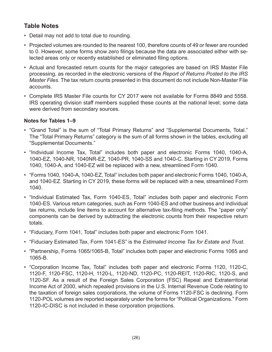# **Table Notes**

- Detail may not add to total due to rounding.
- Projected volumes are rounded to the nearest 100, therefore counts of 49 or fewer are rounded to 0. However, some forms show zero filings because the data are associated either with selected areas only or recently established or eliminated filing options.
- Actual and forecasted return counts for the major categories are based on IRS Master File processing, as recorded in the electronic versions of the *Report of Returns Posted to the IRS Master Files*. The tax return counts presented in this document do not include Non-Master File accounts.
- Complete IRS Master File counts for CY 2017 were not available for Forms 8849 and 5558. IRS operating division staff members supplied these counts at the national level; some data were derived from secondary sources.

#### **Notes for Tables 1–9**

- "Grand Total" is the sum of "Total Primary Returns" and "Supplemental Documents, Total." The "Total Primary Returns" category is the sum of all forms shown in the tables, excluding all "Supplemental Documents."
- "Individual Income Tax, Total" includes both paper and electronic Forms 1040, 1040-A, 1040-EZ, 1040-NR, 1040NR-EZ, 1040-PR, 1040-SS and 1040-C. Starting in CY 2019, Forms 1040, 1040-A, and 1040-EZ will be replaced with a new, streamlined Form 1040.
- "Forms 1040, 1040-A, 1040-EZ, Total" includes both paper and electronic Forms 1040, 1040-A, and 1040-EZ. Starting in CY 2019, these forms will be replaced with a new, streamlined Form 1040.
- "Individual Estimated Tax, Form 1040-ES, Total" includes both paper and electronic Form 1040-ES. Various return categories, such as Form 1040-ES and other business and individual tax returns, include line items to account for alternative tax-filing methods. The "paper only" components can be derived by subtracting the electronic counts from their respective return totals.
- "Fiduciary, Form 1041, Total" includes both paper and electronic Form 1041.
- "Fiduciary Estimated Tax, Form 1041-ES" is the *Estimated Income Tax for Estate and Trust*.
- "Partnership, Forms 1065/1065-B, Total" includes both paper and electronic Forms 1065 and 1065-B.
- "Corporation Income Tax, Total" includes both paper and electronic Forms 1120, 1120-C, 1120-F, 1120-FSC, 1120-H, 1120-L, 1120-ND, 1120-PC, 1120-REIT, 1120-RIC, 1120-S, and 1120-SF. As a result of the Foreign Sales Corporation (FSC) Repeal and Extraterritorial Income Act of 2000, which repealed provisions in the U.S. Internal Revenue Code relating to the taxation of foreign sales corporations, the volume of Forms 1120-FSC is declining. Form 1120-POL volumes are reported separately under the forms for "Political Organizations." Form 1120-IC-DISC is not included in these corporation projections.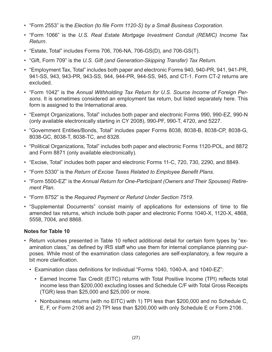- "Form 2553" is the *Election (to file Form 1120-S) by a Small Business Corporation*.
- "Form 1066" is the *U.S. Real Estate Mortgage Investment Conduit (REMIC) Income Tax Return*.
- "Estate, Total" includes Forms 706, 706-NA, 706-GS(D), and 706-GS(T).
- "Gift, Form 709" is the *U.S. Gift (and Generation-Skipping Transfer) Tax Return*.
- "Employment Tax, Total" includes both paper and electronic Forms 940, 940-PR, 941, 941-PR, 941-SS, 943, 943-PR, 943-SS, 944, 944-PR, 944-SS, 945, and CT-1. Form CT-2 returns are excluded.
- "Form 1042" is the *Annual Withholding Tax Return for U.S. Source Income of Foreign Persons.* It is sometimes considered an employment tax return, but listed separately here. This form is assigned to the International area.
- "Exempt Organizations, Total" includes both paper and electronic Forms 990, 990-EZ, 990-N (only available electronically starting in CY 2008), 990-PF, 990-T, 4720, and 5227.
- "Government Entities/Bonds, Total" includes paper Forms 8038, 8038-B, 8038-CP, 8038-G, 8038-GC, 8038-T, 8038-TC, and 8328.
- "Political Organizations, Total" includes both paper and electronic Forms 1120-POL, and 8872 and Form 8871 (only available electronically).
- "Excise, Total" includes both paper and electronic Forms 11-C, 720, 730, 2290, and 8849.
- "Form 5330" is the *Return of Excise Taxes Related to Employee Benefit Plans*.
- "Form 5500-EZ" is the *Annual Return for One-Participant (Owners and Their Spouses) Retirement Plan*.
- "Form 8752" is the *Required Payment or Refund Under Section 7519*.
- "Supplemental Documents" consist mainly of applications for extensions of time to file amended tax returns, which include both paper and electronic Forms 1040-X, 1120-X, 4868, 5558, 7004, and 8868.

#### **Notes for Table 10**

- Return volumes presented in Table 10 reflect additional detail for certain form types by "examination class," as defined by IRS staff who use them for internal compliance planning purposes. While most of the examination class categories are self-explanatory, a few require a bit more clarification.
	- Examination class definitions for Individual "Forms 1040, 1040-A. and 1040-EZ":
		- Earned Income Tax Credit (EITC) returns with Total Positive Income (TPI) reflects total income less than \$200,000 excluding losses and Schedule C/F with Total Gross Receipts (TGR) less than \$25,000 and \$25,000 or more.
		- Nonbusiness returns (with no EITC) with 1) TPI less than \$200,000 and no Schedule C, E, F, or Form 2106 and 2) TPI less than \$200,000 with only Schedule E or Form 2106.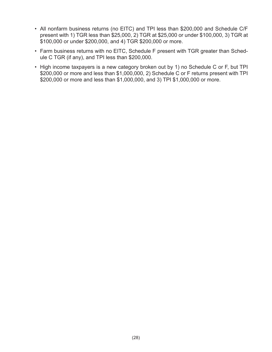- All nonfarm business returns (no EITC) and TPI less than \$200,000 and Schedule C/F present with 1) TGR less than \$25,000, 2) TGR at \$25,000 or under \$100,000, 3) TGR at \$100,000 or under \$200,000, and 4) TGR \$200,000 or more.
- Farm business returns with no EITC, Schedule F present with TGR greater than Schedule C TGR (if any), and TPI less than \$200,000.
- High income taxpayers is a new category broken out by 1) no Schedule C or F, but TPI \$200,000 or more and less than \$1,000,000, 2) Schedule C or F returns present with TPI \$200,000 or more and less than \$1,000,000, and 3) TPI \$1,000,000 or more.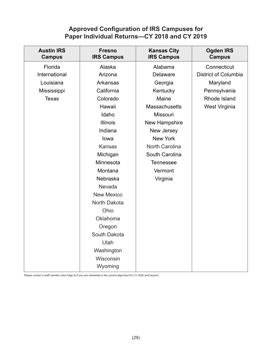# **Approved Configuration of IRS Campuses for Paper Individual Returns—CY 2018 and CY 2019**

| <b>Austin IRS</b><br><b>Campus</b> | <b>Fresno</b><br><b>IRS Campus</b> | <b>Kansas City</b><br><b>IRS Campus</b> | <b>Ogden IRS</b><br><b>Campus</b> |
|------------------------------------|------------------------------------|-----------------------------------------|-----------------------------------|
| Florida                            | Alaska                             | Alabama                                 | Connecticut                       |
| International                      | Arizona                            | Delaware                                | <b>District of Columbia</b>       |
| Louisiana                          | Arkansas                           | Georgia                                 | Maryland                          |
| Mississippi                        | California                         | Kentucky                                | Pennsylvania                      |
| <b>Texas</b>                       | Colorado                           | Maine                                   | Rhode Island                      |
|                                    | Hawaii                             | <b>Massachusetts</b>                    | West Virginia                     |
|                                    | Idaho                              | Missouri                                |                                   |
|                                    | <b>Illinois</b>                    | New Hampshire                           |                                   |
|                                    | Indiana                            | New Jersey                              |                                   |
|                                    | lowa                               | New York                                |                                   |
|                                    | <b>Kansas</b>                      | North Carolina                          |                                   |
|                                    | Michigan                           | South Carolina                          |                                   |
|                                    | Minnesota                          | <b>Tennessee</b>                        |                                   |
|                                    | Montana                            | Vermont                                 |                                   |
|                                    | Nebraska                           | Virginia                                |                                   |
|                                    | Nevada                             |                                         |                                   |
|                                    | <b>New Mexico</b>                  |                                         |                                   |
|                                    | North Dakota                       |                                         |                                   |
|                                    | Ohio                               |                                         |                                   |
|                                    | Oklahoma                           |                                         |                                   |
|                                    | Oregon                             |                                         |                                   |
|                                    | South Dakota                       |                                         |                                   |
|                                    | <b>Utah</b>                        |                                         |                                   |
|                                    | Washington                         |                                         |                                   |
|                                    | Wisconsin                          |                                         |                                   |
|                                    | Wyoming                            |                                         |                                   |

Please contact a staff member (see Page iii) if you are interested in the current alignment for CY 2020 and beyond.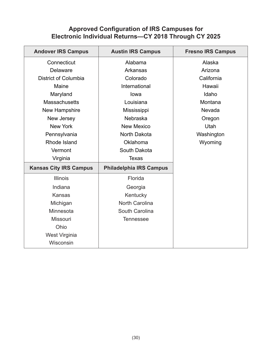# **Approved Configuration of IRS Campuses for Electronic Individual Returns—CY 2018 Through CY 2025**

| <b>Andover IRS Campus</b>     | <b>Austin IRS Campus</b>       | <b>Fresno IRS Campus</b> |  |
|-------------------------------|--------------------------------|--------------------------|--|
| Connecticut                   | Alabama                        | Alaska                   |  |
| <b>Delaware</b>               | <b>Arkansas</b>                | Arizona                  |  |
| <b>District of Columbia</b>   | Colorado                       | California               |  |
| Maine                         | International                  | Hawaii                   |  |
| Maryland                      | lowa                           | Idaho                    |  |
| <b>Massachusetts</b>          | Louisiana                      | Montana                  |  |
| New Hampshire                 | Mississippi                    | Nevada                   |  |
| New Jersey                    | Nebraska                       | Oregon                   |  |
| <b>New York</b>               | <b>New Mexico</b>              | Utah                     |  |
| Pennsylvania                  | North Dakota                   | Washington               |  |
| Rhode Island                  | Oklahoma                       | Wyoming                  |  |
| Vermont                       | South Dakota                   |                          |  |
| Virginia                      | <b>Texas</b>                   |                          |  |
| <b>Kansas City IRS Campus</b> | <b>Philadelphia IRS Campus</b> |                          |  |
| <b>Illinois</b>               | Florida                        |                          |  |
| Indiana                       | Georgia                        |                          |  |
| <b>Kansas</b>                 | Kentucky                       |                          |  |
| Michigan                      | <b>North Carolina</b>          |                          |  |
| Minnesota                     | South Carolina                 |                          |  |
| Missouri                      | <b>Tennessee</b>               |                          |  |
| Ohio                          |                                |                          |  |
| West Virginia                 |                                |                          |  |
| Wisconsin                     |                                |                          |  |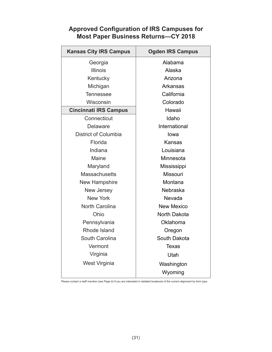# **Approved Configuration of IRS Campuses for Most Paper Business Returns—CY 2018**

| <b>Kansas City IRS Campus</b> | <b>Ogden IRS Campus</b> |  |
|-------------------------------|-------------------------|--|
| Georgia                       | Alabama                 |  |
| <b>Illinois</b>               | Alaska                  |  |
| Kentucky                      | Arizona                 |  |
| Michigan                      | Arkansas                |  |
| <b>Tennessee</b>              | California              |  |
| Wisconsin                     | Colorado                |  |
| <b>Cincinnati IRS Campus</b>  | Hawaii                  |  |
| Connecticut                   | Idaho                   |  |
| <b>Delaware</b>               | International           |  |
| District of Columbia          | lowa                    |  |
| Florida                       | Kansas                  |  |
| Indiana                       | Louisiana               |  |
| Maine                         | Minnesota               |  |
| Maryland                      | Mississippi             |  |
| <b>Massachusetts</b>          | <b>Missouri</b>         |  |
| New Hampshire                 | Montana                 |  |
| New Jersey                    | <b>Nebraska</b>         |  |
| <b>New York</b>               | Nevada                  |  |
| <b>North Carolina</b>         | <b>New Mexico</b>       |  |
| Ohio                          | North Dakota            |  |
| Pennsylvania                  | Oklahoma                |  |
| Rhode Island                  | Oregon                  |  |
| South Carolina                | South Dakota            |  |
| Vermont                       | <b>Texas</b>            |  |
| Virginia                      | Utah                    |  |
| West Virginia                 | Washington              |  |
|                               | Wyoming                 |  |

Please contact a staff member (see Page iii) if you are interested in detailed breakouts of the current alignment by form type.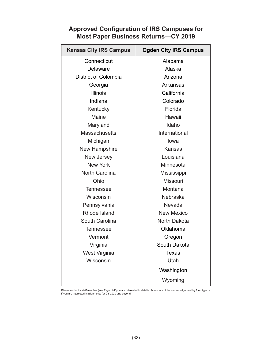# **Approved Configuration of IRS Campuses for Most Paper Business Returns—CY 2019**

| <b>Kansas City IRS Campus</b> | <b>Ogden City IRS Campus</b> |  |
|-------------------------------|------------------------------|--|
| Connecticut                   | Alabama                      |  |
| Delaware                      | Alaska                       |  |
| District of Colombia          | Arizona                      |  |
| Georgia                       | Arkansas                     |  |
| <b>Illinois</b>               | California                   |  |
| Indiana                       | Colorado                     |  |
| Kentucky                      | Florida                      |  |
| Maine                         | Hawaii                       |  |
| Maryland                      | Idaho                        |  |
| <b>Massachusetts</b>          | International                |  |
| Michigan                      | lowa                         |  |
| <b>New Hampshire</b>          | <b>Kansas</b>                |  |
| New Jersey                    | Louisiana                    |  |
| <b>New York</b>               | Minnesota                    |  |
| <b>North Carolina</b>         | Mississippi                  |  |
| Ohio                          | Missouri                     |  |
| <b>Tennessee</b>              | Montana                      |  |
| Wisconsin                     | Nebraska                     |  |
| Pennsylvania                  | Nevada                       |  |
| Rhode Island                  | <b>New Mexico</b>            |  |
| South Carolina                | North Dakota                 |  |
| <b>Tennessee</b>              | Oklahoma                     |  |
| Vermont                       | Oregon                       |  |
| Virginia                      | South Dakota                 |  |
| West Virginia                 | <b>Texas</b>                 |  |
| Wisconsin                     | Utah                         |  |
|                               | Washington                   |  |
|                               | Wyoming                      |  |

Please contact a staff member (see Page iii) if you are interested in detailed breakouts of the current alignment by form type or if you are interested in alignments for CY 2020 and beyond.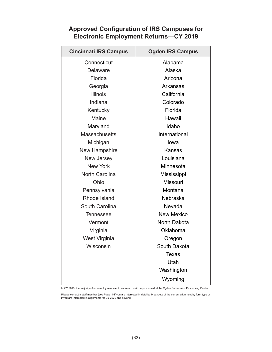# **Approved Configuration of IRS Campuses for Electronic Employment Returns—CY 2019**

| <b>Cincinnati IRS Campus</b> | <b>Ogden IRS Campus</b> |  |
|------------------------------|-------------------------|--|
| Connecticut                  | Alabama                 |  |
| <b>Delaware</b>              | Alaska                  |  |
| Florida                      | Arizona                 |  |
| Georgia                      | Arkansas                |  |
| <b>Illinois</b>              | California              |  |
| Indiana                      | Colorado                |  |
| Kentucky                     | Florida                 |  |
| Maine                        | Hawaii                  |  |
| Maryland                     | Idaho                   |  |
| <b>Massachusetts</b>         | International           |  |
| Michigan                     | lowa                    |  |
| New Hampshire                | Kansas                  |  |
| <b>New Jersey</b>            | Louisiana               |  |
| <b>New York</b>              | Minnesota               |  |
| <b>North Carolina</b>        | Mississippi             |  |
| Ohio                         | Missouri                |  |
| Pennsylvania                 | Montana                 |  |
| Rhode Island                 | Nebraska                |  |
| South Carolina               | Nevada                  |  |
| <b>Tennessee</b>             | <b>New Mexico</b>       |  |
| Vermont                      | North Dakota            |  |
| Virginia                     | Oklahoma                |  |
| West Virginia                | Oregon                  |  |
| Wisconsin                    | South Dakota            |  |
|                              | Texas                   |  |
|                              | Utah                    |  |
|                              | Washington              |  |
|                              | Wyoming                 |  |

In CY 2018, the majority of nonemployment electronic returns will be processed at the Ogden Submission Processing Center.

Please contact a staff member (see Page iii) if you are interested in detailed breakouts of the current alignment by form type or if you are interested in alignments for CY 2020 and beyond.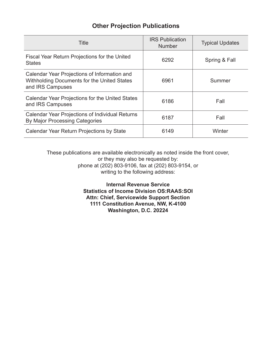# **Other Projection Publications**

| Title                                                                                                           | <b>IRS Publication</b><br><b>Number</b> | <b>Typical Updates</b> |
|-----------------------------------------------------------------------------------------------------------------|-----------------------------------------|------------------------|
| Fiscal Year Return Projections for the United<br><b>States</b>                                                  | 6292                                    | Spring & Fall          |
| Calendar Year Projections of Information and<br>Withholding Documents for the United States<br>and IRS Campuses | 6961                                    | Summer                 |
| Calendar Year Projections for the United States<br>and IRS Campuses                                             | 6186                                    | Fall                   |
| <b>Calendar Year Projections of Individual Returns</b><br><b>By Major Processing Categories</b>                 | 6187                                    | Fall                   |
| Calendar Year Return Projections by State                                                                       | 6149                                    | Winter                 |

These publications are available electronically as noted inside the front cover, or they may also be requested by: phone at (202) 803-9106, fax at (202) 803-9154, or writing to the following address:

> **Internal Revenue Service Statistics of Income Division OS:RAAS:SOI Attn: Chief, Servicewide Support Section 1111 Constitution Avenue, NW, K-4100 Washington, D.C. 20224**